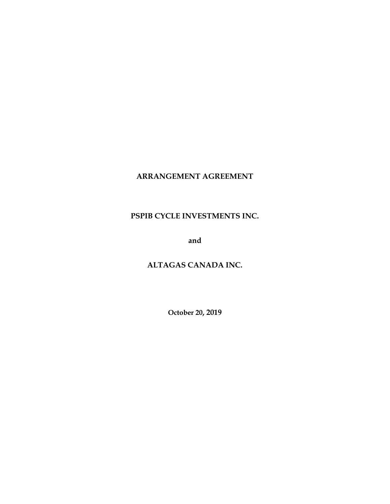# **ARRANGEMENT AGREEMENT**

# **PSPIB CYCLE INVESTMENTS INC.**

**and**

# **ALTAGAS CANADA INC.**

**October 20, 2019**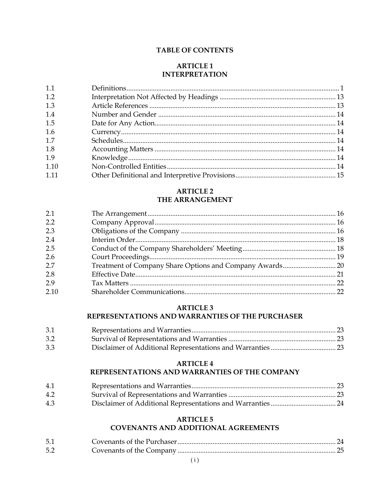## **TABLE OF CONTENTS**

## **ARTICLE 1 INTERPRETATION**

## **ARTICLE 2** THE ARRANGEMENT

| 2.1  |  |
|------|--|
| 2.2  |  |
| 2.3  |  |
| 2.4  |  |
| 2.5  |  |
| 2.6  |  |
| 2.7  |  |
| 2.8  |  |
| 2.9  |  |
| 2.10 |  |

# **ARTICLE 3** REPRESENTATIONS AND WARRANTIES OF THE PURCHASER

| 3.1 |  |
|-----|--|
| 3.2 |  |
| 3.3 |  |

## **ARTICLE 4**

## REPRESENTATIONS AND WARRANTIES OF THE COMPANY

| 4.1 |  |
|-----|--|
| 4.2 |  |
| 4.3 |  |

# **ARTICLE 5**

# **COVENANTS AND ADDITIONAL AGREEMENTS**

| 5.1 |  |
|-----|--|
| 5.2 |  |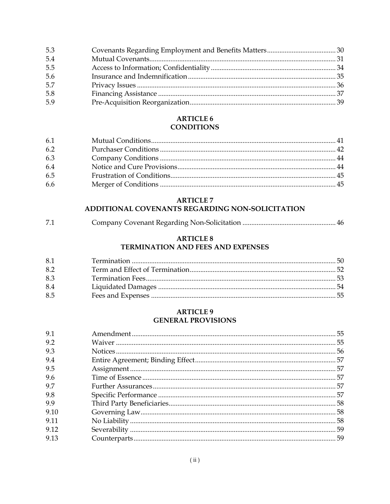| 5.3 |  |
|-----|--|
| 5.4 |  |
| 5.5 |  |
| 5.6 |  |
| 5.7 |  |
| 5.8 |  |
| 5.9 |  |

# **ARTICLE 6 CONDITIONS**

| 6.1 |  |
|-----|--|
| 6.2 |  |
| 6.3 |  |
| 6.4 |  |
| 6.5 |  |
| 6.6 |  |

# **ARTICLE 7**

# ADDITIONAL COVENANTS REGARDING NON-SOLICITATION

| 7.1 |  |  |
|-----|--|--|
|-----|--|--|

# **ARTICLE 8**

# TERMINATION AND FEES AND EXPENSES

| 8.1 |  |
|-----|--|
| 8.2 |  |
| 8.3 |  |
| 8.4 |  |
| 8.5 |  |

# **ARTICLE 9 GENERAL PROVISIONS**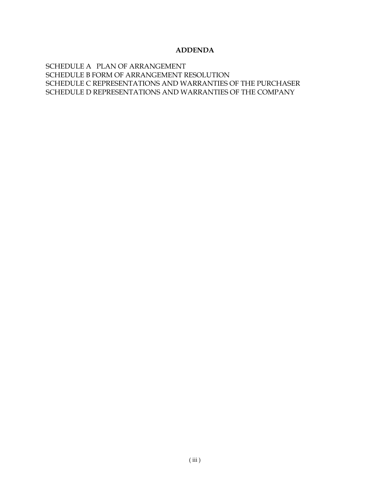## **ADDENDA**

SCHEDULE A PLAN OF ARRANGEMENT [SCHEDULE B FORM OF ARRANGEMENT RESOLUTION](#page-76-0) [SCHEDULE C REPRESENTATIONS AND WARRANTIES OF THE PURCHASER](#page-77-0) [SCHEDULE D REPRESENTATIONS AND WARRANTIES OF THE COMPANY](#page-81-0)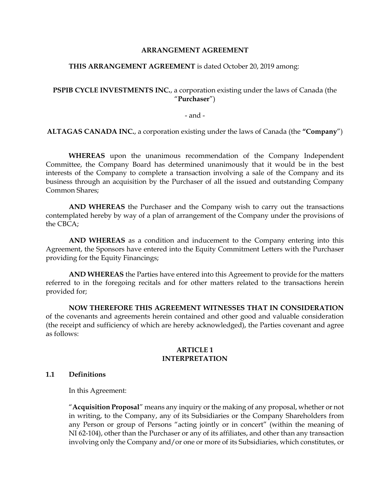## **ARRANGEMENT AGREEMENT**

#### **THIS ARRANGEMENT AGREEMENT** is dated October 20, 2019 among:

## **PSPIB CYCLE INVESTMENTS INC.**, a corporation existing under the laws of Canada (the "**Purchaser**")

- and -

**ALTAGAS CANADA INC.**, a corporation existing under the laws of Canada (the **"Company**")

**WHEREAS** upon the unanimous recommendation of the Company Independent Committee, the Company Board has determined unanimously that it would be in the best interests of the Company to complete a transaction involving a sale of the Company and its business through an acquisition by the Purchaser of all the issued and outstanding Company Common Shares;

**AND WHEREAS** the Purchaser and the Company wish to carry out the transactions contemplated hereby by way of a plan of arrangement of the Company under the provisions of the CBCA;

**AND WHEREAS** as a condition and inducement to the Company entering into this Agreement, the Sponsors have entered into the Equity Commitment Letters with the Purchaser providing for the Equity Financings;

**AND WHEREAS** the Parties have entered into this Agreement to provide for the matters referred to in the foregoing recitals and for other matters related to the transactions herein provided for;

**NOW THEREFORE THIS AGREEMENT WITNESSES THAT IN CONSIDERATION** of the covenants and agreements herein contained and other good and valuable consideration (the receipt and sufficiency of which are hereby acknowledged), the Parties covenant and agree as follows:

#### **ARTICLE 1 INTERPRETATION**

#### **1.1 Definitions**

In this Agreement:

"**Acquisition Proposal**" means any inquiry or the making of any proposal, whether or not in writing, to the Company, any of its Subsidiaries or the Company Shareholders from any Person or group of Persons "acting jointly or in concert" (within the meaning of NI 62-104), other than the Purchaser or any of its affiliates, and other than any transaction involving only the Company and/or one or more of its Subsidiaries, which constitutes, or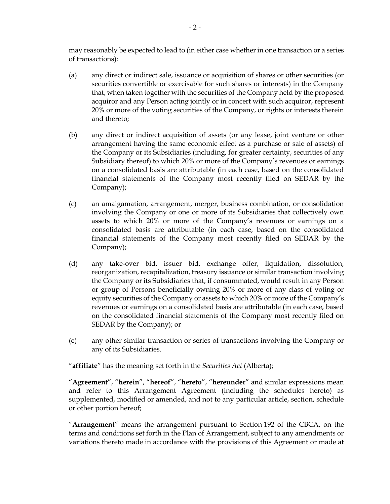may reasonably be expected to lead to (in either case whether in one transaction or a series of transactions):

- (a) any direct or indirect sale, issuance or acquisition of shares or other securities (or securities convertible or exercisable for such shares or interests) in the Company that, when taken together with the securities of the Company held by the proposed acquiror and any Person acting jointly or in concert with such acquiror, represent 20% or more of the voting securities of the Company, or rights or interests therein and thereto;
- (b) any direct or indirect acquisition of assets (or any lease, joint venture or other arrangement having the same economic effect as a purchase or sale of assets) of the Company or its Subsidiaries (including, for greater certainty, securities of any Subsidiary thereof) to which 20% or more of the Company's revenues or earnings on a consolidated basis are attributable (in each case, based on the consolidated financial statements of the Company most recently filed on SEDAR by the Company);
- (c) an amalgamation, arrangement, merger, business combination, or consolidation involving the Company or one or more of its Subsidiaries that collectively own assets to which 20% or more of the Company's revenues or earnings on a consolidated basis are attributable (in each case, based on the consolidated financial statements of the Company most recently filed on SEDAR by the Company);
- (d) any take-over bid, issuer bid, exchange offer, liquidation, dissolution, reorganization, recapitalization, treasury issuance or similar transaction involving the Company or its Subsidiaries that, if consummated, would result in any Person or group of Persons beneficially owning 20% or more of any class of voting or equity securities of the Company or assets to which 20% or more of the Company's revenues or earnings on a consolidated basis are attributable (in each case, based on the consolidated financial statements of the Company most recently filed on SEDAR by the Company); or
- (e) any other similar transaction or series of transactions involving the Company or any of its Subsidiaries.

"**affiliate**" has the meaning set forth in the *Securities Act* (Alberta);

"**Agreement**", "**herein**", "**hereof**", "**hereto**", "**hereunder**" and similar expressions mean and refer to this Arrangement Agreement (including the schedules hereto) as supplemented, modified or amended, and not to any particular article, section, schedule or other portion hereof;

"**Arrangement**" means the arrangement pursuant to Section 192 of the CBCA, on the terms and conditions set forth in the Plan of Arrangement, subject to any amendments or variations thereto made in accordance with the provisions of this Agreement or made at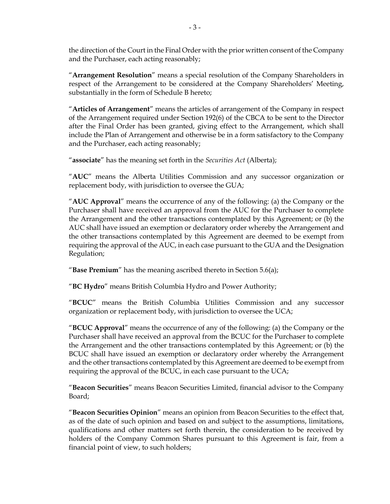the direction of the Court in the Final Order with the prior written consent of the Company and the Purchaser, each acting reasonably;

"**Arrangement Resolution**" means a special resolution of the Company Shareholders in respect of the Arrangement to be considered at the Company Shareholders' Meeting, substantially in the form of Schedule [B](#page-76-1) hereto;

"**Articles of Arrangement**" means the articles of arrangement of the Company in respect of the Arrangement required under Section 192(6) of the CBCA to be sent to the Director after the Final Order has been granted, giving effect to the Arrangement, which shall include the Plan of Arrangement and otherwise be in a form satisfactory to the Company and the Purchaser, each acting reasonably;

"**associate**" has the meaning set forth in the *Securities Act* (Alberta);

"**AUC**" means the Alberta Utilities Commission and any successor organization or replacement body, with jurisdiction to oversee the GUA;

"**AUC Approval**" means the occurrence of any of the following: (a) the Company or the Purchaser shall have received an approval from the AUC for the Purchaser to complete the Arrangement and the other transactions contemplated by this Agreement; or (b) the AUC shall have issued an exemption or declaratory order whereby the Arrangement and the other transactions contemplated by this Agreement are deemed to be exempt from requiring the approval of the AUC, in each case pursuant to the GUA and the Designation Regulation;

"**Base Premium**" has the meaning ascribed thereto in Section [5.6\(a\);](#page-38-0)

"**BC Hydro**" means British Columbia Hydro and Power Authority;

"**BCUC**" means the British Columbia Utilities Commission and any successor organization or replacement body, with jurisdiction to oversee the UCA;

"**BCUC Approval**" means the occurrence of any of the following: (a) the Company or the Purchaser shall have received an approval from the BCUC for the Purchaser to complete the Arrangement and the other transactions contemplated by this Agreement; or (b) the BCUC shall have issued an exemption or declaratory order whereby the Arrangement and the other transactions contemplated by this Agreement are deemed to be exempt from requiring the approval of the BCUC, in each case pursuant to the UCA;

"**Beacon Securities**" means Beacon Securities Limited, financial advisor to the Company Board;

"**Beacon Securities Opinion**" means an opinion from Beacon Securities to the effect that, as of the date of such opinion and based on and subject to the assumptions, limitations, qualifications and other matters set forth therein, the consideration to be received by holders of the Company Common Shares pursuant to this Agreement is fair, from a financial point of view, to such holders;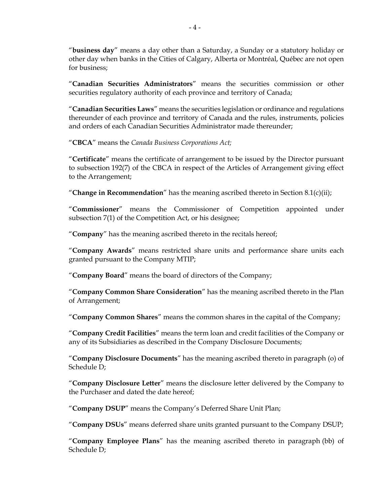"**business day**" means a day other than a Saturday, a Sunday or a statutory holiday or other day when banks in the Cities of Calgary, Alberta or Montréal, Québec are not open for business;

"**Canadian Securities Administrators**" means the securities commission or other securities regulatory authority of each province and territory of Canada;

"**Canadian Securities Laws**" means the securities legislation or ordinance and regulations thereunder of each province and territory of Canada and the rules, instruments, policies and orders of each Canadian Securities Administrator made thereunder;

"**CBCA**" means the *Canada Business Corporations Act;*

"**Certificate**" means the certificate of arrangement to be issued by the Director pursuant to subsection 192(7) of the CBCA in respect of the Articles of Arrangement giving effect to the Arrangement;

"**Change in Recommendation**" has the meaning ascribed thereto in Section [8.1\(c\)\(ii\);](#page-54-0)

"**Commissioner**" means the Commissioner of Competition appointed under subsection 7(1) of the Competition Act, or his designee;

"**Company**" has the meaning ascribed thereto in the recitals hereof;

"**Company Awards**" means restricted share units and performance share units each granted pursuant to the Company MTIP;

"**Company Board**" means the board of directors of the Company;

"**Company Common Share Consideration**" has the meaning ascribed thereto in the Plan of Arrangement;

"**Company Common Shares**" means the common shares in the capital of the Company;

"**Company Credit Facilities**" means the term loan and credit facilities of the Company or any of its Subsidiaries as described in the Company Disclosure Documents;

"**Company Disclosure Documents**" has the meaning ascribed thereto in paragraph [\(o\)](#page-85-0) of Schedule [D;](#page-81-1)

"**Company Disclosure Letter**" means the disclosure letter delivered by the Company to the Purchaser and dated the date hereof;

"**Company DSUP**" means the Company's Deferred Share Unit Plan;

"**Company DSUs**" means deferred share units granted pursuant to the Company DSUP;

"**Company Employee Plans**" has the meaning ascribed thereto in paragraph [\(bb\)](#page-88-0) of Schedule [D;](#page-81-1)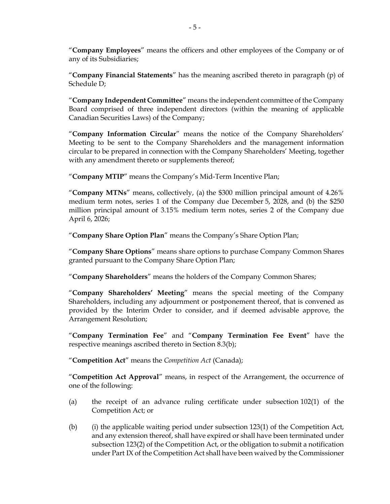"**Company Employees**" means the officers and other employees of the Company or of any of its Subsidiaries;

"**Company Financial Statements**" has the meaning ascribed thereto in paragraph [\(p\)](#page-85-1) of Schedule [D;](#page-81-1)

"**Company Independent Committee**" means the independent committee of the Company Board comprised of three independent directors (within the meaning of applicable Canadian Securities Laws) of the Company;

"**Company Information Circular**" means the notice of the Company Shareholders' Meeting to be sent to the Company Shareholders and the management information circular to be prepared in connection with the Company Shareholders' Meeting, together with any amendment thereto or supplements thereof;

"**Company MTIP**" means the Company's Mid-Term Incentive Plan;

"**Company MTNs**" means, collectively, (a) the \$300 million principal amount of 4.26% medium term notes, series 1 of the Company due December 5, 2028, and (b) the \$250 million principal amount of 3.15% medium term notes, series 2 of the Company due April 6, 2026;

"**Company Share Option Plan**" means the Company's Share Option Plan;

"**Company Share Options**" means share options to purchase Company Common Shares granted pursuant to the Company Share Option Plan;

"**Company Shareholders**" means the holders of the Company Common Shares;

"**Company Shareholders' Meeting**" means the special meeting of the Company Shareholders, including any adjournment or postponement thereof, that is convened as provided by the Interim Order to consider, and if deemed advisable approve, the Arrangement Resolution;

"**Company Termination Fee**" and "**Company Termination Fee Event**" have the respective meanings ascribed thereto in Section [8.3\(b\);](#page-56-0)

"**Competition Act**" means the *Competition Act* (Canada);

"**Competition Act Approval**" means, in respect of the Arrangement, the occurrence of one of the following:

- (a) the receipt of an advance ruling certificate under subsection 102(1) of the Competition Act; or
- (b) (i) the applicable waiting period under subsection 123(1) of the Competition Act, and any extension thereof, shall have expired or shall have been terminated under subsection 123(2) of the Competition Act, or the obligation to submit a notification under Part IX of the Competition Act shall have been waived by the Commissioner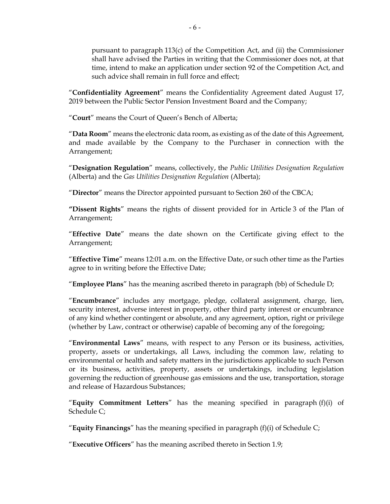pursuant to paragraph 113(c) of the Competition Act, and (ii) the Commissioner shall have advised the Parties in writing that the Commissioner does not, at that time, intend to make an application under section 92 of the Competition Act, and such advice shall remain in full force and effect;

"**Confidentiality Agreement**" means the Confidentiality Agreement dated August 17, 2019 between the Public Sector Pension Investment Board and the Company;

"**Court**" means the Court of Queen's Bench of Alberta;

"**Data Room**" means the electronic data room, as existing as of the date of this Agreement, and made available by the Company to the Purchaser in connection with the Arrangement;

"**Designation Regulation**" means, collectively, the *Public Utilities Designation Regulation* (Alberta) and the *Gas Utilities Designation Regulation* (Alberta);

"**Director**" means the Director appointed pursuant to Section 260 of the CBCA;

**"Dissent Rights**" means the rights of dissent provided for in Article 3 of the Plan of Arrangement;

"**Effective Date**" means the date shown on the Certificate giving effect to the Arrangement;

"**Effective Time**" means 12:01 a.m. on the Effective Date, or such other time as the Parties agree to in writing before the Effective Date;

"**Employee Plans**" has the meaning ascribed thereto in paragraph [\(bb\)](#page-88-0) of Schedule [D;](#page-81-1)

"**Encumbrance**" includes any mortgage, pledge, collateral assignment, charge, lien, security interest, adverse interest in property, other third party interest or encumbrance of any kind whether contingent or absolute, and any agreement, option, right or privilege (whether by Law, contract or otherwise) capable of becoming any of the foregoing;

"**Environmental Laws**" means, with respect to any Person or its business, activities, property, assets or undertakings, all Laws, including the common law, relating to environmental or health and safety matters in the jurisdictions applicable to such Person or its business, activities, property, assets or undertakings, including legislation governing the reduction of greenhouse gas emissions and the use, transportation, storage and release of Hazardous Substances;

"**Equity Commitment Letters**" has the meaning specified in paragraph [\(f\)\(i\)](#page-78-0) of Schedule [C;](#page-77-1)

"**Equity Financings**" has the meaning specified in paragraph [\(f\)\(i\)](#page-78-0) of Schedule [C;](#page-77-1)

"**Executive Officers**" has the meaning ascribed thereto in Section [1.9;](#page-17-0)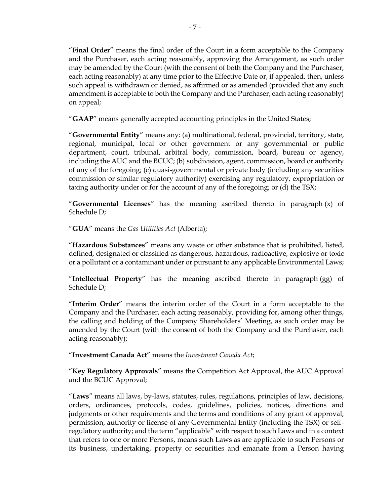"**Final Order**" means the final order of the Court in a form acceptable to the Company and the Purchaser, each acting reasonably, approving the Arrangement, as such order may be amended by the Court (with the consent of both the Company and the Purchaser, each acting reasonably) at any time prior to the Effective Date or, if appealed, then, unless such appeal is withdrawn or denied, as affirmed or as amended (provided that any such amendment is acceptable to both the Company and the Purchaser, each acting reasonably) on appeal;

"**GAAP**" means generally accepted accounting principles in the United States;

"**Governmental Entity**" means any: (a) multinational, federal, provincial, territory, state, regional, municipal, local or other government or any governmental or public department, court, tribunal, arbitral body, commission, board, bureau or agency, including the AUC and the BCUC; (b) subdivision, agent, commission, board or authority of any of the foregoing; (c) quasi-governmental or private body (including any securities commission or similar regulatory authority) exercising any regulatory, expropriation or taxing authority under or for the account of any of the foregoing; or (d) the TSX;

"**Governmental Licenses**" has the meaning ascribed thereto in paragraph [\(x\)](#page-87-0) of Schedule [D;](#page-81-1)

"**GUA**" means the *Gas Utilities Act* (Alberta);

"**Hazardous Substances**" means any waste or other substance that is prohibited, listed, defined, designated or classified as dangerous, hazardous, radioactive, explosive or toxic or a pollutant or a contaminant under or pursuant to any applicable Environmental Laws;

"**Intellectual Property**" has the meaning ascribed thereto in paragraph [\(gg\)](#page-91-0) of Schedule [D;](#page-81-1)

"**Interim Order**" means the interim order of the Court in a form acceptable to the Company and the Purchaser, each acting reasonably, providing for, among other things, the calling and holding of the Company Shareholders' Meeting, as such order may be amended by the Court (with the consent of both the Company and the Purchaser, each acting reasonably);

"**Investment Canada Act**" means the *Investment Canada Act*;

"**Key Regulatory Approvals**" means the Competition Act Approval, the AUC Approval and the BCUC Approval;

"**Laws**" means all laws, by-laws, statutes, rules, regulations, principles of law, decisions, orders, ordinances, protocols, codes, guidelines, policies, notices, directions and judgments or other requirements and the terms and conditions of any grant of approval, permission, authority or license of any Governmental Entity (including the TSX) or selfregulatory authority; and the term "applicable" with respect to such Laws and in a context that refers to one or more Persons, means such Laws as are applicable to such Persons or its business, undertaking, property or securities and emanate from a Person having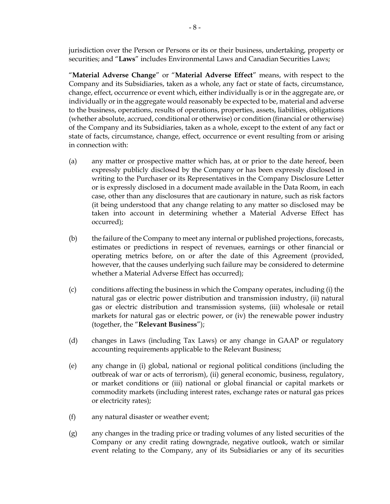jurisdiction over the Person or Persons or its or their business, undertaking, property or securities; and "**Laws**" includes Environmental Laws and Canadian Securities Laws;

"**Material Adverse Change**" or "**Material Adverse Effect**" means, with respect to the Company and its Subsidiaries, taken as a whole, any fact or state of facts, circumstance, change, effect, occurrence or event which, either individually is or in the aggregate are, or individually or in the aggregate would reasonably be expected to be, material and adverse to the business, operations, results of operations, properties, assets, liabilities, obligations (whether absolute, accrued, conditional or otherwise) or condition (financial or otherwise) of the Company and its Subsidiaries, taken as a whole, except to the extent of any fact or state of facts, circumstance, change, effect, occurrence or event resulting from or arising in connection with:

- (a) any matter or prospective matter which has, at or prior to the date hereof, been expressly publicly disclosed by the Company or has been expressly disclosed in writing to the Purchaser or its Representatives in the Company Disclosure Letter or is expressly disclosed in a document made available in the Data Room, in each case, other than any disclosures that are cautionary in nature, such as risk factors (it being understood that any change relating to any matter so disclosed may be taken into account in determining whether a Material Adverse Effect has occurred);
- (b) the failure of the Company to meet any internal or published projections, forecasts, estimates or predictions in respect of revenues, earnings or other financial or operating metrics before, on or after the date of this Agreement (provided, however, that the causes underlying such failure may be considered to determine whether a Material Adverse Effect has occurred);
- <span id="page-11-0"></span>(c) conditions affecting the business in which the Company operates, including (i) the natural gas or electric power distribution and transmission industry, (ii) natural gas or electric distribution and transmission systems, (iii) wholesale or retail markets for natural gas or electric power, or (iv) the renewable power industry (together, the "**Relevant Business**");
- <span id="page-11-1"></span>(d) changes in Laws (including Tax Laws) or any change in GAAP or regulatory accounting requirements applicable to the Relevant Business;
- <span id="page-11-2"></span>(e) any change in (i) global, national or regional political conditions (including the outbreak of war or acts of terrorism), (ii) general economic, business, regulatory, or market conditions or (iii) national or global financial or capital markets or commodity markets (including interest rates, exchange rates or natural gas prices or electricity rates);
- <span id="page-11-3"></span>(f) any natural disaster or weather event;
- (g) any changes in the trading price or trading volumes of any listed securities of the Company or any credit rating downgrade, negative outlook, watch or similar event relating to the Company, any of its Subsidiaries or any of its securities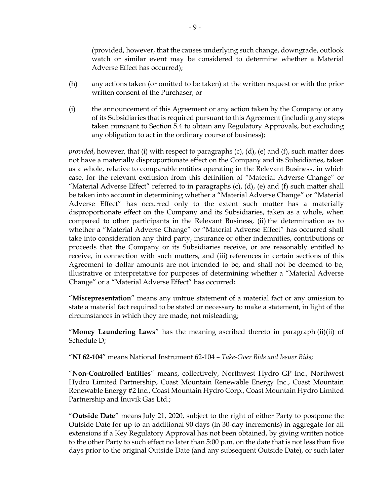(provided, however, that the causes underlying such change, downgrade, outlook watch or similar event may be considered to determine whether a Material Adverse Effect has occurred);

- (h) any actions taken (or omitted to be taken) at the written request or with the prior written consent of the Purchaser; or
- (i) the announcement of this Agreement or any action taken by the Company or any of its Subsidiaries that is required pursuant to this Agreement (including any steps taken pursuant to Section [5.4](#page-34-0) to obtain any Regulatory Approvals, but excluding any obligation to act in the ordinary course of business);

*provided*, however, that (i) with respect to paragraphs [\(c\),](#page-11-0) [\(d\),](#page-11-1) [\(e\)](#page-11-2) and [\(f\),](#page-11-3) such matter does not have a materially disproportionate effect on the Company and its Subsidiaries, taken as a whole, relative to comparable entities operating in the Relevant Business, in which case, for the relevant exclusion from this definition of "Material Adverse Change" or "Material Adverse Effect" referred to in paragraphs  $(c)$ ,  $(d)$ ,  $(e)$  and  $(f)$  such matter shall be taken into account in determining whether a "Material Adverse Change" or "Material Adverse Effect" has occurred only to the extent such matter has a materially disproportionate effect on the Company and its Subsidiaries, taken as a whole, when compared to other participants in the Relevant Business, (ii) the determination as to whether a "Material Adverse Change" or "Material Adverse Effect" has occurred shall take into consideration any third party, insurance or other indemnities, contributions or proceeds that the Company or its Subsidiaries receive, or are reasonably entitled to receive, in connection with such matters, and (iii) references in certain sections of this Agreement to dollar amounts are not intended to be, and shall not be deemed to be, illustrative or interpretative for purposes of determining whether a "Material Adverse Change" or a "Material Adverse Effect" has occurred;

"**Misrepresentation**" means any untrue statement of a material fact or any omission to state a material fact required to be stated or necessary to make a statement, in light of the circumstances in which they are made, not misleading;

"**Money Laundering Laws**" has the meaning ascribed thereto in paragraph [\(ii\)\(ii\)](#page-92-0) of Schedule [D;](#page-81-1)

"**NI 62-104**" means National Instrument 62-104 – *Take-Over Bids and Issuer Bids*;

"**Non-Controlled Entities**" means, collectively, Northwest Hydro GP Inc., Northwest Hydro Limited Partnership, Coast Mountain Renewable Energy Inc., Coast Mountain Renewable Energy #2 Inc., Coast Mountain Hydro Corp., Coast Mountain Hydro Limited Partnership and Inuvik Gas Ltd.;

"**Outside Date**" means July 21, 2020, subject to the right of either Party to postpone the Outside Date for up to an additional 90 days (in 30-day increments) in aggregate for all extensions if a Key Regulatory Approval has not been obtained, by giving written notice to the other Party to such effect no later than 5:00 p.m. on the date that is not less than five days prior to the original Outside Date (and any subsequent Outside Date), or such later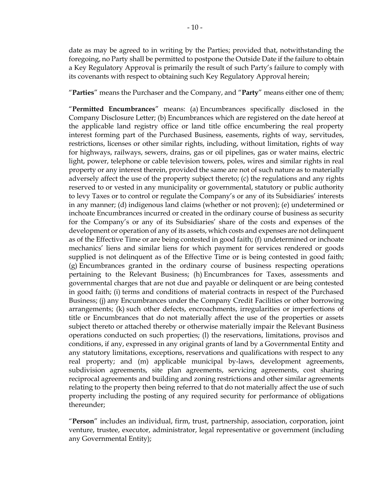date as may be agreed to in writing by the Parties; provided that, notwithstanding the foregoing, no Party shall be permitted to postpone the Outside Date if the failure to obtain a Key Regulatory Approval is primarily the result of such Party's failure to comply with its covenants with respect to obtaining such Key Regulatory Approval herein;

"**Parties**" means the Purchaser and the Company, and "**Party**" means either one of them;

"**Permitted Encumbrances**" means: (a) Encumbrances specifically disclosed in the Company Disclosure Letter; (b) Encumbrances which are registered on the date hereof at the applicable land registry office or land title office encumbering the real property interest forming part of the Purchased Business, easements, rights of way, servitudes, restrictions, licenses or other similar rights, including, without limitation, rights of way for highways, railways, sewers, drains, gas or oil pipelines, gas or water mains, electric light, power, telephone or cable television towers, poles, wires and similar rights in real property or any interest therein, provided the same are not of such nature as to materially adversely affect the use of the property subject thereto; (c) the regulations and any rights reserved to or vested in any municipality or governmental, statutory or public authority to levy Taxes or to control or regulate the Company's or any of its Subsidiaries' interests in any manner; (d) indigenous land claims (whether or not proven); (e) undetermined or inchoate Encumbrances incurred or created in the ordinary course of business as security for the Company's or any of its Subsidiaries' share of the costs and expenses of the development or operation of any of its assets, which costs and expenses are not delinquent as of the Effective Time or are being contested in good faith; (f) undetermined or inchoate mechanics' liens and similar liens for which payment for services rendered or goods supplied is not delinquent as of the Effective Time or is being contested in good faith; (g) Encumbrances granted in the ordinary course of business respecting operations pertaining to the Relevant Business; (h) Encumbrances for Taxes, assessments and governmental charges that are not due and payable or delinquent or are being contested in good faith; (i) terms and conditions of material contracts in respect of the Purchased Business; (j) any Encumbrances under the Company Credit Facilities or other borrowing arrangements; (k) such other defects, encroachments, irregularities or imperfections of title or Encumbrances that do not materially affect the use of the properties or assets subject thereto or attached thereby or otherwise materially impair the Relevant Business operations conducted on such properties; (l) the reservations, limitations, provisos and conditions, if any, expressed in any original grants of land by a Governmental Entity and any statutory limitations, exceptions, reservations and qualifications with respect to any real property; and (m) applicable municipal by-laws, development agreements, subdivision agreements, site plan agreements, servicing agreements, cost sharing reciprocal agreements and building and zoning restrictions and other similar agreements relating to the property then being referred to that do not materially affect the use of such property including the posting of any required security for performance of obligations thereunder;

"**Person**" includes an individual, firm, trust, partnership, association, corporation, joint venture, trustee, executor, administrator, legal representative or government (including any Governmental Entity);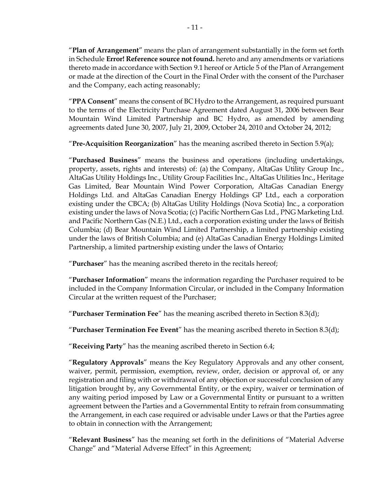"**Plan of Arrangement**" means the plan of arrangement substantially in the form set forth in Schedule **Error! Reference source not found.** hereto and any amendments or variations thereto made in accordance with Section [9.1](#page-58-0) hereof or Article 5 of the Plan of Arrangement or made at the direction of the Court in the Final Order with the consent of the Purchaser and the Company, each acting reasonably;

"**PPA Consent**" means the consent of BC Hydro to the Arrangement, as required pursuant to the terms of the Electricity Purchase Agreement dated August 31, 2006 between Bear Mountain Wind Limited Partnership and BC Hydro, as amended by amending agreements dated June 30, 2007, July 21, 2009, October 24, 2010 and October 24, 2012;

"**Pre-Acquisition Reorganization**" has the meaning ascribed thereto in Section [5.9\(a\);](#page-42-0)

"**Purchased Business**" means the business and operations (including undertakings, property, assets, rights and interests) of: (a) the Company, AltaGas Utility Group Inc., AltaGas Utility Holdings Inc., Utility Group Facilities Inc., AltaGas Utilities Inc., Heritage Gas Limited, Bear Mountain Wind Power Corporation, AltaGas Canadian Energy Holdings Ltd. and AltaGas Canadian Energy Holdings GP Ltd., each a corporation existing under the CBCA; (b) AltaGas Utility Holdings (Nova Scotia) Inc., a corporation existing under the laws of Nova Scotia; (c) Pacific Northern Gas Ltd., PNG Marketing Ltd. and Pacific Northern Gas (N.E.) Ltd., each a corporation existing under the laws of British Columbia; (d) Bear Mountain Wind Limited Partnership, a limited partnership existing under the laws of British Columbia; and (e) AltaGas Canadian Energy Holdings Limited Partnership, a limited partnership existing under the laws of Ontario;

"**Purchaser**" has the meaning ascribed thereto in the recitals hereof;

"**Purchaser Information**" means the information regarding the Purchaser required to be included in the Company Information Circular, or included in the Company Information Circular at the written request of the Purchaser;

"**Purchaser Termination Fee**" has the meaning ascribed thereto in Section [8.3\(d\);](#page-57-0)

"**Purchaser Termination Fee Event**" has the meaning ascribed thereto in Section [8.3\(d\);](#page-57-0)

"**Receiving Party**" has the meaning ascribed thereto in Section [6.4;](#page-47-0)

"**Regulatory Approvals**" means the Key Regulatory Approvals and any other consent, waiver, permit, permission, exemption, review, order, decision or approval of, or any registration and filing with or withdrawal of any objection or successful conclusion of any litigation brought by, any Governmental Entity, or the expiry, waiver or termination of any waiting period imposed by Law or a Governmental Entity or pursuant to a written agreement between the Parties and a Governmental Entity to refrain from consummating the Arrangement, in each case required or advisable under Laws or that the Parties agree to obtain in connection with the Arrangement;

"**Relevant Business**" has the meaning set forth in the definitions of "Material Adverse Change" and "Material Adverse Effect" in this Agreement;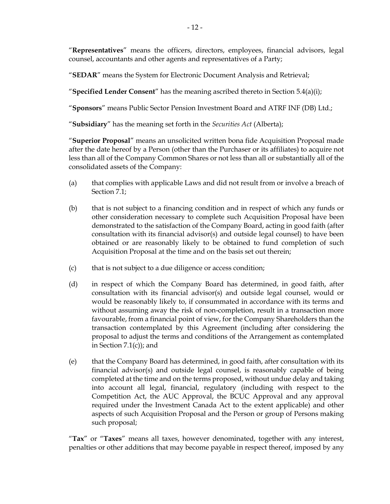"**Representatives**" means the officers, directors, employees, financial advisors, legal counsel, accountants and other agents and representatives of a Party;

"**SEDAR**" means the System for Electronic Document Analysis and Retrieval;

"**Specified Lender Consent**" has the meaning ascribed thereto in Section [5.4\(a\)\(i\);](#page-35-0)

"**Sponsors**" means Public Sector Pension Investment Board and ATRF INF (DB) Ltd.;

"**Subsidiary**" has the meaning set forth in the *Securities Act* (Alberta);

"**Superior Proposal**" means an unsolicited written bona fide Acquisition Proposal made after the date hereof by a Person (other than the Purchaser or its affiliates) to acquire not less than all of the Company Common Shares or not less than all or substantially all of the consolidated assets of the Company:

- (a) that complies with applicable Laws and did not result from or involve a breach of Section [7.1;](#page-49-0)
- (b) that is not subject to a financing condition and in respect of which any funds or other consideration necessary to complete such Acquisition Proposal have been demonstrated to the satisfaction of the Company Board, acting in good faith (after consultation with its financial advisor(s) and outside legal counsel) to have been obtained or are reasonably likely to be obtained to fund completion of such Acquisition Proposal at the time and on the basis set out therein;
- (c) that is not subject to a due diligence or access condition;
- (d) in respect of which the Company Board has determined, in good faith, after consultation with its financial advisor(s) and outside legal counsel, would or would be reasonably likely to, if consummated in accordance with its terms and without assuming away the risk of non-completion, result in a transaction more favourable, from a financial point of view, for the Company Shareholders than the transaction contemplated by this Agreement (including after considering the proposal to adjust the terms and conditions of the Arrangement as contemplated in Section  $7.1(c)$ ; and
- (e) that the Company Board has determined, in good faith, after consultation with its financial advisor(s) and outside legal counsel, is reasonably capable of being completed at the time and on the terms proposed, without undue delay and taking into account all legal, financial, regulatory (including with respect to the Competition Act, the AUC Approval, the BCUC Approval and any approval required under the Investment Canada Act to the extent applicable) and other aspects of such Acquisition Proposal and the Person or group of Persons making such proposal;

"**Tax**" or "**Taxes**" means all taxes, however denominated, together with any interest, penalties or other additions that may become payable in respect thereof, imposed by any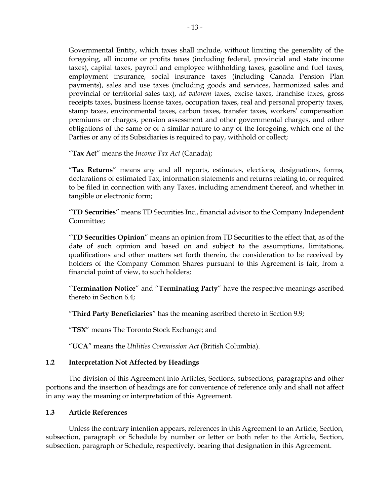Governmental Entity, which taxes shall include, without limiting the generality of the foregoing, all income or profits taxes (including federal, provincial and state income taxes), capital taxes, payroll and employee withholding taxes, gasoline and fuel taxes, employment insurance, social insurance taxes (including Canada Pension Plan payments), sales and use taxes (including goods and services, harmonized sales and provincial or territorial sales tax), *ad valorem* taxes, excise taxes, franchise taxes, gross receipts taxes, business license taxes, occupation taxes, real and personal property taxes, stamp taxes, environmental taxes, carbon taxes, transfer taxes, workers' compensation premiums or charges, pension assessment and other governmental charges, and other obligations of the same or of a similar nature to any of the foregoing, which one of the Parties or any of its Subsidiaries is required to pay, withhold or collect;

"**Tax Act**" means the *Income Tax Act* (Canada);

"**Tax Returns**" means any and all reports, estimates, elections, designations, forms, declarations of estimated Tax, information statements and returns relating to, or required to be filed in connection with any Taxes, including amendment thereof, and whether in tangible or electronic form;

"**TD Securities**" means TD Securities Inc., financial advisor to the Company Independent Committee;

"**TD Securities Opinion**" means an opinion from TD Securities to the effect that, as of the date of such opinion and based on and subject to the assumptions, limitations, qualifications and other matters set forth therein, the consideration to be received by holders of the Company Common Shares pursuant to this Agreement is fair, from a financial point of view, to such holders;

"**Termination Notice**" and "**Terminating Party**" have the respective meanings ascribed thereto in Section [6.4;](#page-47-0)

"**Third Party Beneficiaries**" has the meaning ascribed thereto in Section [9.9;](#page-61-0)

"**TSX**" means The Toronto Stock Exchange; and

"**UCA**" means the *Utilities Commission Act* (British Columbia).

# **1.2 Interpretation Not Affected by Headings**

The division of this Agreement into Articles, Sections, subsections, paragraphs and other portions and the insertion of headings are for convenience of reference only and shall not affect in any way the meaning or interpretation of this Agreement.

#### **1.3 Article References**

Unless the contrary intention appears, references in this Agreement to an Article, Section, subsection, paragraph or Schedule by number or letter or both refer to the Article, Section, subsection, paragraph or Schedule, respectively, bearing that designation in this Agreement.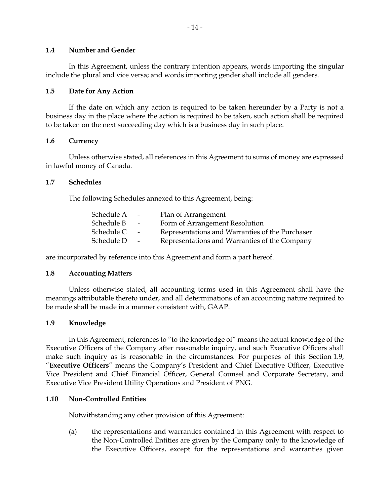#### **1.4 Number and Gender**

In this Agreement, unless the contrary intention appears, words importing the singular include the plural and vice versa; and words importing gender shall include all genders.

### **1.5 Date for Any Action**

If the date on which any action is required to be taken hereunder by a Party is not a business day in the place where the action is required to be taken, such action shall be required to be taken on the next succeeding day which is a business day in such place.

## **1.6 Currency**

Unless otherwise stated, all references in this Agreement to sums of money are expressed in lawful money of Canada.

## **1.7 Schedules**

The following Schedules annexed to this Agreement, being:

| Schedule A | $\sim$ | Plan of Arrangement                             |
|------------|--------|-------------------------------------------------|
| Schedule B | $\sim$ | Form of Arrangement Resolution                  |
| Schedule C | $\sim$ | Representations and Warranties of the Purchaser |
| Schedule D | $\sim$ | Representations and Warranties of the Company   |

are incorporated by reference into this Agreement and form a part hereof.

#### **1.8 Accounting Matters**

Unless otherwise stated, all accounting terms used in this Agreement shall have the meanings attributable thereto under, and all determinations of an accounting nature required to be made shall be made in a manner consistent with, GAAP.

#### <span id="page-17-0"></span>**1.9 Knowledge**

In this Agreement, references to "to the knowledge of" means the actual knowledge of the Executive Officers of the Company after reasonable inquiry, and such Executive Officers shall make such inquiry as is reasonable in the circumstances. For purposes of this Section [1.9,](#page-17-0) "**Executive Officers**" means the Company's President and Chief Executive Officer, Executive Vice President and Chief Financial Officer, General Counsel and Corporate Secretary, and Executive Vice President Utility Operations and President of PNG.

#### **1.10 Non-Controlled Entities**

Notwithstanding any other provision of this Agreement:

(a) the representations and warranties contained in this Agreement with respect to the Non-Controlled Entities are given by the Company only to the knowledge of the Executive Officers, except for the representations and warranties given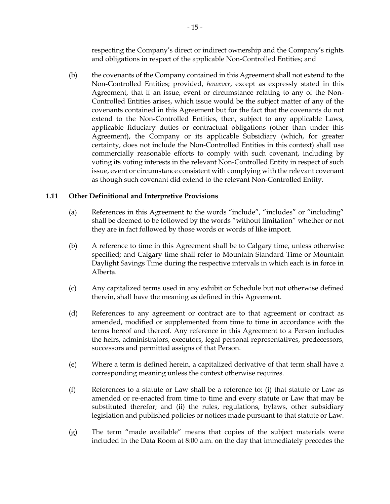respecting the Company's direct or indirect ownership and the Company's rights and obligations in respect of the applicable Non-Controlled Entities; and

(b) the covenants of the Company contained in this Agreement shall not extend to the Non-Controlled Entities; provided, *however*, except as expressly stated in this Agreement, that if an issue, event or circumstance relating to any of the Non-Controlled Entities arises, which issue would be the subject matter of any of the covenants contained in this Agreement but for the fact that the covenants do not extend to the Non-Controlled Entities, then, subject to any applicable Laws, applicable fiduciary duties or contractual obligations (other than under this Agreement), the Company or its applicable Subsidiary (which, for greater certainty, does not include the Non-Controlled Entities in this context) shall use commercially reasonable efforts to comply with such covenant, including by voting its voting interests in the relevant Non-Controlled Entity in respect of such issue, event or circumstance consistent with complying with the relevant covenant as though such covenant did extend to the relevant Non-Controlled Entity.

# **1.11 Other Definitional and Interpretive Provisions**

- (a) References in this Agreement to the words "include", "includes" or "including" shall be deemed to be followed by the words "without limitation" whether or not they are in fact followed by those words or words of like import.
- (b) A reference to time in this Agreement shall be to Calgary time, unless otherwise specified; and Calgary time shall refer to Mountain Standard Time or Mountain Daylight Savings Time during the respective intervals in which each is in force in Alberta.
- (c) Any capitalized terms used in any exhibit or Schedule but not otherwise defined therein, shall have the meaning as defined in this Agreement.
- (d) References to any agreement or contract are to that agreement or contract as amended, modified or supplemented from time to time in accordance with the terms hereof and thereof. Any reference in this Agreement to a Person includes the heirs, administrators, executors, legal personal representatives, predecessors, successors and permitted assigns of that Person.
- (e) Where a term is defined herein, a capitalized derivative of that term shall have a corresponding meaning unless the context otherwise requires.
- (f) References to a statute or Law shall be a reference to: (i) that statute or Law as amended or re-enacted from time to time and every statute or Law that may be substituted therefor; and (ii) the rules, regulations, bylaws, other subsidiary legislation and published policies or notices made pursuant to that statute or Law.
- (g) The term "made available" means that copies of the subject materials were included in the Data Room at 8:00 a.m. on the day that immediately precedes the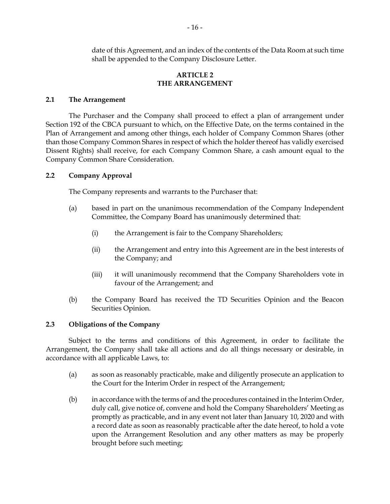date of this Agreement, and an index of the contents of the Data Room at such time shall be appended to the Company Disclosure Letter.

#### **ARTICLE 2 THE ARRANGEMENT**

### **2.1 The Arrangement**

The Purchaser and the Company shall proceed to effect a plan of arrangement under Section 192 of the CBCA pursuant to which, on the Effective Date, on the terms contained in the Plan of Arrangement and among other things, each holder of Company Common Shares (other than those Company Common Shares in respect of which the holder thereof has validly exercised Dissent Rights) shall receive, for each Company Common Share, a cash amount equal to the Company Common Share Consideration.

## **2.2 Company Approval**

The Company represents and warrants to the Purchaser that:

- (a) based in part on the unanimous recommendation of the Company Independent Committee, the Company Board has unanimously determined that:
	- (i) the Arrangement is fair to the Company Shareholders;
	- (ii) the Arrangement and entry into this Agreement are in the best interests of the Company; and
	- (iii) it will unanimously recommend that the Company Shareholders vote in favour of the Arrangement; and
- (b) the Company Board has received the TD Securities Opinion and the Beacon Securities Opinion.

# **2.3 Obligations of the Company**

Subject to the terms and conditions of this Agreement, in order to facilitate the Arrangement, the Company shall take all actions and do all things necessary or desirable, in accordance with all applicable Laws, to:

- <span id="page-19-0"></span>(a) as soon as reasonably practicable, make and diligently prosecute an application to the Court for the Interim Order in respect of the Arrangement;
- (b) in accordance with the terms of and the procedures contained in the Interim Order, duly call, give notice of, convene and hold the Company Shareholders' Meeting as promptly as practicable, and in any event not later than January 10, 2020 and with a record date as soon as reasonably practicable after the date hereof, to hold a vote upon the Arrangement Resolution and any other matters as may be properly brought before such meeting;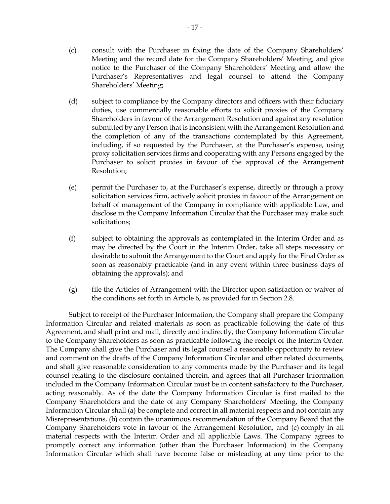- (c) consult with the Purchaser in fixing the date of the Company Shareholders' Meeting and the record date for the Company Shareholders' Meeting, and give notice to the Purchaser of the Company Shareholders' Meeting and allow the Purchaser's Representatives and legal counsel to attend the Company Shareholders' Meeting;
- (d) subject to compliance by the Company directors and officers with their fiduciary duties, use commercially reasonable efforts to solicit proxies of the Company Shareholders in favour of the Arrangement Resolution and against any resolution submitted by any Person that is inconsistent with the Arrangement Resolution and the completion of any of the transactions contemplated by this Agreement, including, if so requested by the Purchaser, at the Purchaser's expense, using proxy solicitation services firms and cooperating with any Persons engaged by the Purchaser to solicit proxies in favour of the approval of the Arrangement Resolution;
- (e) permit the Purchaser to, at the Purchaser's expense, directly or through a proxy solicitation services firm, actively solicit proxies in favour of the Arrangement on behalf of management of the Company in compliance with applicable Law, and disclose in the Company Information Circular that the Purchaser may make such solicitations;
- (f) subject to obtaining the approvals as contemplated in the Interim Order and as may be directed by the Court in the Interim Order, take all steps necessary or desirable to submit the Arrangement to the Court and apply for the Final Order as soon as reasonably practicable (and in any event within three business days of obtaining the approvals); and
- (g) file the Articles of Arrangement with the Director upon satisfaction or waiver of the conditions set forth in [Article](#page-44-0) 6, as provided for in Section [2.8.](#page-24-0)

Subject to receipt of the Purchaser Information, the Company shall prepare the Company Information Circular and related materials as soon as practicable following the date of this Agreement, and shall print and mail, directly and indirectly, the Company Information Circular to the Company Shareholders as soon as practicable following the receipt of the Interim Order. The Company shall give the Purchaser and its legal counsel a reasonable opportunity to review and comment on the drafts of the Company Information Circular and other related documents, and shall give reasonable consideration to any comments made by the Purchaser and its legal counsel relating to the disclosure contained therein, and agrees that all Purchaser Information included in the Company Information Circular must be in content satisfactory to the Purchaser, acting reasonably. As of the date the Company Information Circular is first mailed to the Company Shareholders and the date of any Company Shareholders' Meeting, the Company Information Circular shall (a) be complete and correct in all material respects and not contain any Misrepresentations, (b) contain the unanimous recommendation of the Company Board that the Company Shareholders vote in favour of the Arrangement Resolution, and (c) comply in all material respects with the Interim Order and all applicable Laws. The Company agrees to promptly correct any information (other than the Purchaser Information) in the Company Information Circular which shall have become false or misleading at any time prior to the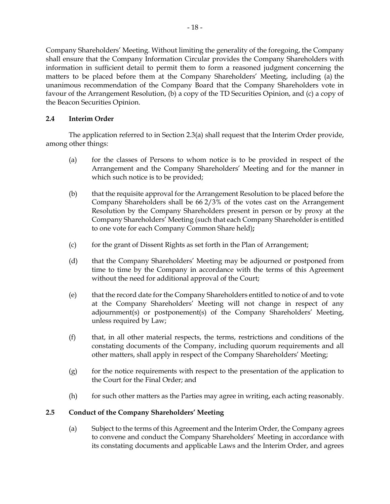Company Shareholders' Meeting. Without limiting the generality of the foregoing, the Company shall ensure that the Company Information Circular provides the Company Shareholders with information in sufficient detail to permit them to form a reasoned judgment concerning the matters to be placed before them at the Company Shareholders' Meeting, including (a) the unanimous recommendation of the Company Board that the Company Shareholders vote in favour of the Arrangement Resolution, (b) a copy of the TD Securities Opinion, and (c) a copy of the Beacon Securities Opinion.

# **2.4 Interim Order**

The application referred to in Section [2.3\(a\)](#page-19-0) shall request that the Interim Order provide, among other things:

- (a) for the classes of Persons to whom notice is to be provided in respect of the Arrangement and the Company Shareholders' Meeting and for the manner in which such notice is to be provided;
- (b) that the requisite approval for the Arrangement Resolution to be placed before the Company Shareholders shall be 66 2/3% of the votes cast on the Arrangement Resolution by the Company Shareholders present in person or by proxy at the Company Shareholders' Meeting (such that each Company Shareholder is entitled to one vote for each Company Common Share held)**;**
- (c) for the grant of Dissent Rights as set forth in the Plan of Arrangement;
- (d) that the Company Shareholders' Meeting may be adjourned or postponed from time to time by the Company in accordance with the terms of this Agreement without the need for additional approval of the Court;
- (e) that the record date for the Company Shareholders entitled to notice of and to vote at the Company Shareholders' Meeting will not change in respect of any adjournment(s) or postponement(s) of the Company Shareholders' Meeting, unless required by Law;
- (f) that, in all other material respects, the terms, restrictions and conditions of the constating documents of the Company, including quorum requirements and all other matters, shall apply in respect of the Company Shareholders' Meeting;
- $(g)$  for the notice requirements with respect to the presentation of the application to the Court for the Final Order; and
- (h) for such other matters as the Parties may agree in writing, each acting reasonably.

# <span id="page-21-0"></span>**2.5 Conduct of the Company Shareholders' Meeting**

(a) Subject to the terms of this Agreement and the Interim Order, the Company agrees to convene and conduct the Company Shareholders' Meeting in accordance with its constating documents and applicable Laws and the Interim Order, and agrees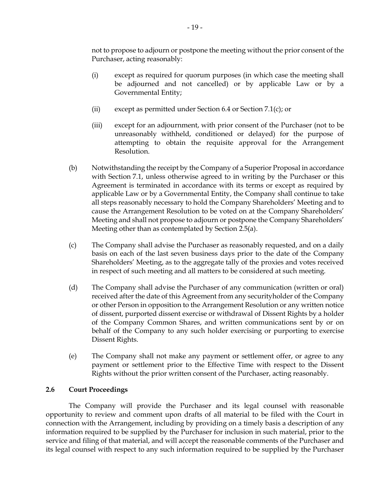not to propose to adjourn or postpone the meeting without the prior consent of the Purchaser, acting reasonably:

- (i) except as required for quorum purposes (in which case the meeting shall be adjourned and not cancelled) or by applicable Law or by a Governmental Entity;
- (ii) except as permitted under Section [6.4](#page-47-0) or Section [7.1\(c\);](#page-52-0) or
- (iii) except for an adjournment, with prior consent of the Purchaser (not to be unreasonably withheld, conditioned or delayed) for the purpose of attempting to obtain the requisite approval for the Arrangement Resolution.
- (b) Notwithstanding the receipt by the Company of a Superior Proposal in accordance with Section [7.1,](#page-49-0) unless otherwise agreed to in writing by the Purchaser or this Agreement is terminated in accordance with its terms or except as required by applicable Law or by a Governmental Entity, the Company shall continue to take all steps reasonably necessary to hold the Company Shareholders' Meeting and to cause the Arrangement Resolution to be voted on at the Company Shareholders' Meeting and shall not propose to adjourn or postpone the Company Shareholders' Meeting other than as contemplated by Section [2.5\(a\).](#page-21-0)
- (c) The Company shall advise the Purchaser as reasonably requested, and on a daily basis on each of the last seven business days prior to the date of the Company Shareholders' Meeting, as to the aggregate tally of the proxies and votes received in respect of such meeting and all matters to be considered at such meeting.
- (d) The Company shall advise the Purchaser of any communication (written or oral) received after the date of this Agreement from any securityholder of the Company or other Person in opposition to the Arrangement Resolution or any written notice of dissent, purported dissent exercise or withdrawal of Dissent Rights by a holder of the Company Common Shares, and written communications sent by or on behalf of the Company to any such holder exercising or purporting to exercise Dissent Rights.
- (e) The Company shall not make any payment or settlement offer, or agree to any payment or settlement prior to the Effective Time with respect to the Dissent Rights without the prior written consent of the Purchaser, acting reasonably.

# **2.6 Court Proceedings**

The Company will provide the Purchaser and its legal counsel with reasonable opportunity to review and comment upon drafts of all material to be filed with the Court in connection with the Arrangement, including by providing on a timely basis a description of any information required to be supplied by the Purchaser for inclusion in such material, prior to the service and filing of that material, and will accept the reasonable comments of the Purchaser and its legal counsel with respect to any such information required to be supplied by the Purchaser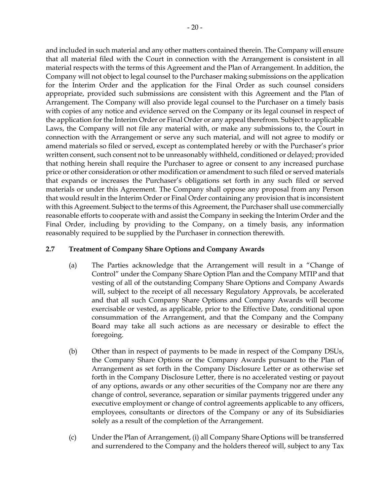and included in such material and any other matters contained therein. The Company will ensure that all material filed with the Court in connection with the Arrangement is consistent in all material respects with the terms of this Agreement and the Plan of Arrangement. In addition, the Company will not object to legal counsel to the Purchaser making submissions on the application for the Interim Order and the application for the Final Order as such counsel considers appropriate, provided such submissions are consistent with this Agreement and the Plan of Arrangement. The Company will also provide legal counsel to the Purchaser on a timely basis with copies of any notice and evidence served on the Company or its legal counsel in respect of the application for the Interim Order or Final Order or any appeal therefrom. Subject to applicable Laws, the Company will not file any material with, or make any submissions to, the Court in connection with the Arrangement or serve any such material, and will not agree to modify or amend materials so filed or served, except as contemplated hereby or with the Purchaser's prior written consent, such consent not to be unreasonably withheld, conditioned or delayed; provided that nothing herein shall require the Purchaser to agree or consent to any increased purchase price or other consideration or other modification or amendment to such filed or served materials that expands or increases the Purchaser's obligations set forth in any such filed or served materials or under this Agreement. The Company shall oppose any proposal from any Person that would result in the Interim Order or Final Order containing any provision that is inconsistent with this Agreement. Subject to the terms of this Agreement, the Purchaser shall use commercially reasonable efforts to cooperate with and assist the Company in seeking the Interim Order and the Final Order, including by providing to the Company, on a timely basis, any information reasonably required to be supplied by the Purchaser in connection therewith.

## <span id="page-23-0"></span>**2.7 Treatment of Company Share Options and Company Awards**

- (a) The Parties acknowledge that the Arrangement will result in a "Change of Control" under the Company Share Option Plan and the Company MTIP and that vesting of all of the outstanding Company Share Options and Company Awards will, subject to the receipt of all necessary Regulatory Approvals, be accelerated and that all such Company Share Options and Company Awards will become exercisable or vested, as applicable, prior to the Effective Date, conditional upon consummation of the Arrangement, and that the Company and the Company Board may take all such actions as are necessary or desirable to effect the foregoing.
- (b) Other than in respect of payments to be made in respect of the Company DSUs, the Company Share Options or the Company Awards pursuant to the Plan of Arrangement as set forth in the Company Disclosure Letter or as otherwise set forth in the Company Disclosure Letter, there is no accelerated vesting or payout of any options, awards or any other securities of the Company nor are there any change of control, severance, separation or similar payments triggered under any executive employment or change of control agreements applicable to any officers, employees, consultants or directors of the Company or any of its Subsidiaries solely as a result of the completion of the Arrangement.
- (c) Under the Plan of Arrangement, (i) all Company Share Options will be transferred and surrendered to the Company and the holders thereof will, subject to any Tax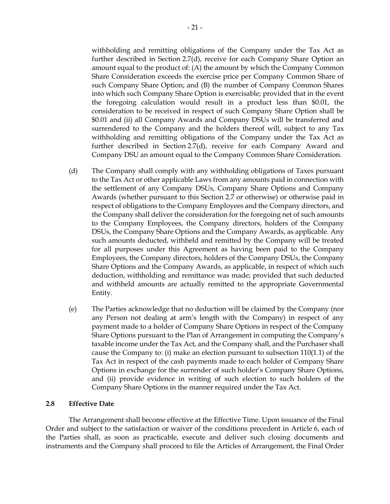withholding and remitting obligations of the Company under the Tax Act as further described in Section [2.7](#page-23-0)[\(d\),](#page-24-1) receive for each Company Share Option an amount equal to the product of: (A) the amount by which the Company Common Share Consideration exceeds the exercise price per Company Common Share of such Company Share Option; and (B) the number of Company Common Shares into which such Company Share Option is exercisable; provided that in the event the foregoing calculation would result in a product less than \$0.01, the consideration to be received in respect of such Company Share Option shall be \$0.01 and (ii) all Company Awards and Company DSUs will be transferred and surrendered to the Company and the holders thereof will, subject to any Tax withholding and remitting obligations of the Company under the Tax Act as further described in Section [2.7](#page-23-0)[\(d\),](#page-24-1) receive for each Company Award and Company DSU an amount equal to the Company Common Share Consideration.

- <span id="page-24-1"></span>(d) The Company shall comply with any withholding obligations of Taxes pursuant to the Tax Act or other applicable Laws from any amounts paid in connection with the settlement of any Company DSUs, Company Share Options and Company Awards (whether pursuant to this Section [2.7](#page-23-0) or otherwise) or otherwise paid in respect of obligations to the Company Employees and the Company directors, and the Company shall deliver the consideration for the foregoing net of such amounts to the Company Employees, the Company directors, holders of the Company DSUs, the Company Share Options and the Company Awards, as applicable. Any such amounts deducted, withheld and remitted by the Company will be treated for all purposes under this Agreement as having been paid to the Company Employees, the Company directors, holders of the Company DSUs, the Company Share Options and the Company Awards, as applicable, in respect of which such deduction, withholding and remittance was made; provided that such deducted and withheld amounts are actually remitted to the appropriate Governmental Entity.
- (e) The Parties acknowledge that no deduction will be claimed by the Company (nor any Person not dealing at arm's length with the Company) in respect of any payment made to a holder of Company Share Options in respect of the Company Share Options pursuant to the Plan of Arrangement in computing the Company's taxable income under the Tax Act, and the Company shall, and the Purchaser shall cause the Company to: (i) make an election pursuant to subsection 110(1.1) of the Tax Act in respect of the cash payments made to each holder of Company Share Options in exchange for the surrender of such holder's Company Share Options, and (ii) provide evidence in writing of such election to such holders of the Company Share Options in the manner required under the Tax Act.

# <span id="page-24-0"></span>**2.8 Effective Date**

The Arrangement shall become effective at the Effective Time. Upon issuance of the Final Order and subject to the satisfaction or waiver of the conditions precedent in [Article](#page-44-0) 6, each of the Parties shall, as soon as practicable, execute and deliver such closing documents and instruments and the Company shall proceed to file the Articles of Arrangement, the Final Order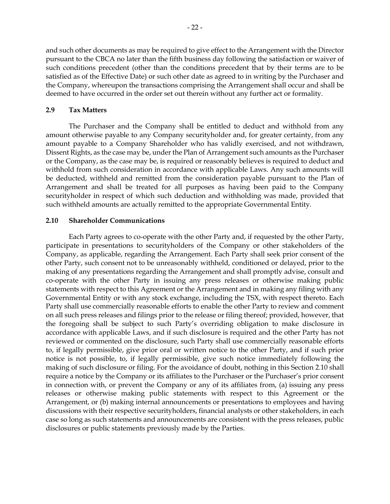and such other documents as may be required to give effect to the Arrangement with the Director pursuant to the CBCA no later than the fifth business day following the satisfaction or waiver of such conditions precedent (other than the conditions precedent that by their terms are to be satisfied as of the Effective Date) or such other date as agreed to in writing by the Purchaser and the Company, whereupon the transactions comprising the Arrangement shall occur and shall be deemed to have occurred in the order set out therein without any further act or formality.

#### **2.9 Tax Matters**

The Purchaser and the Company shall be entitled to deduct and withhold from any amount otherwise payable to any Company securityholder and, for greater certainty, from any amount payable to a Company Shareholder who has validly exercised, and not withdrawn, Dissent Rights, as the case may be, under the Plan of Arrangement such amounts as the Purchaser or the Company, as the case may be, is required or reasonably believes is required to deduct and withhold from such consideration in accordance with applicable Laws. Any such amounts will be deducted, withheld and remitted from the consideration payable pursuant to the Plan of Arrangement and shall be treated for all purposes as having been paid to the Company securityholder in respect of which such deduction and withholding was made, provided that such withheld amounts are actually remitted to the appropriate Governmental Entity.

#### <span id="page-25-0"></span>**2.10 Shareholder Communications**

Each Party agrees to co-operate with the other Party and, if requested by the other Party, participate in presentations to securityholders of the Company or other stakeholders of the Company, as applicable, regarding the Arrangement. Each Party shall seek prior consent of the other Party, such consent not to be unreasonably withheld, conditioned or delayed, prior to the making of any presentations regarding the Arrangement and shall promptly advise, consult and co-operate with the other Party in issuing any press releases or otherwise making public statements with respect to this Agreement or the Arrangement and in making any filing with any Governmental Entity or with any stock exchange, including the TSX, with respect thereto. Each Party shall use commercially reasonable efforts to enable the other Party to review and comment on all such press releases and filings prior to the release or filing thereof; provided, however, that the foregoing shall be subject to such Party's overriding obligation to make disclosure in accordance with applicable Laws, and if such disclosure is required and the other Party has not reviewed or commented on the disclosure, such Party shall use commercially reasonable efforts to, if legally permissible, give prior oral or written notice to the other Party, and if such prior notice is not possible, to, if legally permissible, give such notice immediately following the making of such disclosure or filing. For the avoidance of doubt, nothing in this Section [2.10](#page-25-0) shall require a notice by the Company or its affiliates to the Purchaser or the Purchaser's prior consent in connection with, or prevent the Company or any of its affiliates from, (a) issuing any press releases or otherwise making public statements with respect to this Agreement or the Arrangement, or (b) making internal announcements or presentations to employees and having discussions with their respective securityholders, financial analysts or other stakeholders, in each case so long as such statements and announcements are consistent with the press releases, public disclosures or public statements previously made by the Parties.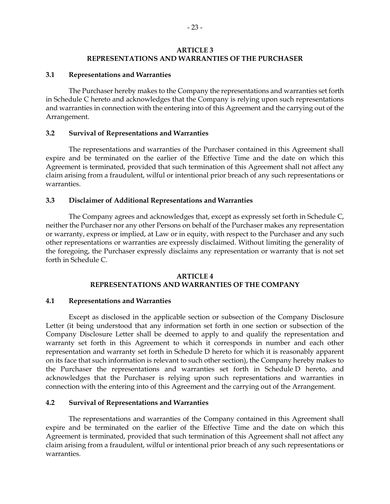### **ARTICLE 3 REPRESENTATIONS AND WARRANTIES OF THE PURCHASER**

#### **3.1 Representations and Warranties**

The Purchaser hereby makes to the Company the representations and warranties set forth in Schedule [C](#page-77-1) hereto and acknowledges that the Company is relying upon such representations and warranties in connection with the entering into of this Agreement and the carrying out of the Arrangement.

#### **3.2 Survival of Representations and Warranties**

The representations and warranties of the Purchaser contained in this Agreement shall expire and be terminated on the earlier of the Effective Time and the date on which this Agreement is terminated, provided that such termination of this Agreement shall not affect any claim arising from a fraudulent, wilful or intentional prior breach of any such representations or warranties.

## **3.3 Disclaimer of Additional Representations and Warranties**

The Company agrees and acknowledges that, except as expressly set forth in Schedule [C,](#page-77-1) neither the Purchaser nor any other Persons on behalf of the Purchaser makes any representation or warranty, express or implied, at Law or in equity, with respect to the Purchaser and any such other representations or warranties are expressly disclaimed. Without limiting the generality of the foregoing, the Purchaser expressly disclaims any representation or warranty that is not set forth in Schedule [C.](#page-77-1)

## **ARTICLE 4 REPRESENTATIONS AND WARRANTIES OF THE COMPANY**

#### **4.1 Representations and Warranties**

Except as disclosed in the applicable section or subsection of the Company Disclosure Letter (it being understood that any information set forth in one section or subsection of the Company Disclosure Letter shall be deemed to apply to and qualify the representation and warranty set forth in this Agreement to which it corresponds in number and each other representation and warranty set forth in Schedule [D](#page-81-1) hereto for which it is reasonably apparent on its face that such information is relevant to such other section), the Company hereby makes to the Purchaser the representations and warranties set forth in Schedule [D](#page-81-1) hereto, and acknowledges that the Purchaser is relying upon such representations and warranties in connection with the entering into of this Agreement and the carrying out of the Arrangement.

# **4.2 Survival of Representations and Warranties**

The representations and warranties of the Company contained in this Agreement shall expire and be terminated on the earlier of the Effective Time and the date on which this Agreement is terminated, provided that such termination of this Agreement shall not affect any claim arising from a fraudulent, wilful or intentional prior breach of any such representations or warranties.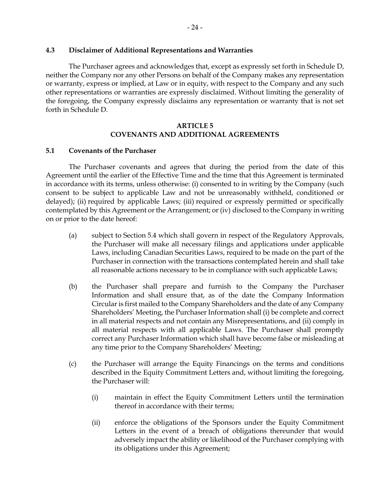#### **4.3 Disclaimer of Additional Representations and Warranties**

The Purchaser agrees and acknowledges that, except as expressly set forth in Schedule [D,](#page-81-1) neither the Company nor any other Persons on behalf of the Company makes any representation or warranty, express or implied, at Law or in equity, with respect to the Company and any such other representations or warranties are expressly disclaimed. Without limiting the generality of the foregoing, the Company expressly disclaims any representation or warranty that is not set forth in Schedule [D.](#page-81-1)

## **ARTICLE 5 COVENANTS AND ADDITIONAL AGREEMENTS**

#### <span id="page-27-0"></span>**5.1 Covenants of the Purchaser**

The Purchaser covenants and agrees that during the period from the date of this Agreement until the earlier of the Effective Time and the time that this Agreement is terminated in accordance with its terms, unless otherwise: (i) consented to in writing by the Company (such consent to be subject to applicable Law and not be unreasonably withheld, conditioned or delayed); (ii) required by applicable Laws; (iii) required or expressly permitted or specifically contemplated by this Agreement or the Arrangement; or (iv) disclosed to the Company in writing on or prior to the date hereof:

- (a) subject to Section [5.4](#page-34-0) which shall govern in respect of the Regulatory Approvals, the Purchaser will make all necessary filings and applications under applicable Laws, including Canadian Securities Laws, required to be made on the part of the Purchaser in connection with the transactions contemplated herein and shall take all reasonable actions necessary to be in compliance with such applicable Laws;
- (b) the Purchaser shall prepare and furnish to the Company the Purchaser Information and shall ensure that, as of the date the Company Information Circular is first mailed to the Company Shareholders and the date of any Company Shareholders' Meeting, the Purchaser Information shall (i) be complete and correct in all material respects and not contain any Misrepresentations, and (ii) comply in all material respects with all applicable Laws. The Purchaser shall promptly correct any Purchaser Information which shall have become false or misleading at any time prior to the Company Shareholders' Meeting;
- (c) the Purchaser will arrange the Equity Financings on the terms and conditions described in the Equity Commitment Letters and, without limiting the foregoing, the Purchaser will:
	- (i) maintain in effect the Equity Commitment Letters until the termination thereof in accordance with their terms;
	- (ii) enforce the obligations of the Sponsors under the Equity Commitment Letters in the event of a breach of obligations thereunder that would adversely impact the ability or likelihood of the Purchaser complying with its obligations under this Agreement;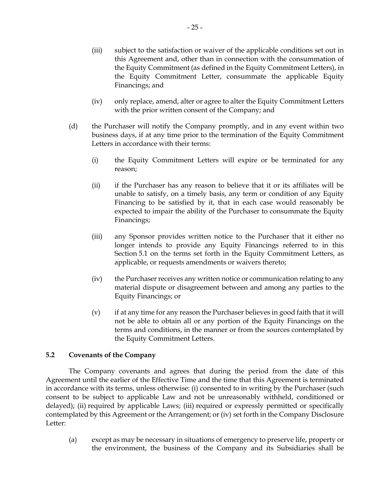- (iii) subject to the satisfaction or waiver of the applicable conditions set out in this Agreement and, other than in connection with the consummation of the Equity Commitment (as defined in the Equity Commitment Letters), in the Equity Commitment Letter, consummate the applicable Equity Financings; and
- (iv) only replace, amend, alter or agree to alter the Equity Commitment Letters with the prior written consent of the Company; and
- (d) the Purchaser will notify the Company promptly, and in any event within two business days, if at any time prior to the termination of the Equity Commitment Letters in accordance with their terms:
	- (i) the Equity Commitment Letters will expire or be terminated for any reason;
	- (ii) if the Purchaser has any reason to believe that it or its affiliates will be unable to satisfy, on a timely basis, any term or condition of any Equity Financing to be satisfied by it, that in each case would reasonably be expected to impair the ability of the Purchaser to consummate the Equity Financings;
	- (iii) any Sponsor provides written notice to the Purchaser that it either no longer intends to provide any Equity Financings referred to in this Section [5.1](#page-27-0) on the terms set forth in the Equity Commitment Letters, as applicable, or requests amendments or waivers thereto;
	- (iv) the Purchaser receives any written notice or communication relating to any material dispute or disagreement between and among any parties to the Equity Financings; or
	- (v) if at any time for any reason the Purchaser believes in good faith that it will not be able to obtain all or any portion of the Equity Financings on the terms and conditions, in the manner or from the sources contemplated by the Equity Commitment Letters.

# <span id="page-28-0"></span>**5.2 Covenants of the Company**

The Company covenants and agrees that during the period from the date of this Agreement until the earlier of the Effective Time and the time that this Agreement is terminated in accordance with its terms, unless otherwise: (i) consented to in writing by the Purchaser (such consent to be subject to applicable Law and not be unreasonably withheld, conditioned or delayed); (ii) required by applicable Laws; (iii) required or expressly permitted or specifically contemplated by this Agreement or the Arrangement; or (iv) set forth in the Company Disclosure Letter:

(a) except as may be necessary in situations of emergency to preserve life, property or the environment, the business of the Company and its Subsidiaries shall be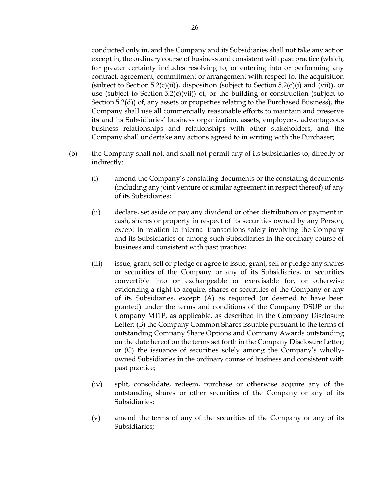conducted only in, and the Company and its Subsidiaries shall not take any action except in, the ordinary course of business and consistent with past practice (which, for greater certainty includes resolving to, or entering into or performing any contract, agreement, commitment or arrangement with respect to, the acquisition (subject to Section [5.2\(c\)\(ii\)\)](#page-30-0), disposition (subject to Section [5.2\(c\)\(i\)](#page-30-1) and [\(vii\)\)](#page-31-0), or use (subject to Section [5.2\(c\)\(vii\)\)](#page-31-0) of, or the building or construction (subject to Section [5.2\(d\)\)](#page-31-1) of, any assets or properties relating to the Purchased Business), the Company shall use all commercially reasonable efforts to maintain and preserve its and its Subsidiaries' business organization, assets, employees, advantageous business relationships and relationships with other stakeholders, and the Company shall undertake any actions agreed to in writing with the Purchaser;

- (b) the Company shall not, and shall not permit any of its Subsidiaries to, directly or indirectly:
	- (i) amend the Company's constating documents or the constating documents (including any joint venture or similar agreement in respect thereof) of any of its Subsidiaries;
	- (ii) declare, set aside or pay any dividend or other distribution or payment in cash, shares or property in respect of its securities owned by any Person, except in relation to internal transactions solely involving the Company and its Subsidiaries or among such Subsidiaries in the ordinary course of business and consistent with past practice;
	- (iii) issue, grant, sell or pledge or agree to issue, grant, sell or pledge any shares or securities of the Company or any of its Subsidiaries, or securities convertible into or exchangeable or exercisable for, or otherwise evidencing a right to acquire, shares or securities of the Company or any of its Subsidiaries, except: (A) as required (or deemed to have been granted) under the terms and conditions of the Company DSUP or the Company MTIP, as applicable, as described in the Company Disclosure Letter; (B) the Company Common Shares issuable pursuant to the terms of outstanding Company Share Options and Company Awards outstanding on the date hereof on the terms set forth in the Company Disclosure Letter; or (C) the issuance of securities solely among the Company's whollyowned Subsidiaries in the ordinary course of business and consistent with past practice;
	- (iv) split, consolidate, redeem, purchase or otherwise acquire any of the outstanding shares or other securities of the Company or any of its Subsidiaries;
	- (v) amend the terms of any of the securities of the Company or any of its Subsidiaries;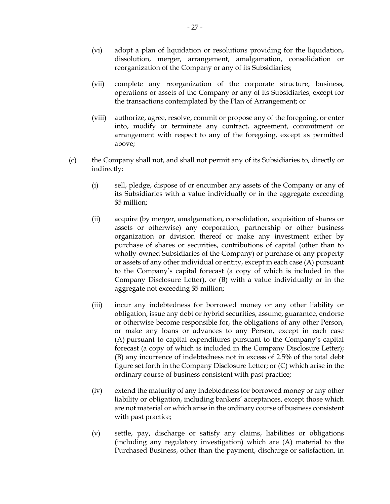- (vi) adopt a plan of liquidation or resolutions providing for the liquidation, dissolution, merger, arrangement, amalgamation, consolidation or reorganization of the Company or any of its Subsidiaries;
- (vii) complete any reorganization of the corporate structure, business, operations or assets of the Company or any of its Subsidiaries, except for the transactions contemplated by the Plan of Arrangement; or
- (viii) authorize, agree, resolve, commit or propose any of the foregoing, or enter into, modify or terminate any contract, agreement, commitment or arrangement with respect to any of the foregoing, except as permitted above;
- <span id="page-30-1"></span><span id="page-30-0"></span>(c) the Company shall not, and shall not permit any of its Subsidiaries to, directly or indirectly:
	- (i) sell, pledge, dispose of or encumber any assets of the Company or any of its Subsidiaries with a value individually or in the aggregate exceeding \$5 million;
	- (ii) acquire (by merger, amalgamation, consolidation, acquisition of shares or assets or otherwise) any corporation, partnership or other business organization or division thereof or make any investment either by purchase of shares or securities, contributions of capital (other than to wholly-owned Subsidiaries of the Company) or purchase of any property or assets of any other individual or entity, except in each case (A) pursuant to the Company's capital forecast (a copy of which is included in the Company Disclosure Letter), or (B) with a value individually or in the aggregate not exceeding \$5 million;
	- (iii) incur any indebtedness for borrowed money or any other liability or obligation, issue any debt or hybrid securities, assume, guarantee, endorse or otherwise become responsible for, the obligations of any other Person, or make any loans or advances to any Person, except in each case (A) pursuant to capital expenditures pursuant to the Company's capital forecast (a copy of which is included in the Company Disclosure Letter); (B) any incurrence of indebtedness not in excess of 2.5**%** of the total debt figure set forth in the Company Disclosure Letter; or (C) which arise in the ordinary course of business consistent with past practice;
	- (iv) extend the maturity of any indebtedness for borrowed money or any other liability or obligation, including bankers' acceptances, except those which are not material or which arise in the ordinary course of business consistent with past practice;
	- (v) settle, pay, discharge or satisfy any claims, liabilities or obligations (including any regulatory investigation) which are (A) material to the Purchased Business, other than the payment, discharge or satisfaction, in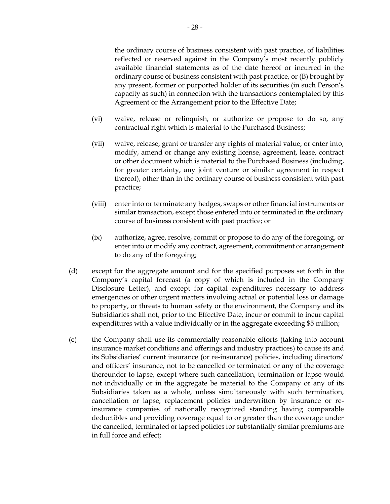the ordinary course of business consistent with past practice, of liabilities reflected or reserved against in the Company's most recently publicly available financial statements as of the date hereof or incurred in the ordinary course of business consistent with past practice, or (B) brought by any present, former or purported holder of its securities (in such Person's capacity as such) in connection with the transactions contemplated by this Agreement or the Arrangement prior to the Effective Date;

- (vi) waive, release or relinquish, or authorize or propose to do so, any contractual right which is material to the Purchased Business;
- <span id="page-31-0"></span>(vii) waive, release, grant or transfer any rights of material value, or enter into, modify, amend or change any existing license, agreement, lease, contract or other document which is material to the Purchased Business (including, for greater certainty, any joint venture or similar agreement in respect thereof), other than in the ordinary course of business consistent with past practice;
- (viii) enter into or terminate any hedges, swaps or other financial instruments or similar transaction, except those entered into or terminated in the ordinary course of business consistent with past practice; or
- (ix) authorize, agree, resolve, commit or propose to do any of the foregoing, or enter into or modify any contract, agreement, commitment or arrangement to do any of the foregoing;
- <span id="page-31-1"></span>(d) except for the aggregate amount and for the specified purposes set forth in the Company's capital forecast (a copy of which is included in the Company Disclosure Letter), and except for capital expenditures necessary to address emergencies or other urgent matters involving actual or potential loss or damage to property, or threats to human safety or the environment, the Company and its Subsidiaries shall not, prior to the Effective Date, incur or commit to incur capital expenditures with a value individually or in the aggregate exceeding \$5 million;
- (e) the Company shall use its commercially reasonable efforts (taking into account insurance market conditions and offerings and industry practices) to cause its and its Subsidiaries' current insurance (or re-insurance) policies, including directors' and officers' insurance, not to be cancelled or terminated or any of the coverage thereunder to lapse, except where such cancellation, termination or lapse would not individually or in the aggregate be material to the Company or any of its Subsidiaries taken as a whole, unless simultaneously with such termination, cancellation or lapse, replacement policies underwritten by insurance or reinsurance companies of nationally recognized standing having comparable deductibles and providing coverage equal to or greater than the coverage under the cancelled, terminated or lapsed policies for substantially similar premiums are in full force and effect;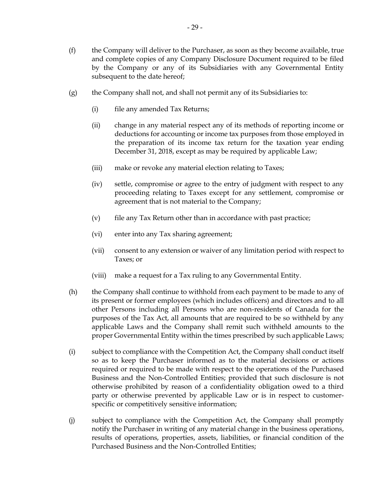- (f) the Company will deliver to the Purchaser, as soon as they become available, true and complete copies of any Company Disclosure Document required to be filed by the Company or any of its Subsidiaries with any Governmental Entity subsequent to the date hereof;
- $(g)$  the Company shall not, and shall not permit any of its Subsidiaries to:
	- (i) file any amended Tax Returns;
	- (ii) change in any material respect any of its methods of reporting income or deductions for accounting or income tax purposes from those employed in the preparation of its income tax return for the taxation year ending December 31, 2018, except as may be required by applicable Law;
	- (iii) make or revoke any material election relating to Taxes;
	- (iv) settle, compromise or agree to the entry of judgment with respect to any proceeding relating to Taxes except for any settlement, compromise or agreement that is not material to the Company;
	- (v) file any Tax Return other than in accordance with past practice;
	- (vi) enter into any Tax sharing agreement;
	- (vii) consent to any extension or waiver of any limitation period with respect to Taxes; or
	- (viii) make a request for a Tax ruling to any Governmental Entity.
- (h) the Company shall continue to withhold from each payment to be made to any of its present or former employees (which includes officers) and directors and to all other Persons including all Persons who are non-residents of Canada for the purposes of the Tax Act, all amounts that are required to be so withheld by any applicable Laws and the Company shall remit such withheld amounts to the proper Governmental Entity within the times prescribed by such applicable Laws;
- (i) subject to compliance with the Competition Act, the Company shall conduct itself so as to keep the Purchaser informed as to the material decisions or actions required or required to be made with respect to the operations of the Purchased Business and the Non-Controlled Entities; provided that such disclosure is not otherwise prohibited by reason of a confidentiality obligation owed to a third party or otherwise prevented by applicable Law or is in respect to customerspecific or competitively sensitive information;
- (j) subject to compliance with the Competition Act, the Company shall promptly notify the Purchaser in writing of any material change in the business operations, results of operations, properties, assets, liabilities, or financial condition of the Purchased Business and the Non-Controlled Entities;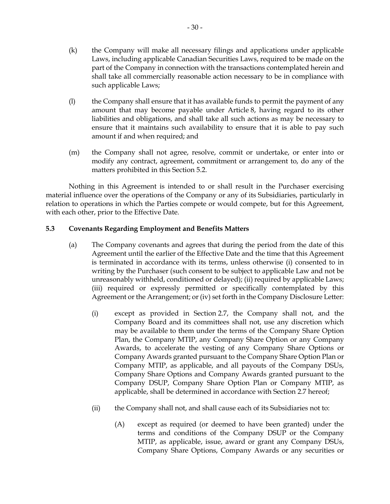- (k) the Company will make all necessary filings and applications under applicable Laws, including applicable Canadian Securities Laws, required to be made on the part of the Company in connection with the transactions contemplated herein and shall take all commercially reasonable action necessary to be in compliance with such applicable Laws;
- (l) the Company shall ensure that it has available funds to permit the payment of any amount that may become payable under [Article](#page-53-0) 8, having regard to its other liabilities and obligations, and shall take all such actions as may be necessary to ensure that it maintains such availability to ensure that it is able to pay such amount if and when required; and
- (m) the Company shall not agree, resolve, commit or undertake, or enter into or modify any contract, agreement, commitment or arrangement to, do any of the matters prohibited in this Section [5.2.](#page-28-0)

Nothing in this Agreement is intended to or shall result in the Purchaser exercising material influence over the operations of the Company or any of its Subsidiaries, particularly in relation to operations in which the Parties compete or would compete, but for this Agreement, with each other, prior to the Effective Date.

# **5.3 Covenants Regarding Employment and Benefits Matters**

- (a) The Company covenants and agrees that during the period from the date of this Agreement until the earlier of the Effective Date and the time that this Agreement is terminated in accordance with its terms, unless otherwise (i) consented to in writing by the Purchaser (such consent to be subject to applicable Law and not be unreasonably withheld, conditioned or delayed); (ii) required by applicable Laws; (iii) required or expressly permitted or specifically contemplated by this Agreement or the Arrangement; or (iv) set forth in the Company Disclosure Letter:
	- (i) except as provided in Section [2.7,](#page-23-0) the Company shall not, and the Company Board and its committees shall not, use any discretion which may be available to them under the terms of the Company Share Option Plan, the Company MTIP, any Company Share Option or any Company Awards, to accelerate the vesting of any Company Share Options or Company Awards granted pursuant to the Company Share Option Plan or Company MTIP, as applicable, and all payouts of the Company DSUs, Company Share Options and Company Awards granted pursuant to the Company DSUP, Company Share Option Plan or Company MTIP, as applicable, shall be determined in accordance with Section [2.7](#page-23-0) hereof;
	- (ii) the Company shall not, and shall cause each of its Subsidiaries not to:
		- (A) except as required (or deemed to have been granted) under the terms and conditions of the Company DSUP or the Company MTIP, as applicable, issue, award or grant any Company DSUs, Company Share Options, Company Awards or any securities or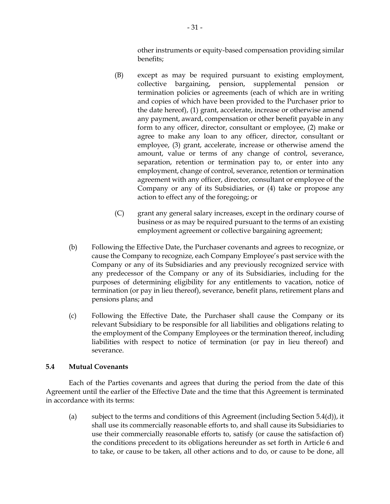other instruments or equity-based compensation providing similar benefits;

- (B) except as may be required pursuant to existing employment, collective bargaining, pension, supplemental pension or termination policies or agreements (each of which are in writing and copies of which have been provided to the Purchaser prior to the date hereof), (1) grant, accelerate, increase or otherwise amend any payment, award, compensation or other benefit payable in any form to any officer, director, consultant or employee, (2) make or agree to make any loan to any officer, director, consultant or employee, (3) grant, accelerate, increase or otherwise amend the amount, value or terms of any change of control, severance, separation, retention or termination pay to, or enter into any employment, change of control, severance, retention or termination agreement with any officer, director, consultant or employee of the Company or any of its Subsidiaries, or (4) take or propose any action to effect any of the foregoing; or
- (C) grant any general salary increases, except in the ordinary course of business or as may be required pursuant to the terms of an existing employment agreement or collective bargaining agreement;
- (b) Following the Effective Date, the Purchaser covenants and agrees to recognize, or cause the Company to recognize, each Company Employee's past service with the Company or any of its Subsidiaries and any previously recognized service with any predecessor of the Company or any of its Subsidiaries, including for the purposes of determining eligibility for any entitlements to vacation, notice of termination (or pay in lieu thereof), severance, benefit plans, retirement plans and pensions plans; and
- (c) Following the Effective Date, the Purchaser shall cause the Company or its relevant Subsidiary to be responsible for all liabilities and obligations relating to the employment of the Company Employees or the termination thereof, including liabilities with respect to notice of termination (or pay in lieu thereof) and severance.

# <span id="page-34-0"></span>**5.4 Mutual Covenants**

Each of the Parties covenants and agrees that during the period from the date of this Agreement until the earlier of the Effective Date and the time that this Agreement is terminated in accordance with its terms:

(a) subject to the terms and conditions of this Agreement (including Section [5.4](#page-34-0)[\(d\)\)](#page-37-0), it shall use its commercially reasonable efforts to, and shall cause its Subsidiaries to use their commercially reasonable efforts to, satisfy (or cause the satisfaction of) the conditions precedent to its obligations hereunder as set forth in [Article](#page-44-0) 6 and to take, or cause to be taken, all other actions and to do, or cause to be done, all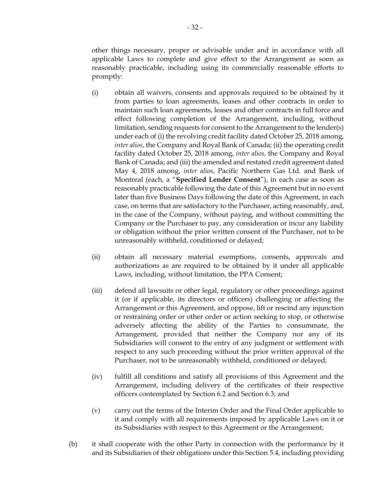other things necessary, proper or advisable under and in accordance with all applicable Laws to complete and give effect to the Arrangement as soon as reasonably practicable, including using its commercially reasonable efforts to promptly:

- <span id="page-35-0"></span>(i) obtain all waivers, consents and approvals required to be obtained by it from parties to loan agreements, leases and other contracts in order to maintain such loan agreements, leases and other contracts in full force and effect following completion of the Arrangement, including, without limitation, sending requests for consent to the Arrangement to the lender(s) under each of (i) the revolving credit facility dated October 25, 2018 among, *inter alios*, the Company and Royal Bank of Canada; (ii) the operating credit facility dated October 25, 2018 among, *inter alios*, the Company and Royal Bank of Canada; and (iii) the amended and restated credit agreement dated May 4, 2018 among, *inter alios*, Pacific Northern Gas Ltd. and Bank of Montreal (each, a "**Specified Lender Consent**"), in each case as soon as reasonably practicable following the date of this Agreement but in no event later than five Business Days following the date of this Agreement, in each case, on terms that are satisfactory to the Purchaser, acting reasonably, and, in the case of the Company, without paying, and without committing the Company or the Purchaser to pay, any consideration or incur any liability or obligation without the prior written consent of the Purchaser, not to be unreasonably withheld, conditioned or delayed;
- (ii) obtain all necessary material exemptions, consents, approvals and authorizations as are required to be obtained by it under all applicable Laws, including, without limitation, the PPA Consent;
- (iii) defend all lawsuits or other legal, regulatory or other proceedings against it (or if applicable, its directors or officers) challenging or affecting the Arrangement or this Agreement, and oppose, lift or rescind any injunction or restraining order or other order or action seeking to stop, or otherwise adversely affecting the ability of the Parties to consummate, the Arrangement, provided that neither the Company nor any of its Subsidiaries will consent to the entry of any judgment or settlement with respect to any such proceeding without the prior written approval of the Purchaser, not to be unreasonably withheld, conditioned or delayed;
- (iv) fulfill all conditions and satisfy all provisions of this Agreement and the Arrangement, including delivery of the certificates of their respective officers contemplated by Section [6.2](#page-45-0) and Section [6.3;](#page-47-1) and
- (v) carry out the terms of the Interim Order and the Final Order applicable to it and comply with all requirements imposed by applicable Laws on it or its Subsidiaries with respect to this Agreement or the Arrangement;
- (b) it shall cooperate with the other Party in connection with the performance by it and its Subsidiaries of their obligations under this Section [5.4,](#page-34-0) including providing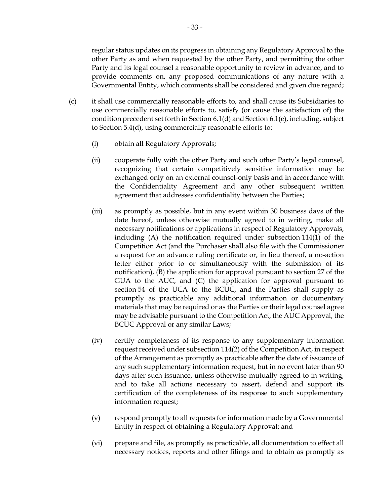regular status updates on its progress in obtaining any Regulatory Approval to the other Party as and when requested by the other Party, and permitting the other Party and its legal counsel a reasonable opportunity to review in advance, and to provide comments on, any proposed communications of any nature with a Governmental Entity, which comments shall be considered and given due regard;

- <span id="page-36-0"></span>(c) it shall use commercially reasonable efforts to, and shall cause its Subsidiaries to use commercially reasonable efforts to, satisfy (or cause the satisfaction of) the condition precedent set forth in Section [6.1\(d\)](#page-45-0) and Section [6.1\(e\),](#page-45-1) including, subject to Section [5.4](#page-34-0)[\(d\),](#page-37-0) using commercially reasonable efforts to:
	- (i) obtain all Regulatory Approvals;
	- (ii) cooperate fully with the other Party and such other Party's legal counsel, recognizing that certain competitively sensitive information may be exchanged only on an external counsel-only basis and in accordance with the Confidentiality Agreement and any other subsequent written agreement that addresses confidentiality between the Parties;
	- (iii) as promptly as possible, but in any event within 30 business days of the date hereof, unless otherwise mutually agreed to in writing, make all necessary notifications or applications in respect of Regulatory Approvals, including (A) the notification required under subsection 114(1) of the Competition Act (and the Purchaser shall also file with the Commissioner a request for an advance ruling certificate or, in lieu thereof, a no-action letter either prior to or simultaneously with the submission of its notification), (B) the application for approval pursuant to section 27 of the GUA to the AUC, and (C) the application for approval pursuant to section 54 of the UCA to the BCUC, and the Parties shall supply as promptly as practicable any additional information or documentary materials that may be required or as the Parties or their legal counsel agree may be advisable pursuant to the Competition Act, the AUC Approval, the BCUC Approval or any similar Laws;
	- (iv) certify completeness of its response to any supplementary information request received under subsection 114(2) of the Competition Act, in respect of the Arrangement as promptly as practicable after the date of issuance of any such supplementary information request, but in no event later than 90 days after such issuance, unless otherwise mutually agreed to in writing, and to take all actions necessary to assert, defend and support its certification of the completeness of its response to such supplementary information request;
	- (v) respond promptly to all requests for information made by a Governmental Entity in respect of obtaining a Regulatory Approval; and
	- (vi) prepare and file, as promptly as practicable, all documentation to effect all necessary notices, reports and other filings and to obtain as promptly as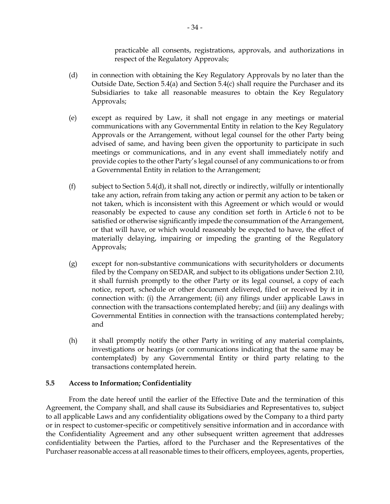practicable all consents, registrations, approvals, and authorizations in respect of the Regulatory Approvals;

- <span id="page-37-0"></span>(d) in connection with obtaining the Key Regulatory Approvals by no later than the Outside Date, Section [5.4\(a\)](#page-34-1) and Section [5.4\(c\)](#page-36-0) shall require the Purchaser and its Subsidiaries to take all reasonable measures to obtain the Key Regulatory Approvals;
- (e) except as required by Law, it shall not engage in any meetings or material communications with any Governmental Entity in relation to the Key Regulatory Approvals or the Arrangement, without legal counsel for the other Party being advised of same, and having been given the opportunity to participate in such meetings or communications, and in any event shall immediately notify and provide copies to the other Party's legal counsel of any communications to or from a Governmental Entity in relation to the Arrangement;
- (f) subject to Section [5.4](#page-34-0)[\(d\),](#page-37-0) it shall not, directly or indirectly, wilfully or intentionally take any action, refrain from taking any action or permit any action to be taken or not taken, which is inconsistent with this Agreement or which would or would reasonably be expected to cause any condition set forth in [Article](#page-44-0) 6 not to be satisfied or otherwise significantly impede the consummation of the Arrangement, or that will have, or which would reasonably be expected to have, the effect of materially delaying, impairing or impeding the granting of the Regulatory Approvals;
- (g) except for non-substantive communications with securityholders or documents filed by the Company on SEDAR, and subject to its obligations under Section [2.10,](#page-25-0) it shall furnish promptly to the other Party or its legal counsel, a copy of each notice, report, schedule or other document delivered, filed or received by it in connection with: (i) the Arrangement; (ii) any filings under applicable Laws in connection with the transactions contemplated hereby; and (iii) any dealings with Governmental Entities in connection with the transactions contemplated hereby; and
- (h) it shall promptly notify the other Party in writing of any material complaints, investigations or hearings (or communications indicating that the same may be contemplated) by any Governmental Entity or third party relating to the transactions contemplated herein.

## **5.5 Access to Information; Confidentiality**

From the date hereof until the earlier of the Effective Date and the termination of this Agreement, the Company shall, and shall cause its Subsidiaries and Representatives to, subject to all applicable Laws and any confidentiality obligations owed by the Company to a third party or in respect to customer-specific or competitively sensitive information and in accordance with the Confidentiality Agreement and any other subsequent written agreement that addresses confidentiality between the Parties, afford to the Purchaser and the Representatives of the Purchaser reasonable access at all reasonable times to their officers, employees, agents, properties,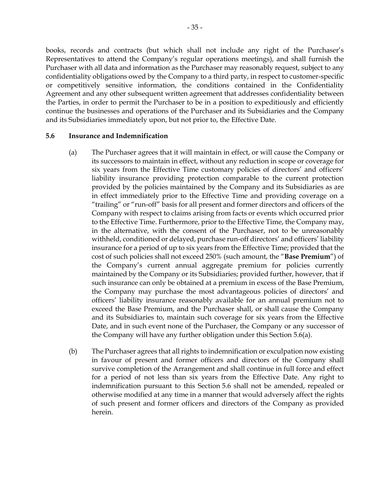books, records and contracts (but which shall not include any right of the Purchaser's Representatives to attend the Company's regular operations meetings), and shall furnish the Purchaser with all data and information as the Purchaser may reasonably request, subject to any confidentiality obligations owed by the Company to a third party, in respect to customer-specific or competitively sensitive information, the conditions contained in the Confidentiality Agreement and any other subsequent written agreement that addresses confidentiality between the Parties, in order to permit the Purchaser to be in a position to expeditiously and efficiently continue the businesses and operations of the Purchaser and its Subsidiaries and the Company and its Subsidiaries immediately upon, but not prior to, the Effective Date.

#### <span id="page-38-0"></span>**5.6 Insurance and Indemnification**

- (a) The Purchaser agrees that it will maintain in effect, or will cause the Company or its successors to maintain in effect, without any reduction in scope or coverage for six years from the Effective Time customary policies of directors' and officers' liability insurance providing protection comparable to the current protection provided by the policies maintained by the Company and its Subsidiaries as are in effect immediately prior to the Effective Time and providing coverage on a "trailing" or "run-off" basis for all present and former directors and officers of the Company with respect to claims arising from facts or events which occurred prior to the Effective Time. Furthermore, prior to the Effective Time, the Company may, in the alternative, with the consent of the Purchaser, not to be unreasonably withheld, conditioned or delayed, purchase run-off directors' and officers' liability insurance for a period of up to six years from the Effective Time; provided that the cost of such policies shall not exceed 250% (such amount, the "**Base Premium**") of the Company's current annual aggregate premium for policies currently maintained by the Company or its Subsidiaries; provided further, however, that if such insurance can only be obtained at a premium in excess of the Base Premium, the Company may purchase the most advantageous policies of directors' and officers' liability insurance reasonably available for an annual premium not to exceed the Base Premium, and the Purchaser shall, or shall cause the Company and its Subsidiaries to, maintain such coverage for six years from the Effective Date, and in such event none of the Purchaser, the Company or any successor of the Company will have any further obligation under this Section 5.6(a).
- (b) The Purchaser agrees that all rights to indemnification or exculpation now existing in favour of present and former officers and directors of the Company shall survive completion of the Arrangement and shall continue in full force and effect for a period of not less than six years from the Effective Date. Any right to indemnification pursuant to this Section [5.6](#page-38-0) shall not be amended, repealed or otherwise modified at any time in a manner that would adversely affect the rights of such present and former officers and directors of the Company as provided herein.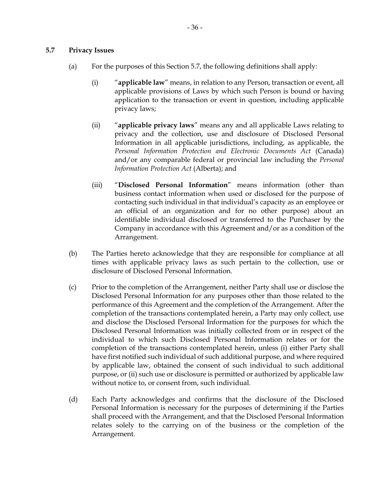### <span id="page-39-0"></span>**5.7 Privacy Issues**

- (a) For the purposes of this Section [5.7,](#page-39-0) the following definitions shall apply:
	- (i) "**applicable law**" means, in relation to any Person, transaction or event, all applicable provisions of Laws by which such Person is bound or having application to the transaction or event in question, including applicable privacy laws;
	- (ii) "**applicable privacy laws**" means any and all applicable Laws relating to privacy and the collection, use and disclosure of Disclosed Personal Information in all applicable jurisdictions, including, as applicable, the *Personal Information Protection and Electronic Documents Act* (Canada) and/or any comparable federal or provincial law including the *Personal Information Protection Act* (Alberta); and
	- (iii) "**Disclosed Personal Information**" means information (other than business contact information when used or disclosed for the purpose of contacting such individual in that individual's capacity as an employee or an official of an organization and for no other purpose) about an identifiable individual disclosed or transferred to the Purchaser by the Company in accordance with this Agreement and/or as a condition of the Arrangement.
- (b) The Parties hereto acknowledge that they are responsible for compliance at all times with applicable privacy laws as such pertain to the collection, use or disclosure of Disclosed Personal Information.
- (c) Prior to the completion of the Arrangement, neither Party shall use or disclose the Disclosed Personal Information for any purposes other than those related to the performance of this Agreement and the completion of the Arrangement. After the completion of the transactions contemplated herein, a Party may only collect, use and disclose the Disclosed Personal Information for the purposes for which the Disclosed Personal Information was initially collected from or in respect of the individual to which such Disclosed Personal Information relates or for the completion of the transactions contemplated herein, unless (i) either Party shall have first notified such individual of such additional purpose, and where required by applicable law, obtained the consent of such individual to such additional purpose, or (ii) such use or disclosure is permitted or authorized by applicable law without notice to, or consent from, such individual.
- (d) Each Party acknowledges and confirms that the disclosure of the Disclosed Personal Information is necessary for the purposes of determining if the Parties shall proceed with the Arrangement, and that the Disclosed Personal Information relates solely to the carrying on of the business or the completion of the Arrangement.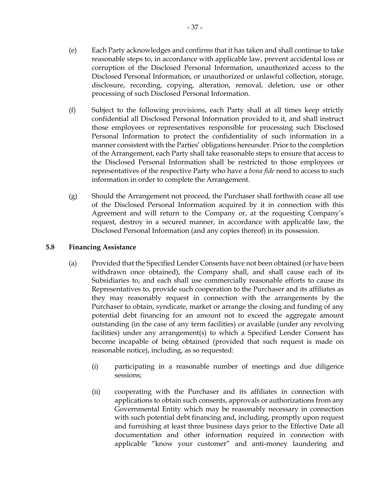- (e) Each Party acknowledges and confirms that it has taken and shall continue to take reasonable steps to, in accordance with applicable law, prevent accidental loss or corruption of the Disclosed Personal Information, unauthorized access to the Disclosed Personal Information, or unauthorized or unlawful collection, storage, disclosure, recording, copying, alteration, removal, deletion, use or other processing of such Disclosed Personal Information.
- (f) Subject to the following provisions, each Party shall at all times keep strictly confidential all Disclosed Personal Information provided to it, and shall instruct those employees or representatives responsible for processing such Disclosed Personal Information to protect the confidentiality of such information in a manner consistent with the Parties' obligations hereunder. Prior to the completion of the Arrangement, each Party shall take reasonable steps to ensure that access to the Disclosed Personal Information shall be restricted to those employees or representatives of the respective Party who have a *bona fide* need to access to such information in order to complete the Arrangement.
- (g) Should the Arrangement not proceed, the Purchaser shall forthwith cease all use of the Disclosed Personal Information acquired by it in connection with this Agreement and will return to the Company or, at the requesting Company's request, destroy in a secured manner, in accordance with applicable law, the Disclosed Personal Information (and any copies thereof) in its possession.

## **5.8 Financing Assistance**

- (a) Provided that the Specified Lender Consents have not been obtained (or have been withdrawn once obtained), the Company shall, and shall cause each of its Subsidiaries to, and each shall use commercially reasonable efforts to cause its Representatives to, provide such cooperation to the Purchaser and its affiliates as they may reasonably request in connection with the arrangements by the Purchaser to obtain, syndicate, market or arrange the closing and funding of any potential debt financing for an amount not to exceed the aggregate amount outstanding (in the case of any term facilities) or available (under any revolving facilities) under any arrangement(s) to which a Specified Lender Consent has become incapable of being obtained (provided that such request is made on reasonable notice), including, as so requested:
	- (i) participating in a reasonable number of meetings and due diligence sessions;
	- (ii) cooperating with the Purchaser and its affiliates in connection with applications to obtain such consents, approvals or authorizations from any Governmental Entity which may be reasonably necessary in connection with such potential debt financing and, including, promptly upon request and furnishing at least three business days prior to the Effective Date all documentation and other information required in connection with applicable "know your customer" and anti-money laundering and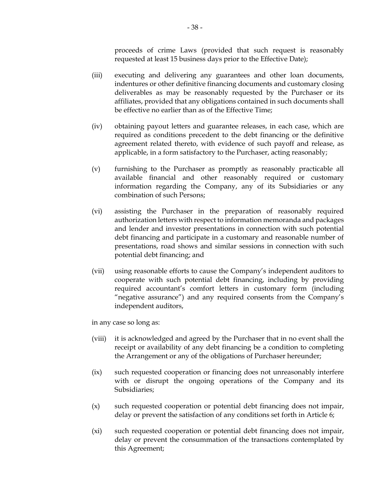proceeds of crime Laws (provided that such request is reasonably requested at least 15 business days prior to the Effective Date);

- (iii) executing and delivering any guarantees and other loan documents, indentures or other definitive financing documents and customary closing deliverables as may be reasonably requested by the Purchaser or its affiliates, provided that any obligations contained in such documents shall be effective no earlier than as of the Effective Time;
- (iv) obtaining payout letters and guarantee releases, in each case, which are required as conditions precedent to the debt financing or the definitive agreement related thereto, with evidence of such payoff and release, as applicable, in a form satisfactory to the Purchaser, acting reasonably;
- (v) furnishing to the Purchaser as promptly as reasonably practicable all available financial and other reasonably required or customary information regarding the Company, any of its Subsidiaries or any combination of such Persons;
- (vi) assisting the Purchaser in the preparation of reasonably required authorization letters with respect to information memoranda and packages and lender and investor presentations in connection with such potential debt financing and participate in a customary and reasonable number of presentations, road shows and similar sessions in connection with such potential debt financing; and
- (vii) using reasonable efforts to cause the Company's independent auditors to cooperate with such potential debt financing, including by providing required accountant's comfort letters in customary form (including "negative assurance") and any required consents from the Company's independent auditors,

in any case so long as:

- (viii) it is acknowledged and agreed by the Purchaser that in no event shall the receipt or availability of any debt financing be a condition to completing the Arrangement or any of the obligations of Purchaser hereunder;
- (ix) such requested cooperation or financing does not unreasonably interfere with or disrupt the ongoing operations of the Company and its Subsidiaries;
- (x) such requested cooperation or potential debt financing does not impair, delay or prevent the satisfaction of any conditions set forth in [Article](#page-44-1) 6;
- (xi) such requested cooperation or potential debt financing does not impair, delay or prevent the consummation of the transactions contemplated by this Agreement;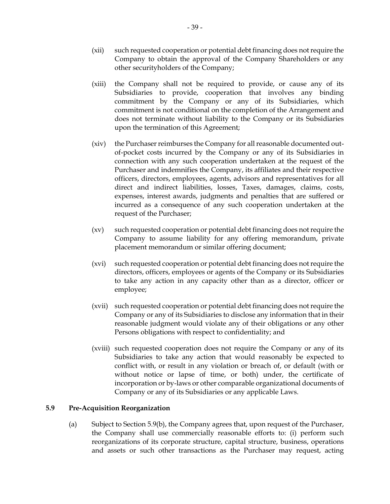- (xii) such requested cooperation or potential debt financing does not require the Company to obtain the approval of the Company Shareholders or any other securityholders of the Company;
- (xiii) the Company shall not be required to provide, or cause any of its Subsidiaries to provide, cooperation that involves any binding commitment by the Company or any of its Subsidiaries, which commitment is not conditional on the completion of the Arrangement and does not terminate without liability to the Company or its Subsidiaries upon the termination of this Agreement;
- <span id="page-42-1"></span>(xiv) the Purchaser reimburses the Company for all reasonable documented outof-pocket costs incurred by the Company or any of its Subsidiaries in connection with any such cooperation undertaken at the request of the Purchaser and indemnifies the Company, its affiliates and their respective officers, directors, employees, agents, advisors and representatives for all direct and indirect liabilities, losses, Taxes, damages, claims, costs, expenses, interest awards, judgments and penalties that are suffered or incurred as a consequence of any such cooperation undertaken at the request of the Purchaser;
- (xv) such requested cooperation or potential debt financing does not require the Company to assume liability for any offering memorandum, private placement memorandum or similar offering document;
- (xvi) such requested cooperation or potential debt financing does not require the directors, officers, employees or agents of the Company or its Subsidiaries to take any action in any capacity other than as a director, officer or employee;
- (xvii) such requested cooperation or potential debt financing does not require the Company or any of its Subsidiaries to disclose any information that in their reasonable judgment would violate any of their obligations or any other Persons obligations with respect to confidentiality; and
- (xviii) such requested cooperation does not require the Company or any of its Subsidiaries to take any action that would reasonably be expected to conflict with, or result in any violation or breach of, or default (with or without notice or lapse of time, or both) under, the certificate of incorporation or by-laws or other comparable organizational documents of Company or any of its Subsidiaries or any applicable Laws.

## <span id="page-42-0"></span>**5.9 Pre-Acquisition Reorganization**

(a) Subject to Section [5.9\(b\),](#page-43-0) the Company agrees that, upon request of the Purchaser, the Company shall use commercially reasonable efforts to: (i) perform such reorganizations of its corporate structure, capital structure, business, operations and assets or such other transactions as the Purchaser may request, acting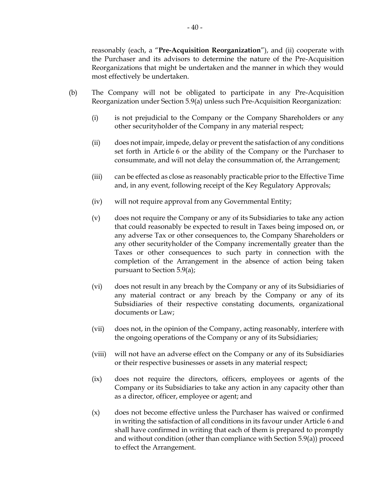reasonably (each, a "**Pre-Acquisition Reorganization**"), and (ii) cooperate with the Purchaser and its advisors to determine the nature of the Pre-Acquisition Reorganizations that might be undertaken and the manner in which they would most effectively be undertaken.

- <span id="page-43-0"></span>(b) The Company will not be obligated to participate in any Pre-Acquisition Reorganization under Section [5.9\(a\)](#page-42-0) unless such Pre-Acquisition Reorganization:
	- (i) is not prejudicial to the Company or the Company Shareholders or any other securityholder of the Company in any material respect;
	- (ii) does not impair, impede, delay or prevent the satisfaction of any conditions set forth in [Article](#page-44-1) 6 or the ability of the Company or the Purchaser to consummate, and will not delay the consummation of, the Arrangement;
	- (iii) can be effected as close as reasonably practicable prior to the Effective Time and, in any event, following receipt of the Key Regulatory Approvals;
	- (iv) will not require approval from any Governmental Entity;
	- (v) does not require the Company or any of its Subsidiaries to take any action that could reasonably be expected to result in Taxes being imposed on, or any adverse Tax or other consequences to, the Company Shareholders or any other securityholder of the Company incrementally greater than the Taxes or other consequences to such party in connection with the completion of the Arrangement in the absence of action being taken pursuant to Section [5.9\(a\);](#page-42-0)
	- (vi) does not result in any breach by the Company or any of its Subsidiaries of any material contract or any breach by the Company or any of its Subsidiaries of their respective constating documents, organizational documents or Law;
	- (vii) does not, in the opinion of the Company, acting reasonably, interfere with the ongoing operations of the Company or any of its Subsidiaries;
	- (viii) will not have an adverse effect on the Company or any of its Subsidiaries or their respective businesses or assets in any material respect;
	- (ix) does not require the directors, officers, employees or agents of the Company or its Subsidiaries to take any action in any capacity other than as a director, officer, employee or agent; and
	- (x) does not become effective unless the Purchaser has waived or confirmed in writing the satisfaction of all conditions in its favour unde[r Article](#page-44-1) 6 and shall have confirmed in writing that each of them is prepared to promptly and without condition (other than compliance with Section [5.9\(a\)\)](#page-42-0) proceed to effect the Arrangement.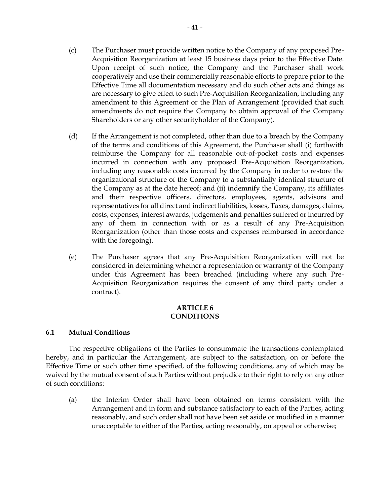- (c) The Purchaser must provide written notice to the Company of any proposed Pre-Acquisition Reorganization at least 15 business days prior to the Effective Date. Upon receipt of such notice, the Company and the Purchaser shall work cooperatively and use their commercially reasonable efforts to prepare prior to the Effective Time all documentation necessary and do such other acts and things as are necessary to give effect to such Pre-Acquisition Reorganization, including any amendment to this Agreement or the Plan of Arrangement (provided that such amendments do not require the Company to obtain approval of the Company Shareholders or any other securityholder of the Company).
- <span id="page-44-3"></span>(d) If the Arrangement is not completed, other than due to a breach by the Company of the terms and conditions of this Agreement, the Purchaser shall (i) forthwith reimburse the Company for all reasonable out-of-pocket costs and expenses incurred in connection with any proposed Pre-Acquisition Reorganization, including any reasonable costs incurred by the Company in order to restore the organizational structure of the Company to a substantially identical structure of the Company as at the date hereof; and (ii) indemnify the Company, its affiliates and their respective officers, directors, employees, agents, advisors and representatives for all direct and indirect liabilities, losses, Taxes, damages, claims, costs, expenses, interest awards, judgements and penalties suffered or incurred by any of them in connection with or as a result of any Pre-Acquisition Reorganization (other than those costs and expenses reimbursed in accordance with the foregoing).
- (e) The Purchaser agrees that any Pre-Acquisition Reorganization will not be considered in determining whether a representation or warranty of the Company under this Agreement has been breached (including where any such Pre-Acquisition Reorganization requires the consent of any third party under a contract).

### **ARTICLE 6 CONDITIONS**

## <span id="page-44-2"></span><span id="page-44-1"></span><span id="page-44-0"></span>**6.1 Mutual Conditions**

The respective obligations of the Parties to consummate the transactions contemplated hereby, and in particular the Arrangement, are subject to the satisfaction, on or before the Effective Time or such other time specified, of the following conditions, any of which may be waived by the mutual consent of such Parties without prejudice to their right to rely on any other of such conditions:

(a) the Interim Order shall have been obtained on terms consistent with the Arrangement and in form and substance satisfactory to each of the Parties, acting reasonably, and such order shall not have been set aside or modified in a manner unacceptable to either of the Parties, acting reasonably, on appeal or otherwise;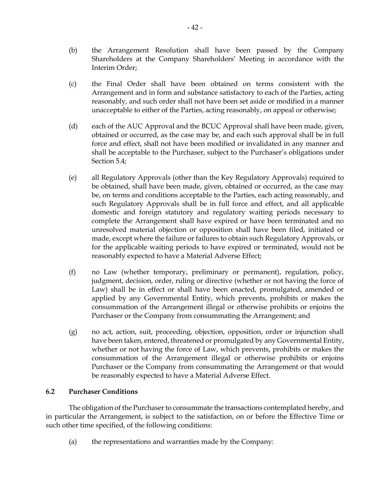- <span id="page-45-3"></span>(b) the Arrangement Resolution shall have been passed by the Company Shareholders at the Company Shareholders' Meeting in accordance with the Interim Order;
- (c) the Final Order shall have been obtained on terms consistent with the Arrangement and in form and substance satisfactory to each of the Parties, acting reasonably, and such order shall not have been set aside or modified in a manner unacceptable to either of the Parties, acting reasonably, on appeal or otherwise;
- <span id="page-45-0"></span>(d) each of the AUC Approval and the BCUC Approval shall have been made, given, obtained or occurred, as the case may be, and each such approval shall be in full force and effect, shall not have been modified or invalidated in any manner and shall be acceptable to the Purchaser, subject to the Purchaser's obligations under Section [5.4;](#page-34-0)
- <span id="page-45-1"></span>(e) all Regulatory Approvals (other than the Key Regulatory Approvals) required to be obtained, shall have been made, given, obtained or occurred, as the case may be, on terms and conditions acceptable to the Parties, each acting reasonably, and such Regulatory Approvals shall be in full force and effect, and all applicable domestic and foreign statutory and regulatory waiting periods necessary to complete the Arrangement shall have expired or have been terminated and no unresolved material objection or opposition shall have been filed, initiated or made, except where the failure or failures to obtain such Regulatory Approvals, or for the applicable waiting periods to have expired or terminated, would not be reasonably expected to have a Material Adverse Effect;
- <span id="page-45-5"></span>(f) no Law (whether temporary, preliminary or permanent), regulation, policy, judgment, decision, order, ruling or directive (whether or not having the force of Law) shall be in effect or shall have been enacted, promulgated, amended or applied by any Governmental Entity, which prevents, prohibits or makes the consummation of the Arrangement illegal or otherwise prohibits or enjoins the Purchaser or the Company from consummating the Arrangement; and
- <span id="page-45-6"></span>(g) no act, action, suit, proceeding, objection, opposition, order or injunction shall have been taken, entered, threatened or promulgated by any Governmental Entity, whether or not having the force of Law, which prevents, prohibits or makes the consummation of the Arrangement illegal or otherwise prohibits or enjoins Purchaser or the Company from consummating the Arrangement or that would be reasonably expected to have a Material Adverse Effect.

## <span id="page-45-2"></span>**6.2 Purchaser Conditions**

The obligation of the Purchaser to consummate the transactions contemplated hereby, and in particular the Arrangement, is subject to the satisfaction, on or before the Effective Time or such other time specified, of the following conditions:

<span id="page-45-4"></span>(a) the representations and warranties made by the Company: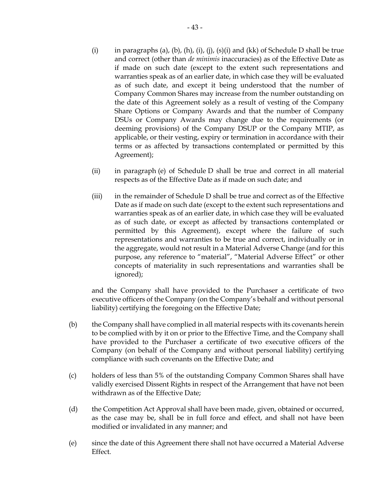- <span id="page-46-0"></span>(i) in paragraphs [\(a\),](#page-81-0) [\(b\),](#page-81-1) [\(h\),](#page-83-0) [\(i\),](#page-84-0) [\(j\),](#page-84-1) [\(s\)](#page-86-0)[\(i\)](#page-86-1) and [\(kk\)](#page-92-0) of Schedule [D](#page-81-2) shall be true and correct (other than *de minimis* inaccuracies) as of the Effective Date as if made on such date (except to the extent such representations and warranties speak as of an earlier date, in which case they will be evaluated as of such date, and except it being understood that the number of Company Common Shares may increase from the number outstanding on the date of this Agreement solely as a result of vesting of the Company Share Options or Company Awards and that the number of Company DSUs or Company Awards may change due to the requirements (or deeming provisions) of the Company DSUP or the Company MTIP, as applicable, or their vesting, expiry or termination in accordance with their terms or as affected by transactions contemplated or permitted by this Agreement);
- (ii) in paragraph [\(e\)](#page-82-0) of Schedule [D](#page-81-2) shall be true and correct in all material respects as of the Effective Date as if made on such date; and
- (iii) in the remainder of Schedule [D](#page-81-2) shall be true and correct as of the Effective Date as if made on such date (except to the extent such representations and warranties speak as of an earlier date, in which case they will be evaluated as of such date, or except as affected by transactions contemplated or permitted by this Agreement), except where the failure of such representations and warranties to be true and correct, individually or in the aggregate, would not result in a Material Adverse Change (and for this purpose, any reference to "material", "Material Adverse Effect" or other concepts of materiality in such representations and warranties shall be ignored);

and the Company shall have provided to the Purchaser a certificate of two executive officers of the Company (on the Company's behalf and without personal liability) certifying the foregoing on the Effective Date;

- <span id="page-46-1"></span>(b) the Company shall have complied in all material respects with its covenants herein to be complied with by it on or prior to the Effective Time, and the Company shall have provided to the Purchaser a certificate of two executive officers of the Company (on behalf of the Company and without personal liability) certifying compliance with such covenants on the Effective Date; and
- (c) holders of less than 5% of the outstanding Company Common Shares shall have validly exercised Dissent Rights in respect of the Arrangement that have not been withdrawn as of the Effective Date;
- <span id="page-46-2"></span>(d) the Competition Act Approval shall have been made, given, obtained or occurred, as the case may be, shall be in full force and effect, and shall not have been modified or invalidated in any manner; and
- (e) since the date of this Agreement there shall not have occurred a Material Adverse Effect.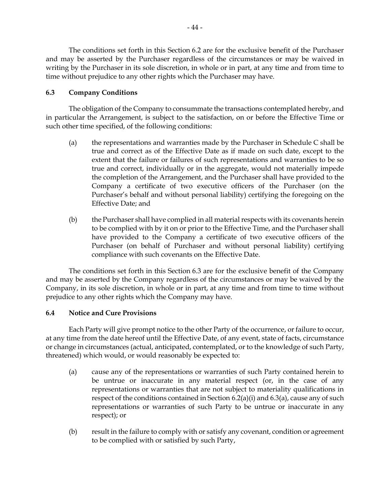The conditions set forth in this Section [6.2](#page-45-2) are for the exclusive benefit of the Purchaser and may be asserted by the Purchaser regardless of the circumstances or may be waived in writing by the Purchaser in its sole discretion, in whole or in part, at any time and from time to time without prejudice to any other rights which the Purchaser may have.

# <span id="page-47-0"></span>**6.3 Company Conditions**

The obligation of the Company to consummate the transactions contemplated hereby, and in particular the Arrangement, is subject to the satisfaction, on or before the Effective Time or such other time specified, of the following conditions:

- <span id="page-47-1"></span>(a) the representations and warranties made by the Purchaser in Schedule [C](#page-77-0) shall be true and correct as of the Effective Date as if made on such date, except to the extent that the failure or failures of such representations and warranties to be so true and correct, individually or in the aggregate, would not materially impede the completion of the Arrangement, and the Purchaser shall have provided to the Company a certificate of two executive officers of the Purchaser (on the Purchaser's behalf and without personal liability) certifying the foregoing on the Effective Date; and
- <span id="page-47-3"></span>(b) the Purchaser shall have complied in all material respects with its covenants herein to be complied with by it on or prior to the Effective Time, and the Purchaser shall have provided to the Company a certificate of two executive officers of the Purchaser (on behalf of Purchaser and without personal liability) certifying compliance with such covenants on the Effective Date.

The conditions set forth in this Section [6.3](#page-47-0) are for the exclusive benefit of the Company and may be asserted by the Company regardless of the circumstances or may be waived by the Company, in its sole discretion, in whole or in part, at any time and from time to time without prejudice to any other rights which the Company may have.

# <span id="page-47-2"></span>**6.4 Notice and Cure Provisions**

Each Party will give prompt notice to the other Party of the occurrence, or failure to occur, at any time from the date hereof until the Effective Date, of any event, state of facts, circumstance or change in circumstances (actual, anticipated, contemplated, or to the knowledge of such Party, threatened) which would, or would reasonably be expected to:

- (a) cause any of the representations or warranties of such Party contained herein to be untrue or inaccurate in any material respect (or, in the case of any representations or warranties that are not subject to materiality qualifications in respect of the conditions contained in Section  $6.2(a)(i)$  and  $6.3(a)$ , cause any of such representations or warranties of such Party to be untrue or inaccurate in any respect); or
- (b) result in the failure to comply with or satisfy any covenant, condition or agreement to be complied with or satisfied by such Party,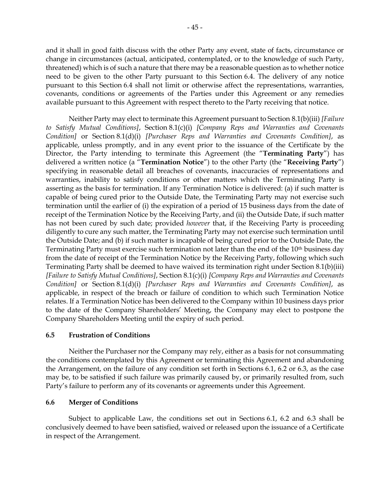and it shall in good faith discuss with the other Party any event, state of facts, circumstance or change in circumstances (actual, anticipated, contemplated, or to the knowledge of such Party, threatened) which is of such a nature that there may be a reasonable question as to whether notice need to be given to the other Party pursuant to this Section [6.4.](#page-47-2) The delivery of any notice pursuant to this Section [6.4](#page-47-2) shall not limit or otherwise affect the representations, warranties, covenants, conditions or agreements of the Parties under this Agreement or any remedies available pursuant to this Agreement with respect thereto to the Party receiving that notice.

Neither Party may elect to terminate this Agreement pursuant to Section [8.1\(b\)\(iii\)](#page-53-0) *[Failure to Satisfy Mutual Conditions]*, Section [8.1\(c\)\(i\)](#page-53-1) *[Company Reps and Warranties and Covenants Condition]* or Section [8.1\(d\)\(i\)](#page-54-0) *[Purchaser Reps and Warranties and Covenants Condition]*, as applicable, unless promptly, and in any event prior to the issuance of the Certificate by the Director, the Party intending to terminate this Agreement (the "**Terminating Party**") has delivered a written notice (a "**Termination Notice**") to the other Party (the "**Receiving Party**") specifying in reasonable detail all breaches of covenants, inaccuracies of representations and warranties, inability to satisfy conditions or other matters which the Terminating Party is asserting as the basis for termination. If any Termination Notice is delivered: (a) if such matter is capable of being cured prior to the Outside Date, the Terminating Party may not exercise such termination until the earlier of (i) the expiration of a period of 15 business days from the date of receipt of the Termination Notice by the Receiving Party, and (ii) the Outside Date, if such matter has not been cured by such date; provided *however* that, if the Receiving Party is proceeding diligently to cure any such matter, the Terminating Party may not exercise such termination until the Outside Date; and (b) if such matter is incapable of being cured prior to the Outside Date, the Terminating Party must exercise such termination not later than the end of the 10th business day from the date of receipt of the Termination Notice by the Receiving Party, following which such Terminating Party shall be deemed to have waived its termination right under Section [8.1\(b\)\(iii\)](#page-53-0) *[Failure to Satisfy Mutual Conditions]*, Section [8.1\(c\)\(i\)](#page-53-1) *[Company Reps and Warranties and Covenants Condition]* or Section [8.1\(d\)\(i\)](#page-54-0) *[Purchaser Reps and Warranties and Covenants Condition]*, as applicable, in respect of the breach or failure of condition to which such Termination Notice relates. If a Termination Notice has been delivered to the Company within 10 business days prior to the date of the Company Shareholders' Meeting, the Company may elect to postpone the Company Shareholders Meeting until the expiry of such period.

#### **6.5 Frustration of Conditions**

Neither the Purchaser nor the Company may rely, either as a basis for not consummating the conditions contemplated by this Agreement or terminating this Agreement and abandoning the Arrangement, on the failure of any condition set forth in Sections [6.1,](#page-44-2) [6.2](#page-45-2) or [6.3,](#page-47-0) as the case may be, to be satisfied if such failure was primarily caused by, or primarily resulted from, such Party's failure to perform any of its covenants or agreements under this Agreement.

## **6.6 Merger of Conditions**

Subject to applicable Law, the conditions set out in Sections [6.1,](#page-44-2) [6.2](#page-45-2) and [6.3](#page-47-0) shall be conclusively deemed to have been satisfied, waived or released upon the issuance of a Certificate in respect of the Arrangement.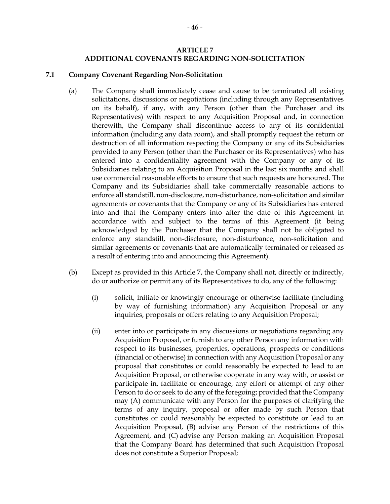### **ARTICLE 7 ADDITIONAL COVENANTS REGARDING NON-SOLICITATION**

#### <span id="page-49-1"></span><span id="page-49-0"></span>**7.1 Company Covenant Regarding Non-Solicitation**

- (a) The Company shall immediately cease and cause to be terminated all existing solicitations, discussions or negotiations (including through any Representatives on its behalf), if any, with any Person (other than the Purchaser and its Representatives) with respect to any Acquisition Proposal and, in connection therewith, the Company shall discontinue access to any of its confidential information (including any data room), and shall promptly request the return or destruction of all information respecting the Company or any of its Subsidiaries provided to any Person (other than the Purchaser or its Representatives) who has entered into a confidentiality agreement with the Company or any of its Subsidiaries relating to an Acquisition Proposal in the last six months and shall use commercial reasonable efforts to ensure that such requests are honoured. The Company and its Subsidiaries shall take commercially reasonable actions to enforce all standstill, non-disclosure, non-disturbance, non-solicitation and similar agreements or covenants that the Company or any of its Subsidiaries has entered into and that the Company enters into after the date of this Agreement in accordance with and subject to the terms of this Agreement (it being acknowledged by the Purchaser that the Company shall not be obligated to enforce any standstill, non-disclosure, non-disturbance, non-solicitation and similar agreements or covenants that are automatically terminated or released as a result of entering into and announcing this Agreement).
- (b) Except as provided in this [Article](#page-49-0) 7, the Company shall not, directly or indirectly, do or authorize or permit any of its Representatives to do, any of the following:
	- (i) solicit, initiate or knowingly encourage or otherwise facilitate (including by way of furnishing information) any Acquisition Proposal or any inquiries, proposals or offers relating to any Acquisition Proposal;
	- (ii) enter into or participate in any discussions or negotiations regarding any Acquisition Proposal, or furnish to any other Person any information with respect to its businesses, properties, operations, prospects or conditions (financial or otherwise) in connection with any Acquisition Proposal or any proposal that constitutes or could reasonably be expected to lead to an Acquisition Proposal, or otherwise cooperate in any way with, or assist or participate in, facilitate or encourage, any effort or attempt of any other Person to do or seek to do any of the foregoing; provided that the Company may (A) communicate with any Person for the purposes of clarifying the terms of any inquiry, proposal or offer made by such Person that constitutes or could reasonably be expected to constitute or lead to an Acquisition Proposal, (B) advise any Person of the restrictions of this Agreement, and (C) advise any Person making an Acquisition Proposal that the Company Board has determined that such Acquisition Proposal does not constitute a Superior Proposal;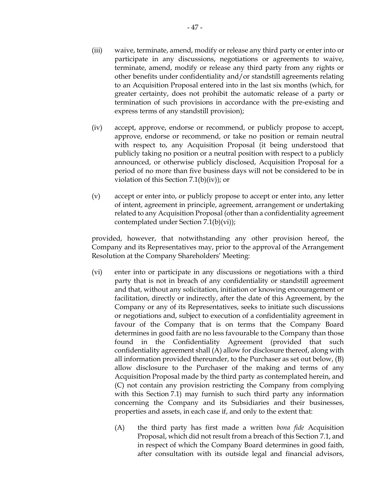- (iii) waive, terminate, amend, modify or release any third party or enter into or participate in any discussions, negotiations or agreements to waive, terminate, amend, modify or release any third party from any rights or other benefits under confidentiality and/or standstill agreements relating to an Acquisition Proposal entered into in the last six months (which, for greater certainty, does not prohibit the automatic release of a party or termination of such provisions in accordance with the pre-existing and express terms of any standstill provision);
- <span id="page-50-0"></span>(iv) accept, approve, endorse or recommend, or publicly propose to accept, approve, endorse or recommend, or take no position or remain neutral with respect to, any Acquisition Proposal (it being understood that publicly taking no position or a neutral position with respect to a publicly announced, or otherwise publicly disclosed, Acquisition Proposal for a period of no more than five business days will not be considered to be in violation of this Section [7.1\(b\)\(iv\)\)](#page-50-0); or
- (v) accept or enter into, or publicly propose to accept or enter into, any letter of intent, agreement in principle, agreement, arrangement or undertaking related to any Acquisition Proposal (other than a confidentiality agreement contemplated under Section [7.1\(b\)\(vi\)\)](#page-50-1);

provided, however, that notwithstanding any other provision hereof, the Company and its Representatives may, prior to the approval of the Arrangement Resolution at the Company Shareholders' Meeting:

- <span id="page-50-1"></span>(vi) enter into or participate in any discussions or negotiations with a third party that is not in breach of any confidentiality or standstill agreement and that, without any solicitation, initiation or knowing encouragement or facilitation, directly or indirectly, after the date of this Agreement, by the Company or any of its Representatives, seeks to initiate such discussions or negotiations and, subject to execution of a confidentiality agreement in favour of the Company that is on terms that the Company Board determines in good faith are no less favourable to the Company than those found in the Confidentiality Agreement (provided that such confidentiality agreement shall (A) allow for disclosure thereof, along with all information provided thereunder, to the Purchaser as set out below, (B) allow disclosure to the Purchaser of the making and terms of any Acquisition Proposal made by the third party as contemplated herein, and (C) not contain any provision restricting the Company from complying with this Section [7.1\)](#page-49-1) may furnish to such third party any information concerning the Company and its Subsidiaries and their businesses, properties and assets, in each case if, and only to the extent that:
	- (A) the third party has first made a written *bona fide* Acquisition Proposal, which did not result from a breach of this Section [7.1,](#page-49-1) and in respect of which the Company Board determines in good faith, after consultation with its outside legal and financial advisors,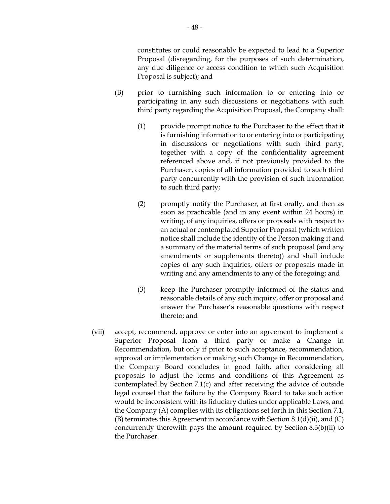constitutes or could reasonably be expected to lead to a Superior Proposal (disregarding, for the purposes of such determination, any due diligence or access condition to which such Acquisition Proposal is subject); and

- (B) prior to furnishing such information to or entering into or participating in any such discussions or negotiations with such third party regarding the Acquisition Proposal, the Company shall:
	- (1) provide prompt notice to the Purchaser to the effect that it is furnishing information to or entering into or participating in discussions or negotiations with such third party, together with a copy of the confidentiality agreement referenced above and, if not previously provided to the Purchaser, copies of all information provided to such third party concurrently with the provision of such information to such third party;
	- (2) promptly notify the Purchaser, at first orally, and then as soon as practicable (and in any event within 24 hours) in writing, of any inquiries, offers or proposals with respect to an actual or contemplated Superior Proposal (which written notice shall include the identity of the Person making it and a summary of the material terms of such proposal (and any amendments or supplements thereto)) and shall include copies of any such inquiries, offers or proposals made in writing and any amendments to any of the foregoing; and
	- (3) keep the Purchaser promptly informed of the status and reasonable details of any such inquiry, offer or proposal and answer the Purchaser's reasonable questions with respect thereto; and
- (vii) accept, recommend, approve or enter into an agreement to implement a Superior Proposal from a third party or make a Change in Recommendation, but only if prior to such acceptance, recommendation, approval or implementation or making such Change in Recommendation, the Company Board concludes in good faith, after considering all proposals to adjust the terms and conditions of this Agreement as contemplated by Section [7.1\(c\)](#page-52-0) and after receiving the advice of outside legal counsel that the failure by the Company Board to take such action would be inconsistent with its fiduciary duties under applicable Laws, and the Company (A) complies with its obligations set forth in this Section [7.1,](#page-49-1) (B) terminates this Agreement in accordance with Section [8.1\(d\)\(ii\),](#page-55-0) and (C) concurrently therewith pays the amount required by Section [8.3\(b\)\(ii\)](#page-56-0) to the Purchaser.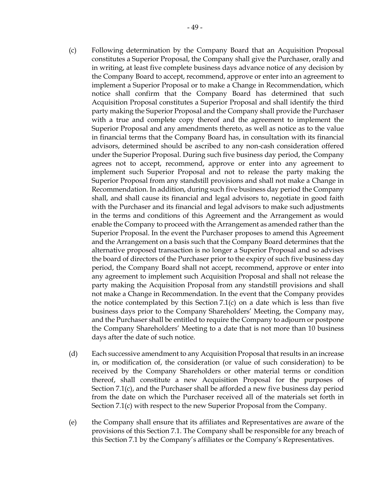- <span id="page-52-0"></span>(c) Following determination by the Company Board that an Acquisition Proposal constitutes a Superior Proposal, the Company shall give the Purchaser, orally and in writing, at least five complete business days advance notice of any decision by the Company Board to accept, recommend, approve or enter into an agreement to implement a Superior Proposal or to make a Change in Recommendation, which notice shall confirm that the Company Board has determined that such Acquisition Proposal constitutes a Superior Proposal and shall identify the third party making the Superior Proposal and the Company shall provide the Purchaser with a true and complete copy thereof and the agreement to implement the Superior Proposal and any amendments thereto, as well as notice as to the value in financial terms that the Company Board has, in consultation with its financial advisors, determined should be ascribed to any non-cash consideration offered under the Superior Proposal. During such five business day period, the Company agrees not to accept, recommend, approve or enter into any agreement to implement such Superior Proposal and not to release the party making the Superior Proposal from any standstill provisions and shall not make a Change in Recommendation. In addition, during such five business day period the Company shall, and shall cause its financial and legal advisors to, negotiate in good faith with the Purchaser and its financial and legal advisors to make such adjustments in the terms and conditions of this Agreement and the Arrangement as would enable the Company to proceed with the Arrangement as amended rather than the Superior Proposal. In the event the Purchaser proposes to amend this Agreement and the Arrangement on a basis such that the Company Board determines that the alternative proposed transaction is no longer a Superior Proposal and so advises the board of directors of the Purchaser prior to the expiry of such five business day period, the Company Board shall not accept, recommend, approve or enter into any agreement to implement such Acquisition Proposal and shall not release the party making the Acquisition Proposal from any standstill provisions and shall not make a Change in Recommendation. In the event that the Company provides the notice contemplated by this Section  $7.1(c)$  on a date which is less than five business days prior to the Company Shareholders' Meeting, the Company may, and the Purchaser shall be entitled to require the Company to adjourn or postpone the Company Shareholders' Meeting to a date that is not more than 10 business days after the date of such notice.
- (d) Each successive amendment to any Acquisition Proposal that results in an increase in, or modification of, the consideration (or value of such consideration) to be received by the Company Shareholders or other material terms or condition thereof, shall constitute a new Acquisition Proposal for the purposes of Section [7.1](#page-49-1)[\(c\),](#page-52-0) and the Purchaser shall be afforded a new five business day period from the date on which the Purchaser received all of the materials set forth in Section [7.1](#page-49-1)[\(c\)](#page-52-0) with respect to the new Superior Proposal from the Company.
- (e) the Company shall ensure that its affiliates and Representatives are aware of the provisions of this Section [7.1.](#page-49-1) The Company shall be responsible for any breach of this Section [7.1](#page-49-1) by the Company's affiliates or the Company's Representatives.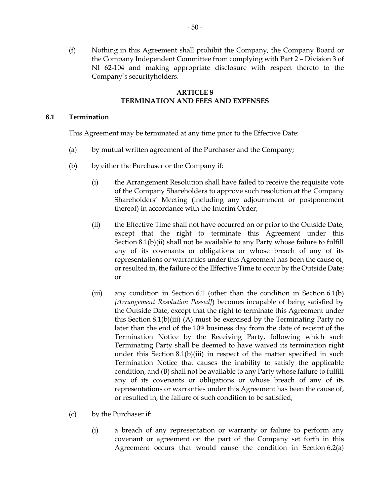(f) Nothing in this Agreement shall prohibit the Company, the Company Board or the Company Independent Committee from complying with Part 2 – Division 3 of NI 62-104 and making appropriate disclosure with respect thereto to the Company's securityholders.

## **ARTICLE 8 TERMINATION AND FEES AND EXPENSES**

### <span id="page-53-3"></span>**8.1 Termination**

This Agreement may be terminated at any time prior to the Effective Date:

- (a) by mutual written agreement of the Purchaser and the Company;
- <span id="page-53-5"></span><span id="page-53-2"></span>(b) by either the Purchaser or the Company if:
	- (i) the Arrangement Resolution shall have failed to receive the requisite vote of the Company Shareholders to approve such resolution at the Company Shareholders' Meeting (including any adjournment or postponement thereof) in accordance with the Interim Order;
	- (ii) the Effective Time shall not have occurred on or prior to the Outside Date, except that the right to terminate this Agreement under this Section [8.1\(b\)\(ii\)](#page-53-2) shall not be available to any Party whose failure to fulfill any of its covenants or obligations or whose breach of any of its representations or warranties under this Agreement has been the cause of, or resulted in, the failure of the Effective Time to occur by the Outside Date; or
	- (iii) any condition in Section [6.1](#page-44-2) (other than the condition in Section [6.1\(b\)](#page-45-3) *[Arrangement Resolution Passed]*) becomes incapable of being satisfied by the Outside Date, except that the right to terminate this Agreement under this Section [8.1\(b\)\(iii\)](#page-53-0) (A) must be exercised by the Terminating Party no later than the end of the 10th business day from the date of receipt of the Termination Notice by the Receiving Party, following which such Terminating Party shall be deemed to have waived its termination right under this Section [8.1\(b\)\(iii\)](#page-53-0) in respect of the matter specified in such Termination Notice that causes the inability to satisfy the applicable condition, and (B) shall not be available to any Party whose failure to fulfill any of its covenants or obligations or whose breach of any of its representations or warranties under this Agreement has been the cause of, or resulted in, the failure of such condition to be satisfied;
- <span id="page-53-4"></span><span id="page-53-1"></span><span id="page-53-0"></span>(c) by the Purchaser if:
	- (i) a breach of any representation or warranty or failure to perform any covenant or agreement on the part of the Company set forth in this Agreement occurs that would cause the condition in Section [6.2\(a\)](#page-45-4)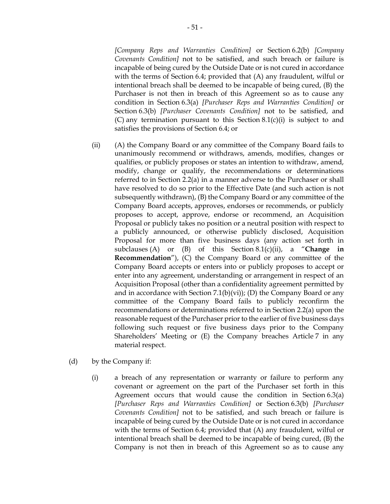*[Company Reps and Warranties Condition]* or Section [6.2\(b\)](#page-46-1) *[Company Covenants Condition]* not to be satisfied, and such breach or failure is incapable of being cured by the Outside Date or is not cured in accordance with the terms of Section [6.4;](#page-47-2) provided that (A) any fraudulent, wilful or intentional breach shall be deemed to be incapable of being cured, (B) the Purchaser is not then in breach of this Agreement so as to cause any condition in Section [6.3\(a\)](#page-47-1) *[Purchaser Reps and Warranties Condition]* or Section [6.3\(b\)](#page-47-3) *[Purchaser Covenants Condition]* not to be satisfied, and (C) any termination pursuant to this Section [8.1\(c\)\(i\)](#page-53-1) is subject to and satisfies the provisions of Section [6.4;](#page-47-2) or

- <span id="page-54-3"></span><span id="page-54-2"></span><span id="page-54-1"></span>(ii) (A) the Company Board or any committee of the Company Board fails to unanimously recommend or withdraws, amends, modifies, changes or qualifies, or publicly proposes or states an intention to withdraw, amend, modify, change or qualify, the recommendations or determinations referred to in Section [2.2\(a\)](#page-19-0) in a manner adverse to the Purchaser or shall have resolved to do so prior to the Effective Date (and such action is not subsequently withdrawn), (B) the Company Board or any committee of the Company Board accepts, approves, endorses or recommends, or publicly proposes to accept, approve, endorse or recommend, an Acquisition Proposal or publicly takes no position or a neutral position with respect to a publicly announced, or otherwise publicly disclosed, Acquisition Proposal for more than five business days (any action set forth in subclauses [\(A\)](#page-54-1) or [\(B\)](#page-54-2) of this Section [8.1](#page-53-3)[\(c\)](#page-53-4)[\(ii\)](#page-54-3), a "**Change in Recommendation**"), (C) the Company Board or any committee of the Company Board accepts or enters into or publicly proposes to accept or enter into any agreement, understanding or arrangement in respect of an Acquisition Proposal (other than a confidentiality agreement permitted by and in accordance with Section  $7.1(b)(vi)$ ; (D) the Company Board or any committee of the Company Board fails to publicly reconfirm the recommendations or determinations referred to in Section [2.2\(a\)](#page-19-0) upon the reasonable request of the Purchaser prior to the earlier of five business days following such request or five business days prior to the Company Shareholders' Meeting or (E) the Company breaches [Article](#page-49-0) 7 in any material respect.
- <span id="page-54-0"></span>(d) by the Company if:
	- (i) a breach of any representation or warranty or failure to perform any covenant or agreement on the part of the Purchaser set forth in this Agreement occurs that would cause the condition in Section [6.3\(a\)](#page-47-1) *[Purchaser Reps and Warranties Condition]* or Section [6.3\(b\)](#page-47-3) *[Purchaser Covenants Condition]* not to be satisfied, and such breach or failure is incapable of being cured by the Outside Date or is not cured in accordance with the terms of Section [6.4;](#page-47-2) provided that (A) any fraudulent, wilful or intentional breach shall be deemed to be incapable of being cured, (B) the Company is not then in breach of this Agreement so as to cause any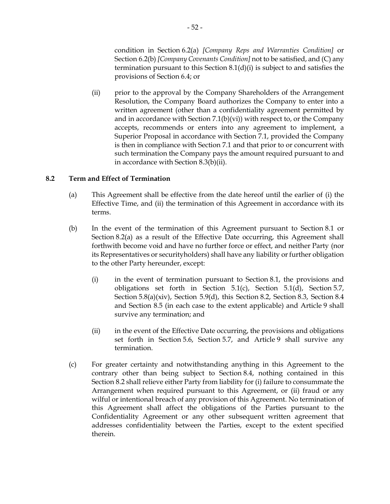condition in Section [6.2\(a\)](#page-45-4) *[Company Reps and Warranties Condition]* or Section [6.2\(b\)](#page-46-1) *[Company Covenants Condition]* not to be satisfied, and (C) any termination pursuant to this Section [8.1\(d\)\(i\)](#page-54-0) is subject to and satisfies the provisions of Section [6.4;](#page-47-2) or

<span id="page-55-0"></span>(ii) prior to the approval by the Company Shareholders of the Arrangement Resolution, the Company Board authorizes the Company to enter into a written agreement (other than a confidentiality agreement permitted by and in accordance with Section [7.1\(b\)\(vi\)\)](#page-50-1) with respect to, or the Company accepts, recommends or enters into any agreement to implement, a Superior Proposal in accordance with Section [7.1,](#page-49-1) provided the Company is then in compliance with Section [7.1](#page-49-1) and that prior to or concurrent with such termination the Company pays the amount required pursuant to and in accordance with Section [8.3\(b\)\(ii\).](#page-56-0)

## <span id="page-55-2"></span><span id="page-55-1"></span>**8.2 Term and Effect of Termination**

- (a) This Agreement shall be effective from the date hereof until the earlier of (i) the Effective Time, and (ii) the termination of this Agreement in accordance with its terms.
- (b) In the event of the termination of this Agreement pursuant to Section [8.1](#page-53-3) or Section [8.2\(a\)](#page-55-1) as a result of the Effective Date occurring, this Agreement shall forthwith become void and have no further force or effect, and neither Party (nor its Representatives or securityholders) shall have any liability or further obligation to the other Party hereunder, except:
	- (i) in the event of termination pursuant to Section [8.1,](#page-53-3) the provisions and obligations set forth in Section [5.1\(c\),](#page-27-0) Section [5.1\(d\),](#page-28-0) Section [5.7,](#page-39-0) Section [5.8\(a\)\(xiv\),](#page-42-1) Section [5.9\(d\),](#page-44-3) this Section [8.2,](#page-55-2) Section [8.3,](#page-56-1) Section [8.4](#page-57-0) and Section [8.5](#page-58-0) (in each case to the extent applicable) and [Article](#page-58-1) 9 shall survive any termination; and
	- (ii) in the event of the Effective Date occurring, the provisions and obligations set forth in Section [5.6,](#page-38-0) Section [5.7,](#page-39-0) and [Article](#page-58-1) 9 shall survive any termination.
- (c) For greater certainty and notwithstanding anything in this Agreement to the contrary other than being subject to Section [8.4,](#page-57-0) nothing contained in this Section [8.2](#page-55-2) shall relieve either Party from liability for (i) failure to consummate the Arrangement when required pursuant to this Agreement, or (ii) fraud or any wilful or intentional breach of any provision of this Agreement. No termination of this Agreement shall affect the obligations of the Parties pursuant to the Confidentiality Agreement or any other subsequent written agreement that addresses confidentiality between the Parties, except to the extent specified therein.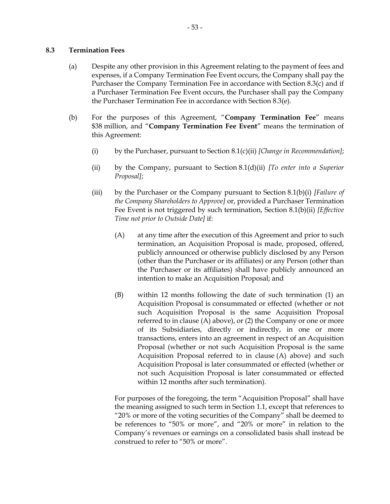#### <span id="page-56-1"></span>**8.3 Termination Fees**

- (a) Despite any other provision in this Agreement relating to the payment of fees and expenses, if a Company Termination Fee Event occurs, the Company shall pay the Purchaser the Company Termination Fee in accordance with Section [8.3\(c\)](#page-57-1) and if a Purchaser Termination Fee Event occurs, the Purchaser shall pay the Company the Purchaser Termination Fee in accordance with Section [8.3\(e\).](#page-57-2)
- <span id="page-56-4"></span><span id="page-56-3"></span><span id="page-56-2"></span><span id="page-56-0"></span>(b) For the purposes of this Agreement, "**Company Termination Fee**" means \$38 million, and "**Company Termination Fee Event**" means the termination of this Agreement:
	- (i) by the Purchaser, pursuant to Section [8.1\(c\)\(ii\)](#page-54-3) *[Change in Recommendation]*;
	- (ii) by the Company, pursuant to Section [8.1\(d\)\(ii\)](#page-55-0) *[To enter into a Superior Proposal]*;
	- (iii) by the Purchaser or the Company pursuant to Section [8.1\(b\)\(i\)](#page-53-5) *[Failure of the Company Shareholders to Approve]* or, provided a Purchaser Termination Fee Event is not triggered by such termination, Section [8.1\(b\)\(ii\)](#page-53-2) *[Effective Time not prior to Outside Date]* if:
		- (A) at any time after the execution of this Agreement and prior to such termination, an Acquisition Proposal is made, proposed, offered, publicly announced or otherwise publicly disclosed by any Person (other than the Purchaser or its affiliates) or any Person (other than the Purchaser or its affiliates) shall have publicly announced an intention to make an Acquisition Proposal; and
		- (B) within 12 months following the date of such termination (1) an Acquisition Proposal is consummated or effected (whether or not such Acquisition Proposal is the same Acquisition Proposal referred to in clause [\(A\) above\)](#page-56-2), or (2) the Company or one or more of its Subsidiaries, directly or indirectly, in one or more transactions, enters into an agreement in respect of an Acquisition Proposal (whether or not such Acquisition Proposal is the same Acquisition Proposal referred to in clause [\(A\) above\)](#page-56-2) and such Acquisition Proposal is later consummated or effected (whether or not such Acquisition Proposal is later consummated or effected within 12 months after such termination).

For purposes of the foregoing, the term "Acquisition Proposal" shall have the meaning assigned to such term in Section [1.1,](#page-4-0) except that references to "20% or more of the voting securities of the Company" shall be deemed to be references to "50% or more", and "20% or more" in relation to the Company's revenues or earnings on a consolidated basis shall instead be construed to refer to "50% or more".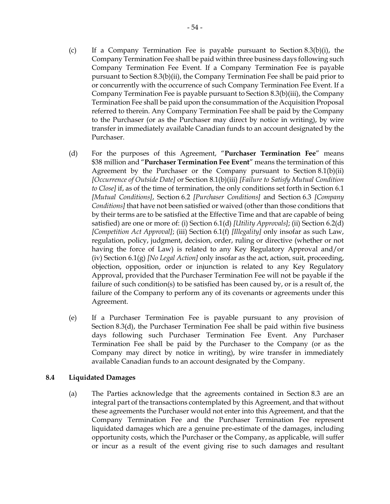- <span id="page-57-1"></span>(c) If a Company Termination Fee is payable pursuant to Section [8.3\(b\)\(i\),](#page-56-3) the Company Termination Fee shall be paid within three business days following such Company Termination Fee Event. If a Company Termination Fee is payable pursuant to Section [8.3\(b\)\(ii\),](#page-56-0) the Company Termination Fee shall be paid prior to or concurrently with the occurrence of such Company Termination Fee Event. If a Company Termination Fee is payable pursuant to Section [8.3\(b\)\(iii\),](#page-56-4) the Company Termination Fee shall be paid upon the consummation of the Acquisition Proposal referred to therein. Any Company Termination Fee shall be paid by the Company to the Purchaser (or as the Purchaser may direct by notice in writing), by wire transfer in immediately available Canadian funds to an account designated by the Purchaser.
- <span id="page-57-3"></span>(d) For the purposes of this Agreement, "**Purchaser Termination Fee**" means \$38 million and "**Purchaser Termination Fee Event**" means the termination of this Agreement by the Purchaser or the Company pursuant to Section [8.1\(b\)\(ii\)](#page-53-2) *[Occurrence of Outside Date]* or Section [8.1\(b\)\(iii\)](#page-53-0) *[Failure to Satisfy Mutual Condition to Close]* if, as of the time of termination, the only conditions set forth in Section [6.1](#page-44-2) *[Mutual Conditions]*, Section [6.2](#page-45-2) *[Purchaser Conditions]* and Section [6.3](#page-47-0) *[Company Conditions]* that have not been satisfied or waived (other than those conditions that by their terms are to be satisfied at the Effective Time and that are capable of being satisfied) are one or more of: (i) Section [6.1\(d\)](#page-45-0) *[Utility Approvals]*; (ii) Section [6.2\(d\)](#page-46-2) *[Competition Act Approval]*; (iii) Section [6.1\(f\)](#page-45-5) *[Illegality]* only insofar as such Law, regulation, policy, judgment, decision, order, ruling or directive (whether or not having the force of Law) is related to any Key Regulatory Approval and/or (iv) Section [6.1\(g\)](#page-45-6) *[No Legal Action]* only insofar as the act, action, suit, proceeding, objection, opposition, order or injunction is related to any Key Regulatory Approval, provided that the Purchaser Termination Fee will not be payable if the failure of such condition(s) to be satisfied has been caused by, or is a result of, the failure of the Company to perform any of its covenants or agreements under this Agreement.
- <span id="page-57-2"></span>(e) If a Purchaser Termination Fee is payable pursuant to any provision of Section [8.3\(d\),](#page-57-3) the Purchaser Termination Fee shall be paid within five business days following such Purchaser Termination Fee Event. Any Purchaser Termination Fee shall be paid by the Purchaser to the Company (or as the Company may direct by notice in writing), by wire transfer in immediately available Canadian funds to an account designated by the Company.

#### <span id="page-57-0"></span>**8.4 Liquidated Damages**

(a) The Parties acknowledge that the agreements contained in Section [8.3](#page-56-1) are an integral part of the transactions contemplated by this Agreement, and that without these agreements the Purchaser would not enter into this Agreement, and that the Company Termination Fee and the Purchaser Termination Fee represent liquidated damages which are a genuine pre-estimate of the damages, including opportunity costs, which the Purchaser or the Company, as applicable, will suffer or incur as a result of the event giving rise to such damages and resultant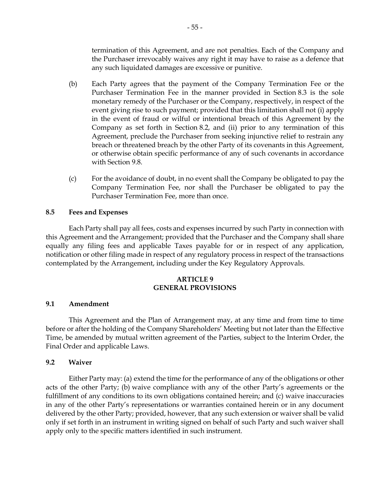termination of this Agreement, and are not penalties. Each of the Company and the Purchaser irrevocably waives any right it may have to raise as a defence that any such liquidated damages are excessive or punitive.

- (b) Each Party agrees that the payment of the Company Termination Fee or the Purchaser Termination Fee in the manner provided in Section [8.3](#page-56-1) is the sole monetary remedy of the Purchaser or the Company, respectively, in respect of the event giving rise to such payment; provided that this limitation shall not (i) apply in the event of fraud or wilful or intentional breach of this Agreement by the Company as set forth in Section [8.2,](#page-55-2) and (ii) prior to any termination of this Agreement, preclude the Purchaser from seeking injunctive relief to restrain any breach or threatened breach by the other Party of its covenants in this Agreement, or otherwise obtain specific performance of any of such covenants in accordance with Section [9.8.](#page-60-0)
- (c) For the avoidance of doubt, in no event shall the Company be obligated to pay the Company Termination Fee, nor shall the Purchaser be obligated to pay the Purchaser Termination Fee, more than once.

### <span id="page-58-0"></span>**8.5 Fees and Expenses**

Each Party shall pay all fees, costs and expenses incurred by such Party in connection with this Agreement and the Arrangement; provided that the Purchaser and the Company shall share equally any filing fees and applicable Taxes payable for or in respect of any application, notification or other filing made in respect of any regulatory process in respect of the transactions contemplated by the Arrangement, including under the Key Regulatory Approvals.

### **ARTICLE 9 GENERAL PROVISIONS**

#### <span id="page-58-1"></span>**9.1 Amendment**

This Agreement and the Plan of Arrangement may, at any time and from time to time before or after the holding of the Company Shareholders' Meeting but not later than the Effective Time, be amended by mutual written agreement of the Parties, subject to the Interim Order, the Final Order and applicable Laws.

#### **9.2 Waiver**

Either Party may: (a) extend the time for the performance of any of the obligations or other acts of the other Party; (b) waive compliance with any of the other Party's agreements or the fulfillment of any conditions to its own obligations contained herein; and (c) waive inaccuracies in any of the other Party's representations or warranties contained herein or in any document delivered by the other Party; provided, however, that any such extension or waiver shall be valid only if set forth in an instrument in writing signed on behalf of such Party and such waiver shall apply only to the specific matters identified in such instrument.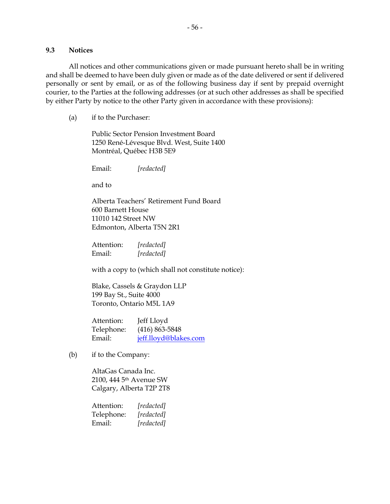#### **9.3 Notices**

All notices and other communications given or made pursuant hereto shall be in writing and shall be deemed to have been duly given or made as of the date delivered or sent if delivered personally or sent by email, or as of the following business day if sent by prepaid overnight courier, to the Parties at the following addresses (or at such other addresses as shall be specified by either Party by notice to the other Party given in accordance with these provisions):

(a) if to the Purchaser:

Public Sector Pension Investment Board 1250 René-Lévesque Blvd. West, Suite 1400 Montréal, Québec H3B 5E9

Email: *[redacted]*

and to

Alberta Teachers' Retirement Fund Board 600 Barnett House 11010 142 Street NW Edmonton, Alberta T5N 2R1

Attention: *[redacted]* Email: *[redacted]*

with a copy to (which shall not constitute notice):

Blake, Cassels & Graydon LLP 199 Bay St., Suite 4000 Toronto, Ontario M5L 1A9

Attention: Jeff Lloyd Telephone: (416) 863-5848 Email: [jeff.lloyd@blakes.com](mailto:jeff.lloyd@blakes.com)

(b) if to the Company:

AltaGas Canada Inc. 2100, 444 5th Avenue SW Calgary, Alberta T2P 2T8

Attention: *[redacted]* Telephone: *[redacted]* Email: *[redacted]*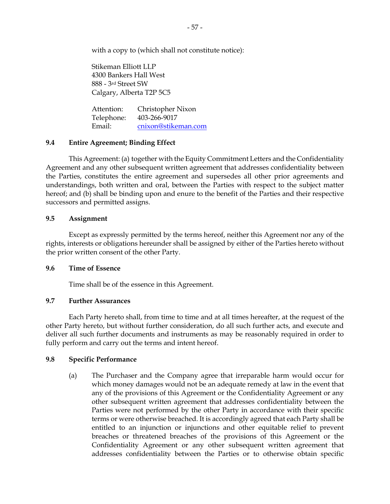with a copy to (which shall not constitute notice):

Stikeman Elliott LLP 4300 Bankers Hall West 888 - 3rd Street SW Calgary, Alberta T2P 5C5

Attention: Christopher Nixon Telephone: 403-266-9017 Email: [cnixon@stikeman.com](mailto:cnixon@stikeman.com)

### **9.4 Entire Agreement; Binding Effect**

This Agreement: (a) together with the Equity Commitment Letters and the Confidentiality Agreement and any other subsequent written agreement that addresses confidentiality between the Parties, constitutes the entire agreement and supersedes all other prior agreements and understandings, both written and oral, between the Parties with respect to the subject matter hereof; and (b) shall be binding upon and enure to the benefit of the Parties and their respective successors and permitted assigns.

### **9.5 Assignment**

Except as expressly permitted by the terms hereof, neither this Agreement nor any of the rights, interests or obligations hereunder shall be assigned by either of the Parties hereto without the prior written consent of the other Party.

#### **9.6 Time of Essence**

Time shall be of the essence in this Agreement.

#### **9.7 Further Assurances**

Each Party hereto shall, from time to time and at all times hereafter, at the request of the other Party hereto, but without further consideration, do all such further acts, and execute and deliver all such further documents and instruments as may be reasonably required in order to fully perform and carry out the terms and intent hereof.

#### <span id="page-60-1"></span><span id="page-60-0"></span>**9.8 Specific Performance**

(a) The Purchaser and the Company agree that irreparable harm would occur for which money damages would not be an adequate remedy at law in the event that any of the provisions of this Agreement or the Confidentiality Agreement or any other subsequent written agreement that addresses confidentiality between the Parties were not performed by the other Party in accordance with their specific terms or were otherwise breached. It is accordingly agreed that each Party shall be entitled to an injunction or injunctions and other equitable relief to prevent breaches or threatened breaches of the provisions of this Agreement or the Confidentiality Agreement or any other subsequent written agreement that addresses confidentiality between the Parties or to otherwise obtain specific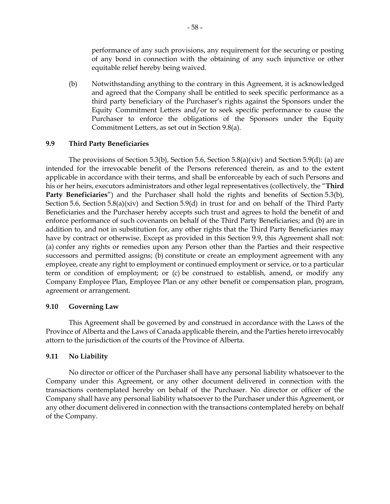performance of any such provisions, any requirement for the securing or posting of any bond in connection with the obtaining of any such injunctive or other equitable relief hereby being waived.

(b) Notwithstanding anything to the contrary in this Agreement, it is acknowledged and agreed that the Company shall be entitled to seek specific performance as a third party beneficiary of the Purchaser's rights against the Sponsors under the Equity Commitment Letters and/or to seek specific performance to cause the Purchaser to enforce the obligations of the Sponsors under the Equity Commitment Letters, as set out in Section [9.8\(a\).](#page-60-1)

### <span id="page-61-0"></span>**9.9 Third Party Beneficiaries**

The provisions of Section [5.3\(b\),](#page-34-2) Section [5.6,](#page-38-0) Section [5.8\(a\)\(xiv\)](#page-42-1) and Section [5.9\(d\):](#page-44-3) (a) are intended for the irrevocable benefit of the Persons referenced therein, as and to the extent applicable in accordance with their terms, and shall be enforceable by each of such Persons and his or her heirs, executors administrators and other legal representatives (collectively, the "**Third**  Party Beneficiaries") and the Purchaser shall hold the rights and benefits of Section [5.3\(b\),](#page-34-2) Section [5.6,](#page-38-0) Section [5.8\(a\)\(xiv\)](#page-42-1) and Section [5.9\(d\)](#page-44-3) in trust for and on behalf of the Third Party Beneficiaries and the Purchaser hereby accepts such trust and agrees to hold the benefit of and enforce performance of such covenants on behalf of the Third Party Beneficiaries; and (b) are in addition to, and not in substitution for, any other rights that the Third Party Beneficiaries may have by contract or otherwise. Except as provided in this Section [9.9,](#page-61-0) this Agreement shall not: (a) confer any rights or remedies upon any Person other than the Parties and their respective successors and permitted assigns; (b) constitute or create an employment agreement with any employee, create any right to employment or continued employment or service, or to a particular term or condition of employment; or (c) be construed to establish, amend, or modify any Company Employee Plan, Employee Plan or any other benefit or compensation plan, program, agreement or arrangement.

## **9.10 Governing Law**

This Agreement shall be governed by and construed in accordance with the Laws of the Province of Alberta and the Laws of Canada applicable therein, and the Parties hereto irrevocably attorn to the jurisdiction of the courts of the Province of Alberta.

## **9.11 No Liability**

No director or officer of the Purchaser shall have any personal liability whatsoever to the Company under this Agreement, or any other document delivered in connection with the transactions contemplated hereby on behalf of the Purchaser. No director or officer of the Company shall have any personal liability whatsoever to the Purchaser under this Agreement, or any other document delivered in connection with the transactions contemplated hereby on behalf of the Company.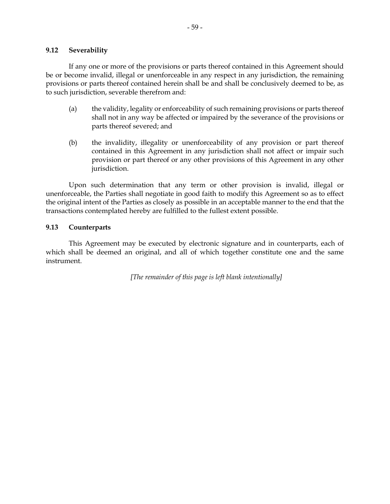#### **9.12 Severability**

If any one or more of the provisions or parts thereof contained in this Agreement should be or become invalid, illegal or unenforceable in any respect in any jurisdiction, the remaining provisions or parts thereof contained herein shall be and shall be conclusively deemed to be, as to such jurisdiction, severable therefrom and:

- (a) the validity, legality or enforceability of such remaining provisions or parts thereof shall not in any way be affected or impaired by the severance of the provisions or parts thereof severed; and
- (b) the invalidity, illegality or unenforceability of any provision or part thereof contained in this Agreement in any jurisdiction shall not affect or impair such provision or part thereof or any other provisions of this Agreement in any other jurisdiction.

Upon such determination that any term or other provision is invalid, illegal or unenforceable, the Parties shall negotiate in good faith to modify this Agreement so as to effect the original intent of the Parties as closely as possible in an acceptable manner to the end that the transactions contemplated hereby are fulfilled to the fullest extent possible.

#### **9.13 Counterparts**

This Agreement may be executed by electronic signature and in counterparts, each of which shall be deemed an original, and all of which together constitute one and the same instrument.

*[The remainder of this page is left blank intentionally]*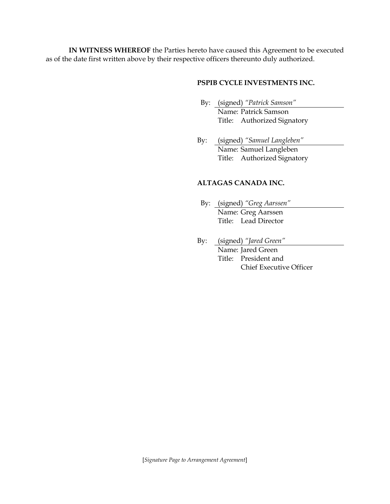**IN WITNESS WHEREOF** the Parties hereto have caused this Agreement to be executed as of the date first written above by their respective officers thereunto duly authorized.

## **PSPIB CYCLE INVESTMENTS INC.**

- By: (signed) *"Patrick Samson"* Name: Patrick Samson Title: Authorized Signatory
- By: (signed) *"Samuel Langleben"* Name: Samuel Langleben Title: Authorized Signatory

## **ALTAGAS CANADA INC.**

- By: (signed) *"Greg Aarssen"* Name: Greg Aarssen Title: Lead Director
- By: (signed) *"Jared Green"*

Name: Jared Green Title: President and Chief Executive Officer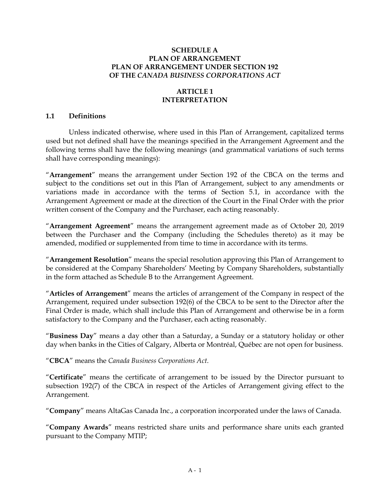### **SCHEDULE A PLAN OF ARRANGEMENT PLAN OF ARRANGEMENT UNDER SECTION 192 OF THE** *CANADA BUSINESS CORPORATIONS ACT*

## **ARTICLE 1 INTERPRETATION**

### **1.1 Definitions**

Unless indicated otherwise, where used in this Plan of Arrangement, capitalized terms used but not defined shall have the meanings specified in the Arrangement Agreement and the following terms shall have the following meanings (and grammatical variations of such terms shall have corresponding meanings):

"**Arrangement**" means the arrangement under Section 192 of the CBCA on the terms and subject to the conditions set out in this Plan of Arrangement, subject to any amendments or variations made in accordance with the terms of Section 5.1, in accordance with the Arrangement Agreement or made at the direction of the Court in the Final Order with the prior written consent of the Company and the Purchaser, each acting reasonably.

"**Arrangement Agreement**" means the arrangement agreement made as of October 20, 2019 between the Purchaser and the Company (including the Schedules thereto) as it may be amended, modified or supplemented from time to time in accordance with its terms.

"**Arrangement Resolution**" means the special resolution approving this Plan of Arrangement to be considered at the Company Shareholders' Meeting by Company Shareholders, substantially in the form attached as Schedule B to the Arrangement Agreement.

"**Articles of Arrangement**" means the articles of arrangement of the Company in respect of the Arrangement, required under subsection 192(6) of the CBCA to be sent to the Director after the Final Order is made, which shall include this Plan of Arrangement and otherwise be in a form satisfactory to the Company and the Purchaser, each acting reasonably.

"**Business Day**" means a day other than a Saturday, a Sunday or a statutory holiday or other day when banks in the Cities of Calgary, Alberta or Montréal, Québec are not open for business.

"**CBCA**" means the *Canada Business Corporations Act*.

"**Certificate**" means the certificate of arrangement to be issued by the Director pursuant to subsection 192(7) of the CBCA in respect of the Articles of Arrangement giving effect to the Arrangement.

"**Company**" means AltaGas Canada Inc., a corporation incorporated under the laws of Canada.

"**Company Awards**" means restricted share units and performance share units each granted pursuant to the Company MTIP;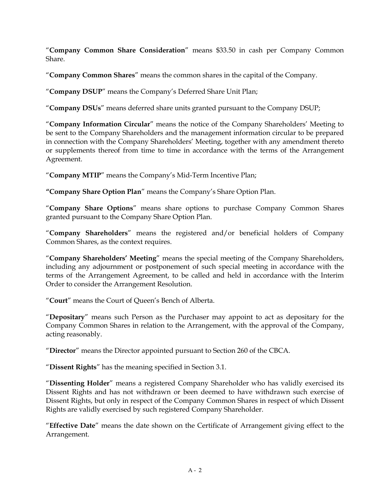"**Company Common Share Consideration**" means \$33.50 in cash per Company Common Share.

"**Company Common Shares**" means the common shares in the capital of the Company.

"**Company DSUP**" means the Company's Deferred Share Unit Plan;

"**Company DSUs**" means deferred share units granted pursuant to the Company DSUP;

"**Company Information Circular**" means the notice of the Company Shareholders' Meeting to be sent to the Company Shareholders and the management information circular to be prepared in connection with the Company Shareholders' Meeting, together with any amendment thereto or supplements thereof from time to time in accordance with the terms of the Arrangement Agreement.

"**Company MTIP**" means the Company's Mid-Term Incentive Plan;

**"Company Share Option Plan**" means the Company's Share Option Plan.

"**Company Share Options**" means share options to purchase Company Common Shares granted pursuant to the Company Share Option Plan.

"**Company Shareholders**" means the registered and/or beneficial holders of Company Common Shares, as the context requires.

"**Company Shareholders' Meeting**" means the special meeting of the Company Shareholders, including any adjournment or postponement of such special meeting in accordance with the terms of the Arrangement Agreement, to be called and held in accordance with the Interim Order to consider the Arrangement Resolution.

"**Court**" means the Court of Queen's Bench of Alberta.

"**Depositary**" means such Person as the Purchaser may appoint to act as depositary for the Company Common Shares in relation to the Arrangement, with the approval of the Company, acting reasonably.

"**Director**" means the Director appointed pursuant to Section 260 of the CBCA.

"**Dissent Rights**" has the meaning specified in Section 3.1.

"**Dissenting Holder**" means a registered Company Shareholder who has validly exercised its Dissent Rights and has not withdrawn or been deemed to have withdrawn such exercise of Dissent Rights, but only in respect of the Company Common Shares in respect of which Dissent Rights are validly exercised by such registered Company Shareholder.

"**Effective Date**" means the date shown on the Certificate of Arrangement giving effect to the Arrangement.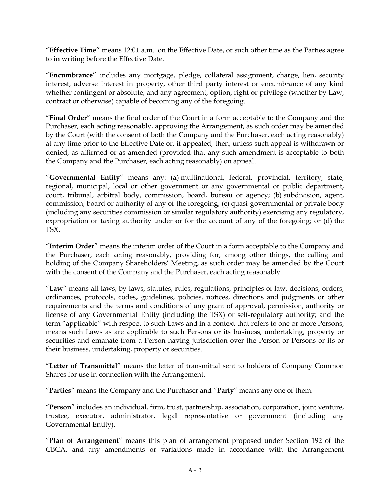"**Effective Time**" means 12:01 a.m. on the Effective Date, or such other time as the Parties agree to in writing before the Effective Date.

"**Encumbrance**" includes any mortgage, pledge, collateral assignment, charge, lien, security interest, adverse interest in property, other third party interest or encumbrance of any kind whether contingent or absolute, and any agreement, option, right or privilege (whether by Law, contract or otherwise) capable of becoming any of the foregoing.

"**Final Order**" means the final order of the Court in a form acceptable to the Company and the Purchaser, each acting reasonably, approving the Arrangement, as such order may be amended by the Court (with the consent of both the Company and the Purchaser, each acting reasonably) at any time prior to the Effective Date or, if appealed, then, unless such appeal is withdrawn or denied, as affirmed or as amended (provided that any such amendment is acceptable to both the Company and the Purchaser, each acting reasonably) on appeal.

"**Governmental Entity**" means any: (a) multinational, federal, provincial, territory, state, regional, municipal, local or other government or any governmental or public department, court, tribunal, arbitral body, commission, board, bureau or agency; (b) subdivision, agent, commission, board or authority of any of the foregoing; (c) quasi-governmental or private body (including any securities commission or similar regulatory authority) exercising any regulatory, expropriation or taxing authority under or for the account of any of the foregoing; or (d) the TSX.

"**Interim Order**" means the interim order of the Court in a form acceptable to the Company and the Purchaser, each acting reasonably, providing for, among other things, the calling and holding of the Company Shareholders' Meeting, as such order may be amended by the Court with the consent of the Company and the Purchaser, each acting reasonably.

"**Law**" means all laws, by-laws, statutes, rules, regulations, principles of law, decisions, orders, ordinances, protocols, codes, guidelines, policies, notices, directions and judgments or other requirements and the terms and conditions of any grant of approval, permission, authority or license of any Governmental Entity (including the TSX) or self-regulatory authority; and the term "applicable" with respect to such Laws and in a context that refers to one or more Persons, means such Laws as are applicable to such Persons or its business, undertaking, property or securities and emanate from a Person having jurisdiction over the Person or Persons or its or their business, undertaking, property or securities.

"**Letter of Transmittal**" means the letter of transmittal sent to holders of Company Common Shares for use in connection with the Arrangement.

"**Parties**" means the Company and the Purchaser and "**Party**" means any one of them.

"**Person**" includes an individual, firm, trust, partnership, association, corporation, joint venture, trustee, executor, administrator, legal representative or government (including any Governmental Entity).

"**Plan of Arrangement**" means this plan of arrangement proposed under Section 192 of the CBCA, and any amendments or variations made in accordance with the Arrangement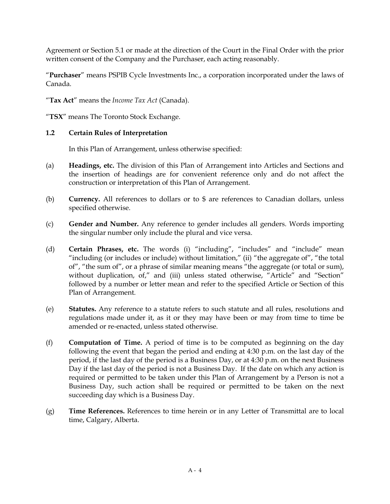Agreement or Section 5.1 or made at the direction of the Court in the Final Order with the prior written consent of the Company and the Purchaser, each acting reasonably.

"**Purchaser**" means PSPIB Cycle Investments Inc., a corporation incorporated under the laws of Canada.

"**Tax Act**" means the *Income Tax Act* (Canada).

"**TSX**" means The Toronto Stock Exchange.

## **1.2 Certain Rules of Interpretation**

In this Plan of Arrangement, unless otherwise specified:

- (a) **Headings, etc.** The division of this Plan of Arrangement into Articles and Sections and the insertion of headings are for convenient reference only and do not affect the construction or interpretation of this Plan of Arrangement.
- (b) **Currency.** All references to dollars or to \$ are references to Canadian dollars, unless specified otherwise.
- (c) **Gender and Number.** Any reference to gender includes all genders. Words importing the singular number only include the plural and vice versa.
- (d) **Certain Phrases, etc.** The words (i) "including", "includes" and "include" mean "including (or includes or include) without limitation," (ii) "the aggregate of", "the total of", "the sum of", or a phrase of similar meaning means "the aggregate (or total or sum), without duplication, of," and (iii) unless stated otherwise, "Article" and "Section" followed by a number or letter mean and refer to the specified Article or Section of this Plan of Arrangement.
- (e) **Statutes.** Any reference to a statute refers to such statute and all rules, resolutions and regulations made under it, as it or they may have been or may from time to time be amended or re-enacted, unless stated otherwise.
- (f) **Computation of Time.** A period of time is to be computed as beginning on the day following the event that began the period and ending at 4:30 p.m. on the last day of the period, if the last day of the period is a Business Day, or at 4:30 p.m. on the next Business Day if the last day of the period is not a Business Day. If the date on which any action is required or permitted to be taken under this Plan of Arrangement by a Person is not a Business Day, such action shall be required or permitted to be taken on the next succeeding day which is a Business Day.
- (g) **Time References.** References to time herein or in any Letter of Transmittal are to local time, Calgary, Alberta.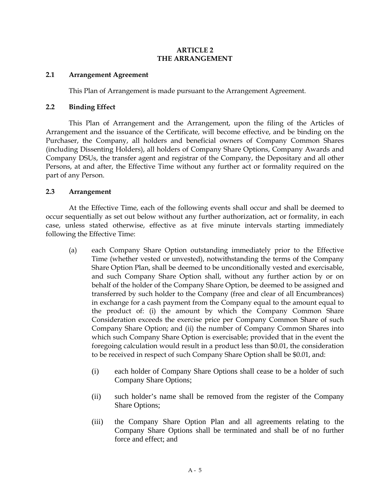### **ARTICLE 2 THE ARRANGEMENT**

### **2.1 Arrangement Agreement**

This Plan of Arrangement is made pursuant to the Arrangement Agreement.

### **2.2 Binding Effect**

This Plan of Arrangement and the Arrangement, upon the filing of the Articles of Arrangement and the issuance of the Certificate, will become effective, and be binding on the Purchaser, the Company, all holders and beneficial owners of Company Common Shares (including Dissenting Holders), all holders of Company Share Options, Company Awards and Company DSUs, the transfer agent and registrar of the Company, the Depositary and all other Persons, at and after, the Effective Time without any further act or formality required on the part of any Person.

### **2.3 Arrangement**

At the Effective Time, each of the following events shall occur and shall be deemed to occur sequentially as set out below without any further authorization, act or formality, in each case, unless stated otherwise, effective as at five minute intervals starting immediately following the Effective Time:

- (a) each Company Share Option outstanding immediately prior to the Effective Time (whether vested or unvested), notwithstanding the terms of the Company Share Option Plan, shall be deemed to be unconditionally vested and exercisable, and such Company Share Option shall, without any further action by or on behalf of the holder of the Company Share Option, be deemed to be assigned and transferred by such holder to the Company (free and clear of all Encumbrances) in exchange for a cash payment from the Company equal to the amount equal to the product of: (i) the amount by which the Company Common Share Consideration exceeds the exercise price per Company Common Share of such Company Share Option; and (ii) the number of Company Common Shares into which such Company Share Option is exercisable; provided that in the event the foregoing calculation would result in a product less than \$0.01, the consideration to be received in respect of such Company Share Option shall be \$0.01, and:
	- (i) each holder of Company Share Options shall cease to be a holder of such Company Share Options;
	- (ii) such holder's name shall be removed from the register of the Company Share Options;
	- (iii) the Company Share Option Plan and all agreements relating to the Company Share Options shall be terminated and shall be of no further force and effect; and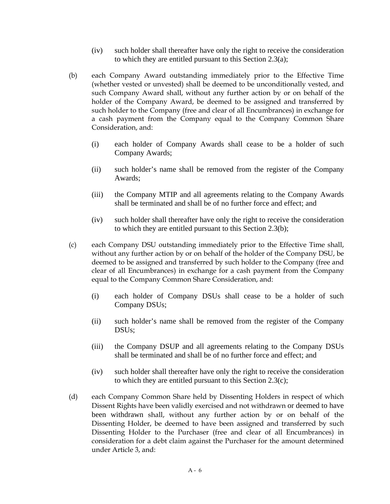- (iv) such holder shall thereafter have only the right to receive the consideration to which they are entitled pursuant to this Section 2.3(a);
- (b) each Company Award outstanding immediately prior to the Effective Time (whether vested or unvested) shall be deemed to be unconditionally vested, and such Company Award shall, without any further action by or on behalf of the holder of the Company Award, be deemed to be assigned and transferred by such holder to the Company (free and clear of all Encumbrances) in exchange for a cash payment from the Company equal to the Company Common Share Consideration, and:
	- (i) each holder of Company Awards shall cease to be a holder of such Company Awards;
	- (ii) such holder's name shall be removed from the register of the Company Awards;
	- (iii) the Company MTIP and all agreements relating to the Company Awards shall be terminated and shall be of no further force and effect; and
	- (iv) such holder shall thereafter have only the right to receive the consideration to which they are entitled pursuant to this Section 2.3(b);
- (c) each Company DSU outstanding immediately prior to the Effective Time shall, without any further action by or on behalf of the holder of the Company DSU, be deemed to be assigned and transferred by such holder to the Company (free and clear of all Encumbrances) in exchange for a cash payment from the Company equal to the Company Common Share Consideration, and:
	- (i) each holder of Company DSUs shall cease to be a holder of such Company DSUs;
	- (ii) such holder's name shall be removed from the register of the Company DSUs;
	- (iii) the Company DSUP and all agreements relating to the Company DSUs shall be terminated and shall be of no further force and effect; and
	- (iv) such holder shall thereafter have only the right to receive the consideration to which they are entitled pursuant to this Section 2.3(c);
- (d) each Company Common Share held by Dissenting Holders in respect of which Dissent Rights have been validly exercised and not withdrawn or deemed to have been withdrawn shall, without any further action by or on behalf of the Dissenting Holder, be deemed to have been assigned and transferred by such Dissenting Holder to the Purchaser (free and clear of all Encumbrances) in consideration for a debt claim against the Purchaser for the amount determined under Article 3, and: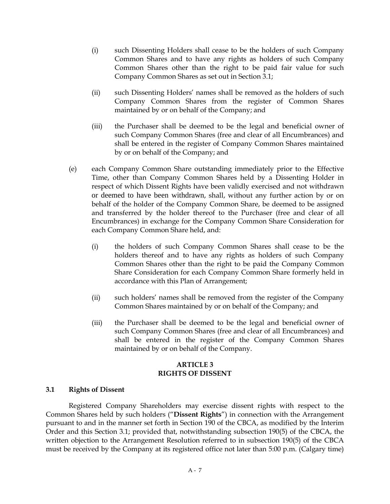- (i) such Dissenting Holders shall cease to be the holders of such Company Common Shares and to have any rights as holders of such Company Common Shares other than the right to be paid fair value for such Company Common Shares as set out in Section 3.1;
- (ii) such Dissenting Holders' names shall be removed as the holders of such Company Common Shares from the register of Common Shares maintained by or on behalf of the Company; and
- (iii) the Purchaser shall be deemed to be the legal and beneficial owner of such Company Common Shares (free and clear of all Encumbrances) and shall be entered in the register of Company Common Shares maintained by or on behalf of the Company; and
- (e) each Company Common Share outstanding immediately prior to the Effective Time, other than Company Common Shares held by a Dissenting Holder in respect of which Dissent Rights have been validly exercised and not withdrawn or deemed to have been withdrawn, shall, without any further action by or on behalf of the holder of the Company Common Share, be deemed to be assigned and transferred by the holder thereof to the Purchaser (free and clear of all Encumbrances) in exchange for the Company Common Share Consideration for each Company Common Share held, and:
	- (i) the holders of such Company Common Shares shall cease to be the holders thereof and to have any rights as holders of such Company Common Shares other than the right to be paid the Company Common Share Consideration for each Company Common Share formerly held in accordance with this Plan of Arrangement;
	- (ii) such holders' names shall be removed from the register of the Company Common Shares maintained by or on behalf of the Company; and
	- (iii) the Purchaser shall be deemed to be the legal and beneficial owner of such Company Common Shares (free and clear of all Encumbrances) and shall be entered in the register of the Company Common Shares maintained by or on behalf of the Company.

### **ARTICLE 3 RIGHTS OF DISSENT**

#### **3.1 Rights of Dissent**

Registered Company Shareholders may exercise dissent rights with respect to the Common Shares held by such holders ("**Dissent Rights**") in connection with the Arrangement pursuant to and in the manner set forth in Section 190 of the CBCA, as modified by the Interim Order and this Section 3.1; provided that, notwithstanding subsection 190(5) of the CBCA, the written objection to the Arrangement Resolution referred to in subsection 190(5) of the CBCA must be received by the Company at its registered office not later than 5:00 p.m. (Calgary time)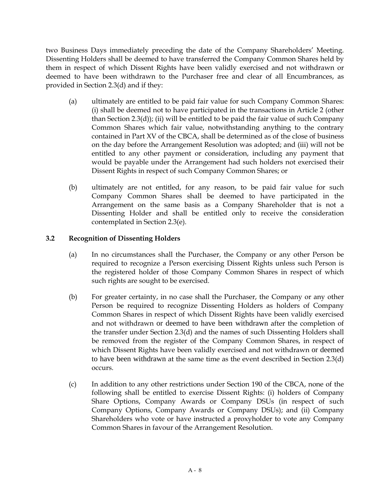two Business Days immediately preceding the date of the Company Shareholders' Meeting. Dissenting Holders shall be deemed to have transferred the Company Common Shares held by them in respect of which Dissent Rights have been validly exercised and not withdrawn or deemed to have been withdrawn to the Purchaser free and clear of all Encumbrances, as provided in Section 2.3(d) and if they:

- (a) ultimately are entitled to be paid fair value for such Company Common Shares: (i) shall be deemed not to have participated in the transactions in Article 2 (other than Section 2.3(d)); (ii) will be entitled to be paid the fair value of such Company Common Shares which fair value, notwithstanding anything to the contrary contained in Part XV of the CBCA, shall be determined as of the close of business on the day before the Arrangement Resolution was adopted; and (iii) will not be entitled to any other payment or consideration, including any payment that would be payable under the Arrangement had such holders not exercised their Dissent Rights in respect of such Company Common Shares; or
- (b) ultimately are not entitled, for any reason, to be paid fair value for such Company Common Shares shall be deemed to have participated in the Arrangement on the same basis as a Company Shareholder that is not a Dissenting Holder and shall be entitled only to receive the consideration contemplated in Section 2.3(e).

# **3.2 Recognition of Dissenting Holders**

- (a) In no circumstances shall the Purchaser, the Company or any other Person be required to recognize a Person exercising Dissent Rights unless such Person is the registered holder of those Company Common Shares in respect of which such rights are sought to be exercised.
- (b) For greater certainty, in no case shall the Purchaser, the Company or any other Person be required to recognize Dissenting Holders as holders of Company Common Shares in respect of which Dissent Rights have been validly exercised and not withdrawn or deemed to have been withdrawn after the completion of the transfer under Section 2.3(d) and the names of such Dissenting Holders shall be removed from the register of the Company Common Shares, in respect of which Dissent Rights have been validly exercised and not withdrawn or deemed to have been withdrawn at the same time as the event described in Section 2.3(d) occurs.
- (c) In addition to any other restrictions under Section 190 of the CBCA, none of the following shall be entitled to exercise Dissent Rights: (i) holders of Company Share Options, Company Awards or Company DSUs (in respect of such Company Options, Company Awards or Company DSUs); and (ii) Company Shareholders who vote or have instructed a proxyholder to vote any Company Common Shares in favour of the Arrangement Resolution.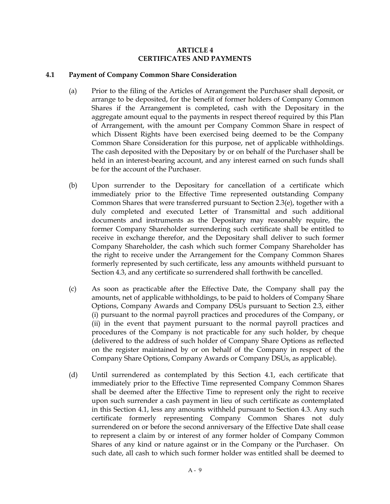## **ARTICLE 4 CERTIFICATES AND PAYMENTS**

#### **4.1 Payment of Company Common Share Consideration**

- (a) Prior to the filing of the Articles of Arrangement the Purchaser shall deposit, or arrange to be deposited, for the benefit of former holders of Company Common Shares if the Arrangement is completed, cash with the Depositary in the aggregate amount equal to the payments in respect thereof required by this Plan of Arrangement, with the amount per Company Common Share in respect of which Dissent Rights have been exercised being deemed to be the Company Common Share Consideration for this purpose, net of applicable withholdings. The cash deposited with the Depositary by or on behalf of the Purchaser shall be held in an interest-bearing account, and any interest earned on such funds shall be for the account of the Purchaser.
- (b) Upon surrender to the Depositary for cancellation of a certificate which immediately prior to the Effective Time represented outstanding Company Common Shares that were transferred pursuant to Section 2.3(e), together with a duly completed and executed Letter of Transmittal and such additional documents and instruments as the Depositary may reasonably require, the former Company Shareholder surrendering such certificate shall be entitled to receive in exchange therefor, and the Depositary shall deliver to such former Company Shareholder, the cash which such former Company Shareholder has the right to receive under the Arrangement for the Company Common Shares formerly represented by such certificate, less any amounts withheld pursuant to Section 4.3, and any certificate so surrendered shall forthwith be cancelled.
- (c) As soon as practicable after the Effective Date, the Company shall pay the amounts, net of applicable withholdings, to be paid to holders of Company Share Options, Company Awards and Company DSUs pursuant to Section 2.3, either (i) pursuant to the normal payroll practices and procedures of the Company, or (ii) in the event that payment pursuant to the normal payroll practices and procedures of the Company is not practicable for any such holder, by cheque (delivered to the address of such holder of Company Share Options as reflected on the register maintained by or on behalf of the Company in respect of the Company Share Options, Company Awards or Company DSUs, as applicable).
- (d) Until surrendered as contemplated by this Section 4.1, each certificate that immediately prior to the Effective Time represented Company Common Shares shall be deemed after the Effective Time to represent only the right to receive upon such surrender a cash payment in lieu of such certificate as contemplated in this Section 4.1, less any amounts withheld pursuant to Section 4.3. Any such certificate formerly representing Company Common Shares not duly surrendered on or before the second anniversary of the Effective Date shall cease to represent a claim by or interest of any former holder of Company Common Shares of any kind or nature against or in the Company or the Purchaser. On such date, all cash to which such former holder was entitled shall be deemed to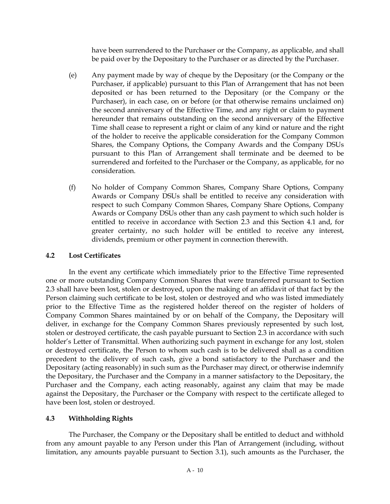have been surrendered to the Purchaser or the Company, as applicable, and shall be paid over by the Depositary to the Purchaser or as directed by the Purchaser.

- (e) Any payment made by way of cheque by the Depositary (or the Company or the Purchaser, if applicable) pursuant to this Plan of Arrangement that has not been deposited or has been returned to the Depositary (or the Company or the Purchaser), in each case, on or before (or that otherwise remains unclaimed on) the second anniversary of the Effective Time, and any right or claim to payment hereunder that remains outstanding on the second anniversary of the Effective Time shall cease to represent a right or claim of any kind or nature and the right of the holder to receive the applicable consideration for the Company Common Shares, the Company Options, the Company Awards and the Company DSUs pursuant to this Plan of Arrangement shall terminate and be deemed to be surrendered and forfeited to the Purchaser or the Company, as applicable, for no consideration.
- (f) No holder of Company Common Shares, Company Share Options, Company Awards or Company DSUs shall be entitled to receive any consideration with respect to such Company Common Shares, Company Share Options, Company Awards or Company DSUs other than any cash payment to which such holder is entitled to receive in accordance with Section 2.3 and this Section 4.1 and, for greater certainty, no such holder will be entitled to receive any interest, dividends, premium or other payment in connection therewith.

# **4.2 Lost Certificates**

In the event any certificate which immediately prior to the Effective Time represented one or more outstanding Company Common Shares that were transferred pursuant to Section 2.3 shall have been lost, stolen or destroyed, upon the making of an affidavit of that fact by the Person claiming such certificate to be lost, stolen or destroyed and who was listed immediately prior to the Effective Time as the registered holder thereof on the register of holders of Company Common Shares maintained by or on behalf of the Company, the Depositary will deliver, in exchange for the Company Common Shares previously represented by such lost, stolen or destroyed certificate, the cash payable pursuant to Section 2.3 in accordance with such holder's Letter of Transmittal. When authorizing such payment in exchange for any lost, stolen or destroyed certificate, the Person to whom such cash is to be delivered shall as a condition precedent to the delivery of such cash, give a bond satisfactory to the Purchaser and the Depositary (acting reasonably) in such sum as the Purchaser may direct, or otherwise indemnify the Depositary, the Purchaser and the Company in a manner satisfactory to the Depositary, the Purchaser and the Company, each acting reasonably, against any claim that may be made against the Depositary, the Purchaser or the Company with respect to the certificate alleged to have been lost, stolen or destroyed.

# **4.3 Withholding Rights**

The Purchaser, the Company or the Depositary shall be entitled to deduct and withhold from any amount payable to any Person under this Plan of Arrangement (including, without limitation, any amounts payable pursuant to Section 3.1), such amounts as the Purchaser, the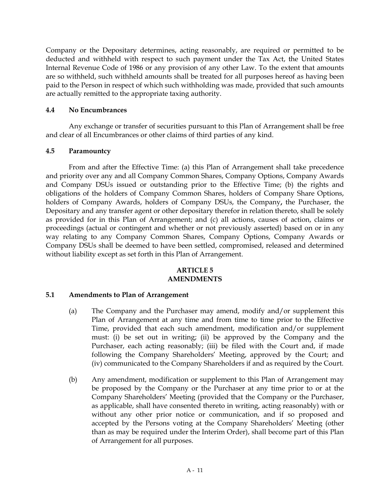Company or the Depositary determines, acting reasonably, are required or permitted to be deducted and withheld with respect to such payment under the Tax Act, the United States Internal Revenue Code of 1986 or any provision of any other Law. To the extent that amounts are so withheld, such withheld amounts shall be treated for all purposes hereof as having been paid to the Person in respect of which such withholding was made, provided that such amounts are actually remitted to the appropriate taxing authority.

# **4.4 No Encumbrances**

Any exchange or transfer of securities pursuant to this Plan of Arrangement shall be free and clear of all Encumbrances or other claims of third parties of any kind.

# **4.5 Paramountcy**

From and after the Effective Time: (a) this Plan of Arrangement shall take precedence and priority over any and all Company Common Shares, Company Options, Company Awards and Company DSUs issued or outstanding prior to the Effective Time; (b) the rights and obligations of the holders of Company Common Shares, holders of Company Share Options, holders of Company Awards, holders of Company DSUs, the Company**,** the Purchaser, the Depositary and any transfer agent or other depositary therefor in relation thereto, shall be solely as provided for in this Plan of Arrangement; and (c) all actions, causes of action, claims or proceedings (actual or contingent and whether or not previously asserted) based on or in any way relating to any Company Common Shares, Company Options, Company Awards or Company DSUs shall be deemed to have been settled, compromised, released and determined without liability except as set forth in this Plan of Arrangement.

## **ARTICLE 5 AMENDMENTS**

# **5.1 Amendments to Plan of Arrangement**

- (a) The Company and the Purchaser may amend, modify and/or supplement this Plan of Arrangement at any time and from time to time prior to the Effective Time, provided that each such amendment, modification and/or supplement must: (i) be set out in writing; (ii) be approved by the Company and the Purchaser, each acting reasonably; (iii) be filed with the Court and, if made following the Company Shareholders' Meeting, approved by the Court; and (iv) communicated to the Company Shareholders if and as required by the Court.
- (b) Any amendment, modification or supplement to this Plan of Arrangement may be proposed by the Company or the Purchaser at any time prior to or at the Company Shareholders' Meeting (provided that the Company or the Purchaser, as applicable, shall have consented thereto in writing, acting reasonably) with or without any other prior notice or communication, and if so proposed and accepted by the Persons voting at the Company Shareholders' Meeting (other than as may be required under the Interim Order), shall become part of this Plan of Arrangement for all purposes.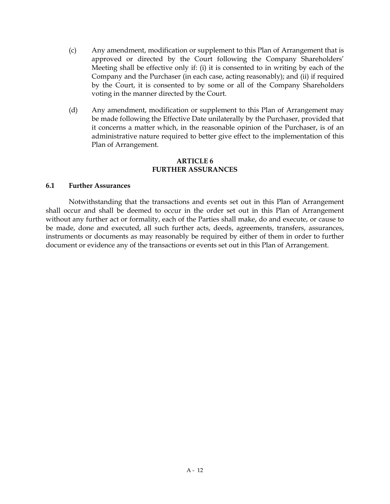- (c) Any amendment, modification or supplement to this Plan of Arrangement that is approved or directed by the Court following the Company Shareholders' Meeting shall be effective only if: (i) it is consented to in writing by each of the Company and the Purchaser (in each case, acting reasonably); and (ii) if required by the Court, it is consented to by some or all of the Company Shareholders voting in the manner directed by the Court.
- (d) Any amendment, modification or supplement to this Plan of Arrangement may be made following the Effective Date unilaterally by the Purchaser, provided that it concerns a matter which, in the reasonable opinion of the Purchaser, is of an administrative nature required to better give effect to the implementation of this Plan of Arrangement.

#### **ARTICLE 6 FURTHER ASSURANCES**

## **6.1 Further Assurances**

Notwithstanding that the transactions and events set out in this Plan of Arrangement shall occur and shall be deemed to occur in the order set out in this Plan of Arrangement without any further act or formality, each of the Parties shall make, do and execute, or cause to be made, done and executed, all such further acts, deeds, agreements, transfers, assurances, instruments or documents as may reasonably be required by either of them in order to further document or evidence any of the transactions or events set out in this Plan of Arrangement.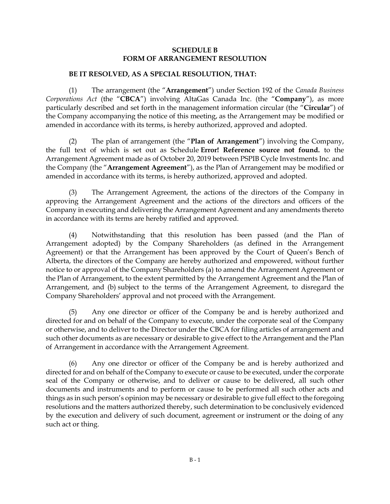#### **SCHEDULE B FORM OF ARRANGEMENT RESOLUTION**

#### **BE IT RESOLVED, AS A SPECIAL RESOLUTION, THAT:**

(1) The arrangement (the "**Arrangement**") under Section 192 of the *Canada Business Corporations Act* (the "**CBCA**") involving AltaGas Canada Inc. (the "**Company**"), as more particularly described and set forth in the management information circular (the "**Circular**") of the Company accompanying the notice of this meeting, as the Arrangement may be modified or amended in accordance with its terms, is hereby authorized, approved and adopted.

(2) The plan of arrangement (the "**Plan of Arrangement**") involving the Company, the full text of which is set out as Schedule **Error! Reference source not found.** to the Arrangement Agreement made as of October 20, 2019 between PSPIB Cycle Investments Inc. and the Company (the "**Arrangement Agreement**"), as the Plan of Arrangement may be modified or amended in accordance with its terms, is hereby authorized, approved and adopted.

(3) The Arrangement Agreement, the actions of the directors of the Company in approving the Arrangement Agreement and the actions of the directors and officers of the Company in executing and delivering the Arrangement Agreement and any amendments thereto in accordance with its terms are hereby ratified and approved.

(4) Notwithstanding that this resolution has been passed (and the Plan of Arrangement adopted) by the Company Shareholders (as defined in the Arrangement Agreement) or that the Arrangement has been approved by the Court of Queen's Bench of Alberta, the directors of the Company are hereby authorized and empowered, without further notice to or approval of the Company Shareholders (a) to amend the Arrangement Agreement or the Plan of Arrangement, to the extent permitted by the Arrangement Agreement and the Plan of Arrangement, and (b) subject to the terms of the Arrangement Agreement, to disregard the Company Shareholders' approval and not proceed with the Arrangement.

(5) Any one director or officer of the Company be and is hereby authorized and directed for and on behalf of the Company to execute, under the corporate seal of the Company or otherwise, and to deliver to the Director under the CBCA for filing articles of arrangement and such other documents as are necessary or desirable to give effect to the Arrangement and the Plan of Arrangement in accordance with the Arrangement Agreement.

(6) Any one director or officer of the Company be and is hereby authorized and directed for and on behalf of the Company to execute or cause to be executed, under the corporate seal of the Company or otherwise, and to deliver or cause to be delivered, all such other documents and instruments and to perform or cause to be performed all such other acts and things as in such person's opinion may be necessary or desirable to give full effect to the foregoing resolutions and the matters authorized thereby, such determination to be conclusively evidenced by the execution and delivery of such document, agreement or instrument or the doing of any such act or thing.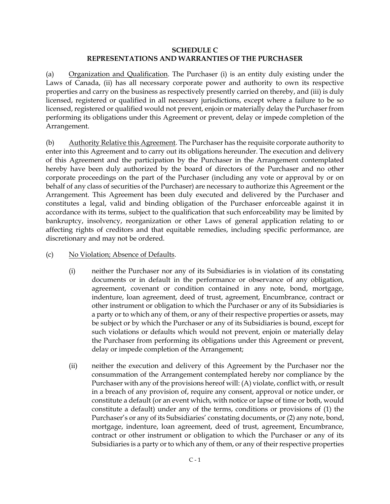## **SCHEDULE C REPRESENTATIONS AND WARRANTIES OF THE PURCHASER**

(a) Organization and Qualification. The Purchaser (i) is an entity duly existing under the Laws of Canada, (ii) has all necessary corporate power and authority to own its respective properties and carry on the business as respectively presently carried on thereby, and (iii) is duly licensed, registered or qualified in all necessary jurisdictions, except where a failure to be so licensed, registered or qualified would not prevent, enjoin or materially delay the Purchaser from performing its obligations under this Agreement or prevent, delay or impede completion of the Arrangement.

(b) Authority Relative this Agreement. The Purchaser has the requisite corporate authority to enter into this Agreement and to carry out its obligations hereunder. The execution and delivery of this Agreement and the participation by the Purchaser in the Arrangement contemplated hereby have been duly authorized by the board of directors of the Purchaser and no other corporate proceedings on the part of the Purchaser (including any vote or approval by or on behalf of any class of securities of the Purchaser) are necessary to authorize this Agreement or the Arrangement. This Agreement has been duly executed and delivered by the Purchaser and constitutes a legal, valid and binding obligation of the Purchaser enforceable against it in accordance with its terms, subject to the qualification that such enforceability may be limited by bankruptcy, insolvency, reorganization or other Laws of general application relating to or affecting rights of creditors and that equitable remedies, including specific performance, are discretionary and may not be ordered.

- <span id="page-77-1"></span><span id="page-77-0"></span>(c) No Violation; Absence of Defaults.
	- (i) neither the Purchaser nor any of its Subsidiaries is in violation of its constating documents or in default in the performance or observance of any obligation, agreement, covenant or condition contained in any note, bond, mortgage, indenture, loan agreement, deed of trust, agreement, Encumbrance, contract or other instrument or obligation to which the Purchaser or any of its Subsidiaries is a party or to which any of them, or any of their respective properties or assets, may be subject or by which the Purchaser or any of its Subsidiaries is bound, except for such violations or defaults which would not prevent, enjoin or materially delay the Purchaser from performing its obligations under this Agreement or prevent, delay or impede completion of the Arrangement;
	- (ii) neither the execution and delivery of this Agreement by the Purchaser nor the consummation of the Arrangement contemplated hereby nor compliance by the Purchaser with any of the provisions hereof will: (A) violate, conflict with, or result in a breach of any provision of, require any consent, approval or notice under, or constitute a default (or an event which, with notice or lapse of time or both, would constitute a default) under any of the terms, conditions or provisions of (1) the Purchaser's or any of its Subsidiaries' constating documents, or (2) any note, bond, mortgage, indenture, loan agreement, deed of trust, agreement, Encumbrance, contract or other instrument or obligation to which the Purchaser or any of its Subsidiaries is a party or to which any of them, or any of their respective properties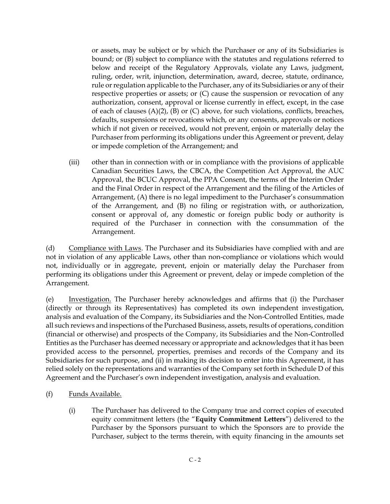<span id="page-78-1"></span><span id="page-78-0"></span>or assets, may be subject or by which the Purchaser or any of its Subsidiaries is bound; or (B) subject to compliance with the statutes and regulations referred to below and receipt of the Regulatory Approvals, violate any Laws, judgment, ruling, order, writ, injunction, determination, award, decree, statute, ordinance, rule or regulation applicable to the Purchaser, any of its Subsidiaries or any of their respective properties or assets; or (C) cause the suspension or revocation of any authorization, consent, approval or license currently in effect, except, in the case of each of clauses [\(A\)](#page-77-0)[\(2\),](#page-77-1) [\(B\)](#page-78-0) or [\(C\) above,](#page-78-1) for such violations, conflicts, breaches, defaults, suspensions or revocations which, or any consents, approvals or notices which if not given or received, would not prevent, enjoin or materially delay the Purchaser from performing its obligations under this Agreement or prevent, delay or impede completion of the Arrangement; and

(iii) other than in connection with or in compliance with the provisions of applicable Canadian Securities Laws, the CBCA, the Competition Act Approval, the AUC Approval, the BCUC Approval, the PPA Consent, the terms of the Interim Order and the Final Order in respect of the Arrangement and the filing of the Articles of Arrangement, (A) there is no legal impediment to the Purchaser's consummation of the Arrangement, and (B) no filing or registration with, or authorization, consent or approval of, any domestic or foreign public body or authority is required of the Purchaser in connection with the consummation of the Arrangement.

(d) Compliance with Laws. The Purchaser and its Subsidiaries have complied with and are not in violation of any applicable Laws, other than non-compliance or violations which would not, individually or in aggregate, prevent, enjoin or materially delay the Purchaser from performing its obligations under this Agreement or prevent, delay or impede completion of the Arrangement.

(e) Investigation. The Purchaser hereby acknowledges and affirms that (i) the Purchaser (directly or through its Representatives) has completed its own independent investigation, analysis and evaluation of the Company, its Subsidiaries and the Non-Controlled Entities, made all such reviews and inspections of the Purchased Business, assets, results of operations, condition (financial or otherwise) and prospects of the Company, its Subsidiaries and the Non-Controlled Entities as the Purchaser has deemed necessary or appropriate and acknowledges that it has been provided access to the personnel, properties, premises and records of the Company and its Subsidiaries for such purpose, and (ii) in making its decision to enter into this Agreement, it has relied solely on the representations and warranties of the Company set forth in Schedule D of this Agreement and the Purchaser's own independent investigation, analysis and evaluation.

- (f) Funds Available.
	- (i) The Purchaser has delivered to the Company true and correct copies of executed equity commitment letters (the "**Equity Commitment Letters**") delivered to the Purchaser by the Sponsors pursuant to which the Sponsors are to provide the Purchaser, subject to the terms therein, with equity financing in the amounts set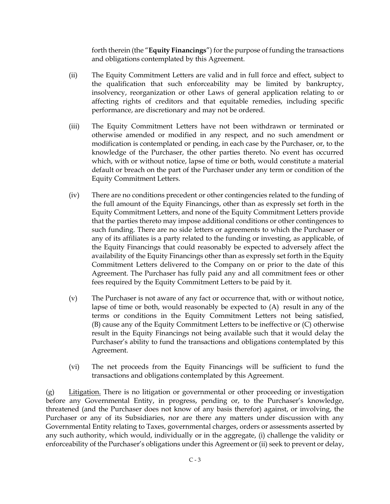forth therein (the "**Equity Financings**") for the purpose of funding the transactions and obligations contemplated by this Agreement.

- (ii) The Equity Commitment Letters are valid and in full force and effect, subject to the qualification that such enforceability may be limited by bankruptcy, insolvency, reorganization or other Laws of general application relating to or affecting rights of creditors and that equitable remedies, including specific performance, are discretionary and may not be ordered.
- (iii) The Equity Commitment Letters have not been withdrawn or terminated or otherwise amended or modified in any respect, and no such amendment or modification is contemplated or pending, in each case by the Purchaser, or, to the knowledge of the Purchaser, the other parties thereto. No event has occurred which, with or without notice, lapse of time or both, would constitute a material default or breach on the part of the Purchaser under any term or condition of the Equity Commitment Letters.
- (iv) There are no conditions precedent or other contingencies related to the funding of the full amount of the Equity Financings, other than as expressly set forth in the Equity Commitment Letters, and none of the Equity Commitment Letters provide that the parties thereto may impose additional conditions or other contingences to such funding. There are no side letters or agreements to which the Purchaser or any of its affiliates is a party related to the funding or investing, as applicable, of the Equity Financings that could reasonably be expected to adversely affect the availability of the Equity Financings other than as expressly set forth in the Equity Commitment Letters delivered to the Company on or prior to the date of this Agreement. The Purchaser has fully paid any and all commitment fees or other fees required by the Equity Commitment Letters to be paid by it.
- (v) The Purchaser is not aware of any fact or occurrence that, with or without notice, lapse of time or both, would reasonably be expected to (A) result in any of the terms or conditions in the Equity Commitment Letters not being satisfied, (B) cause any of the Equity Commitment Letters to be ineffective or (C) otherwise result in the Equity Financings not being available such that it would delay the Purchaser's ability to fund the transactions and obligations contemplated by this Agreement.
- (vi) The net proceeds from the Equity Financings will be sufficient to fund the transactions and obligations contemplated by this Agreement.

(g) Litigation. There is no litigation or governmental or other proceeding or investigation before any Governmental Entity, in progress, pending or, to the Purchaser's knowledge, threatened (and the Purchaser does not know of any basis therefor) against, or involving, the Purchaser or any of its Subsidiaries, nor are there any matters under discussion with any Governmental Entity relating to Taxes, governmental charges, orders or assessments asserted by any such authority, which would, individually or in the aggregate, (i) challenge the validity or enforceability of the Purchaser's obligations under this Agreement or (ii) seek to prevent or delay,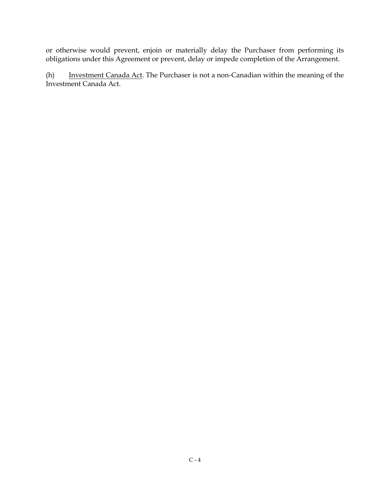or otherwise would prevent, enjoin or materially delay the Purchaser from performing its obligations under this Agreement or prevent, delay or impede completion of the Arrangement.

(h) Investment Canada Act. The Purchaser is not a non-Canadian within the meaning of the Investment Canada Act.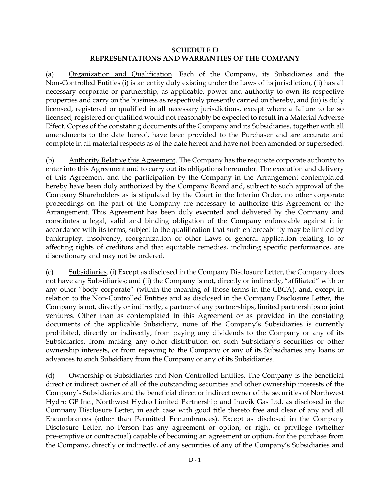#### **SCHEDULE D REPRESENTATIONS AND WARRANTIES OF THE COMPANY**

(a) Organization and Qualification. Each of the Company, its Subsidiaries and the Non-Controlled Entities (i) is an entity duly existing under the Laws of its jurisdiction, (ii) has all necessary corporate or partnership, as applicable, power and authority to own its respective properties and carry on the business as respectively presently carried on thereby, and (iii) is duly licensed, registered or qualified in all necessary jurisdictions, except where a failure to be so licensed, registered or qualified would not reasonably be expected to result in a Material Adverse Effect. Copies of the constating documents of the Company and its Subsidiaries, together with all amendments to the date hereof, have been provided to the Purchaser and are accurate and complete in all material respects as of the date hereof and have not been amended or superseded.

(b) Authority Relative this Agreement. The Company has the requisite corporate authority to enter into this Agreement and to carry out its obligations hereunder. The execution and delivery of this Agreement and the participation by the Company in the Arrangement contemplated hereby have been duly authorized by the Company Board and, subject to such approval of the Company Shareholders as is stipulated by the Court in the Interim Order, no other corporate proceedings on the part of the Company are necessary to authorize this Agreement or the Arrangement. This Agreement has been duly executed and delivered by the Company and constitutes a legal, valid and binding obligation of the Company enforceable against it in accordance with its terms, subject to the qualification that such enforceability may be limited by bankruptcy, insolvency, reorganization or other Laws of general application relating to or affecting rights of creditors and that equitable remedies, including specific performance, are discretionary and may not be ordered.

(c) Subsidiaries. (i) Except as disclosed in the Company Disclosure Letter, the Company does not have any Subsidiaries; and (ii) the Company is not, directly or indirectly, "affiliated" with or any other "body corporate" (within the meaning of those terms in the CBCA), and, except in relation to the Non-Controlled Entities and as disclosed in the Company Disclosure Letter, the Company is not, directly or indirectly, a partner of any partnerships, limited partnerships or joint ventures. Other than as contemplated in this Agreement or as provided in the constating documents of the applicable Subsidiary, none of the Company's Subsidiaries is currently prohibited, directly or indirectly, from paying any dividends to the Company or any of its Subsidiaries, from making any other distribution on such Subsidiary's securities or other ownership interests, or from repaying to the Company or any of its Subsidiaries any loans or advances to such Subsidiary from the Company or any of its Subsidiaries.

(d) Ownership of Subsidiaries and Non-Controlled Entities. The Company is the beneficial direct or indirect owner of all of the outstanding securities and other ownership interests of the Company's Subsidiaries and the beneficial direct or indirect owner of the securities of Northwest Hydro GP Inc., Northwest Hydro Limited Partnership and Inuvik Gas Ltd. as disclosed in the Company Disclosure Letter, in each case with good title thereto free and clear of any and all Encumbrances (other than Permitted Encumbrances). Except as disclosed in the Company Disclosure Letter, no Person has any agreement or option, or right or privilege (whether pre-emptive or contractual) capable of becoming an agreement or option, for the purchase from the Company, directly or indirectly, of any securities of any of the Company's Subsidiaries and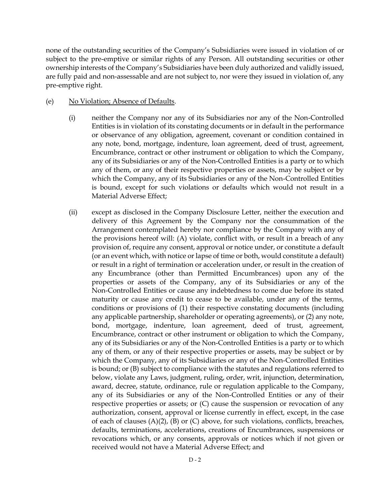none of the outstanding securities of the Company's Subsidiaries were issued in violation of or subject to the pre-emptive or similar rights of any Person. All outstanding securities or other ownership interests of the Company's Subsidiaries have been duly authorized and validly issued, are fully paid and non-assessable and are not subject to, nor were they issued in violation of, any pre-emptive right.

#### (e) No Violation; Absence of Defaults.

- (i) neither the Company nor any of its Subsidiaries nor any of the Non-Controlled Entities is in violation of its constating documents or in default in the performance or observance of any obligation, agreement, covenant or condition contained in any note, bond, mortgage, indenture, loan agreement, deed of trust, agreement, Encumbrance, contract or other instrument or obligation to which the Company, any of its Subsidiaries or any of the Non-Controlled Entities is a party or to which any of them, or any of their respective properties or assets, may be subject or by which the Company, any of its Subsidiaries or any of the Non-Controlled Entities is bound, except for such violations or defaults which would not result in a Material Adverse Effect;
- <span id="page-82-3"></span><span id="page-82-2"></span><span id="page-82-1"></span><span id="page-82-0"></span>(ii) except as disclosed in the Company Disclosure Letter, neither the execution and delivery of this Agreement by the Company nor the consummation of the Arrangement contemplated hereby nor compliance by the Company with any of the provisions hereof will: (A) violate, conflict with, or result in a breach of any provision of, require any consent, approval or notice under, or constitute a default (or an event which, with notice or lapse of time or both, would constitute a default) or result in a right of termination or acceleration under, or result in the creation of any Encumbrance (other than Permitted Encumbrances) upon any of the properties or assets of the Company, any of its Subsidiaries or any of the Non-Controlled Entities or cause any indebtedness to come due before its stated maturity or cause any credit to cease to be available, under any of the terms, conditions or provisions of (1) their respective constating documents (including any applicable partnership, shareholder or operating agreements), or (2) any note, bond, mortgage, indenture, loan agreement, deed of trust, agreement, Encumbrance, contract or other instrument or obligation to which the Company, any of its Subsidiaries or any of the Non-Controlled Entities is a party or to which any of them, or any of their respective properties or assets, may be subject or by which the Company, any of its Subsidiaries or any of the Non-Controlled Entities is bound; or (B) subject to compliance with the statutes and regulations referred to below, violate any Laws, judgment, ruling, order, writ, injunction, determination, award, decree, statute, ordinance, rule or regulation applicable to the Company, any of its Subsidiaries or any of the Non-Controlled Entities or any of their respective properties or assets; or (C) cause the suspension or revocation of any authorization, consent, approval or license currently in effect, except, in the case of each of clauses  $(A)(2)$  $(A)(2)$ ,  $(B)$  or  $(C)$  above, for such violations, conflicts, breaches, defaults, terminations, accelerations, creations of Encumbrances, suspensions or revocations which, or any consents, approvals or notices which if not given or received would not have a Material Adverse Effect; and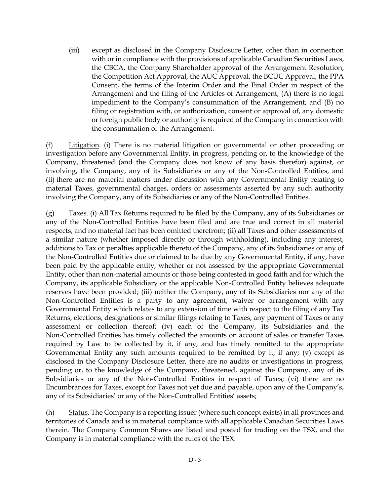(iii) except as disclosed in the Company Disclosure Letter, other than in connection with or in compliance with the provisions of applicable Canadian Securities Laws, the CBCA, the Company Shareholder approval of the Arrangement Resolution, the Competition Act Approval, the AUC Approval, the BCUC Approval, the PPA Consent, the terms of the Interim Order and the Final Order in respect of the Arrangement and the filing of the Articles of Arrangement, (A) there is no legal impediment to the Company's consummation of the Arrangement, and (B) no filing or registration with, or authorization, consent or approval of, any domestic or foreign public body or authority is required of the Company in connection with the consummation of the Arrangement.

(f) Litigation. (i) There is no material litigation or governmental or other proceeding or investigation before any Governmental Entity, in progress, pending or, to the knowledge of the Company, threatened (and the Company does not know of any basis therefor) against, or involving, the Company, any of its Subsidiaries or any of the Non-Controlled Entities, and (ii) there are no material matters under discussion with any Governmental Entity relating to material Taxes, governmental charges, orders or assessments asserted by any such authority involving the Company, any of its Subsidiaries or any of the Non-Controlled Entities.

 $(g)$  Taxes. (i) All Tax Returns required to be filed by the Company, any of its Subsidiaries or any of the Non-Controlled Entities have been filed and are true and correct in all material respects, and no material fact has been omitted therefrom; (ii) all Taxes and other assessments of a similar nature (whether imposed directly or through withholding), including any interest, additions to Tax or penalties applicable thereto of the Company, any of its Subsidiaries or any of the Non-Controlled Entities due or claimed to be due by any Governmental Entity, if any, have been paid by the applicable entity, whether or not assessed by the appropriate Governmental Entity, other than non-material amounts or those being contested in good faith and for which the Company, its applicable Subsidiary or the applicable Non-Controlled Entity believes adequate reserves have been provided; (iii) neither the Company, any of its Subsidiaries nor any of the Non-Controlled Entities is a party to any agreement, waiver or arrangement with any Governmental Entity which relates to any extension of time with respect to the filing of any Tax Returns, elections, designations or similar filings relating to Taxes, any payment of Taxes or any assessment or collection thereof; (iv) each of the Company, its Subsidiaries and the Non-Controlled Entities has timely collected the amounts on account of sales or transfer Taxes required by Law to be collected by it, if any, and has timely remitted to the appropriate Governmental Entity any such amounts required to be remitted by it, if any; (v) except as disclosed in the Company Disclosure Letter, there are no audits or investigations in progress, pending or, to the knowledge of the Company, threatened, against the Company, any of its Subsidiaries or any of the Non-Controlled Entities in respect of Taxes; (vi) there are no Encumbrances for Taxes, except for Taxes not yet due and payable, upon any of the Company's, any of its Subsidiaries' or any of the Non-Controlled Entities' assets;

(h) Status. The Company is a reporting issuer (where such concept exists) in all provinces and territories of Canada and is in material compliance with all applicable Canadian Securities Laws therein. The Company Common Shares are listed and posted for trading on the TSX, and the Company is in material compliance with the rules of the TSX.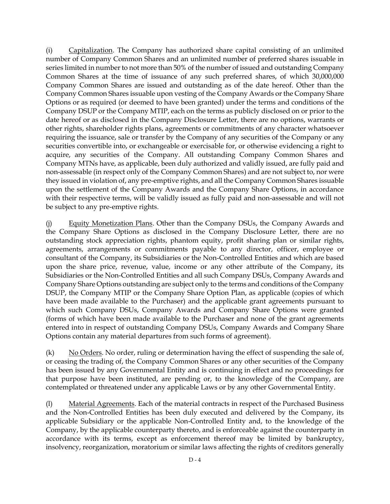(i) Capitalization. The Company has authorized share capital consisting of an unlimited number of Company Common Shares and an unlimited number of preferred shares issuable in series limited in number to not more than 50% of the number of issued and outstanding Company Common Shares at the time of issuance of any such preferred shares, of which 30,000,000 Company Common Shares are issued and outstanding as of the date hereof. Other than the Company Common Shares issuable upon vesting of the Company Awards or the Company Share Options or as required (or deemed to have been granted) under the terms and conditions of the Company DSUP or the Company MTIP, each on the terms as publicly disclosed on or prior to the date hereof or as disclosed in the Company Disclosure Letter, there are no options, warrants or other rights, shareholder rights plans, agreements or commitments of any character whatsoever requiring the issuance, sale or transfer by the Company of any securities of the Company or any securities convertible into, or exchangeable or exercisable for, or otherwise evidencing a right to acquire, any securities of the Company. All outstanding Company Common Shares and Company MTNs have, as applicable, been duly authorized and validly issued, are fully paid and non-assessable (in respect only of the Company Common Shares) and are not subject to, nor were they issued in violation of, any pre-emptive rights, and all the Company Common Shares issuable upon the settlement of the Company Awards and the Company Share Options, in accordance with their respective terms, will be validly issued as fully paid and non-assessable and will not be subject to any pre-emptive rights.

(j) Equity Monetization Plans. Other than the Company DSUs, the Company Awards and the Company Share Options as disclosed in the Company Disclosure Letter, there are no outstanding stock appreciation rights, phantom equity, profit sharing plan or similar rights, agreements, arrangements or commitments payable to any director, officer, employee or consultant of the Company, its Subsidiaries or the Non-Controlled Entities and which are based upon the share price, revenue, value, income or any other attribute of the Company, its Subsidiaries or the Non-Controlled Entities and all such Company DSUs, Company Awards and Company Share Options outstanding are subject only to the terms and conditions of the Company DSUP, the Company MTIP or the Company Share Option Plan, as applicable (copies of which have been made available to the Purchaser) and the applicable grant agreements pursuant to which such Company DSUs, Company Awards and Company Share Options were granted (forms of which have been made available to the Purchaser and none of the grant agreements entered into in respect of outstanding Company DSUs, Company Awards and Company Share Options contain any material departures from such forms of agreement).

 $(k)$  No Orders. No order, ruling or determination having the effect of suspending the sale of, or ceasing the trading of, the Company Common Shares or any other securities of the Company has been issued by any Governmental Entity and is continuing in effect and no proceedings for that purpose have been instituted, are pending or, to the knowledge of the Company, are contemplated or threatened under any applicable Laws or by any other Governmental Entity.

(l) Material Agreements. Each of the material contracts in respect of the Purchased Business and the Non-Controlled Entities has been duly executed and delivered by the Company, its applicable Subsidiary or the applicable Non-Controlled Entity and, to the knowledge of the Company, by the applicable counterparty thereto, and is enforceable against the counterparty in accordance with its terms, except as enforcement thereof may be limited by bankruptcy, insolvency, reorganization, moratorium or similar laws affecting the rights of creditors generally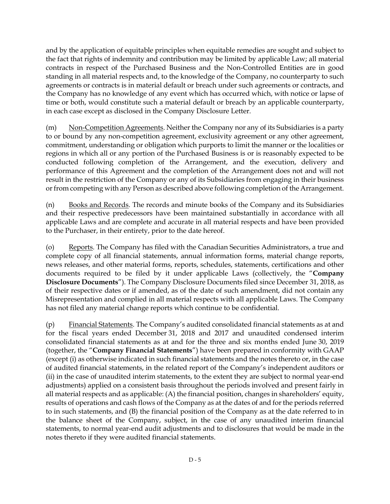and by the application of equitable principles when equitable remedies are sought and subject to the fact that rights of indemnity and contribution may be limited by applicable Law; all material contracts in respect of the Purchased Business and the Non-Controlled Entities are in good standing in all material respects and, to the knowledge of the Company, no counterparty to such agreements or contracts is in material default or breach under such agreements or contracts, and the Company has no knowledge of any event which has occurred which, with notice or lapse of time or both, would constitute such a material default or breach by an applicable counterparty, in each case except as disclosed in the Company Disclosure Letter.

(m) Non-Competition Agreements. Neither the Company nor any of its Subsidiaries is a party to or bound by any non-competition agreement, exclusivity agreement or any other agreement, commitment, understanding or obligation which purports to limit the manner or the localities or regions in which all or any portion of the Purchased Business is or is reasonably expected to be conducted following completion of the Arrangement, and the execution, delivery and performance of this Agreement and the completion of the Arrangement does not and will not result in the restriction of the Company or any of its Subsidiaries from engaging in their business or from competing with any Person as described above following completion of the Arrangement.

(n) Books and Records. The records and minute books of the Company and its Subsidiaries and their respective predecessors have been maintained substantially in accordance with all applicable Laws and are complete and accurate in all material respects and have been provided to the Purchaser, in their entirety, prior to the date hereof.

(o) Reports. The Company has filed with the Canadian Securities Administrators, a true and complete copy of all financial statements, annual information forms, material change reports, news releases, and other material forms, reports, schedules, statements, certifications and other documents required to be filed by it under applicable Laws (collectively, the "**Company Disclosure Documents**"). The Company Disclosure Documents filed since December 31, 2018, as of their respective dates or if amended, as of the date of such amendment, did not contain any Misrepresentation and complied in all material respects with all applicable Laws. The Company has not filed any material change reports which continue to be confidential.

(p) Financial Statements. The Company's audited consolidated financial statements as at and for the fiscal years ended December 31, 2018 and 2017 and unaudited condensed interim consolidated financial statements as at and for the three and six months ended June 30, 2019 (together, the "**Company Financial Statements**") have been prepared in conformity with GAAP (except (i) as otherwise indicated in such financial statements and the notes thereto or, in the case of audited financial statements, in the related report of the Company's independent auditors or (ii) in the case of unaudited interim statements, to the extent they are subject to normal year-end adjustments) applied on a consistent basis throughout the periods involved and present fairly in all material respects and as applicable: (A) the financial position, changes in shareholders' equity, results of operations and cash flows of the Company as at the dates of and for the periods referred to in such statements, and (B) the financial position of the Company as at the date referred to in the balance sheet of the Company, subject, in the case of any unaudited interim financial statements, to normal year-end audit adjustments and to disclosures that would be made in the notes thereto if they were audited financial statements.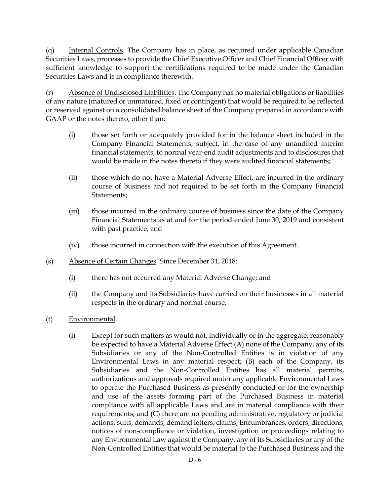(q) Internal Controls. The Company has in place, as required under applicable Canadian Securities Laws, processes to provide the Chief Executive Officer and Chief Financial Officer with sufficient knowledge to support the certifications required to be made under the Canadian Securities Laws and is in compliance therewith.

(r) Absence of Undisclosed Liabilities. The Company has no material obligations or liabilities of any nature (matured or unmatured, fixed or contingent) that would be required to be reflected or reserved against on a consolidated balance sheet of the Company prepared in accordance with GAAP or the notes thereto, other than:

- (i) those set forth or adequately provided for in the balance sheet included in the Company Financial Statements, subject, in the case of any unaudited interim financial statements, to normal year-end audit adjustments and to disclosures that would be made in the notes thereto if they were audited financial statements;
- (ii) those which do not have a Material Adverse Effect, are incurred in the ordinary course of business and not required to be set forth in the Company Financial Statements;
- (iii) those incurred in the ordinary course of business since the date of the Company Financial Statements as at and for the period ended June 30, 2019 and consistent with past practice; and
- (iv) those incurred in connection with the execution of this Agreement.
- (s) Absence of Certain Changes. Since December 31, 2018:
	- (i) there has not occurred any Material Adverse Change; and
	- (ii) the Company and its Subsidiaries have carried on their businesses in all material respects in the ordinary and normal course.
- (t) Environmental.
	- (i) Except for such matters as would not, individually or in the aggregate, reasonably be expected to have a Material Adverse Effect (A) none of the Company, any of its Subsidiaries or any of the Non-Controlled Entities is in violation of any Environmental Laws in any material respect; (B) each of the Company, its Subsidiaries and the Non-Controlled Entities has all material permits, authorizations and approvals required under any applicable Environmental Laws to operate the Purchased Business as presently conducted or for the ownership and use of the assets forming part of the Purchased Business in material compliance with all applicable Laws and are in material compliance with their requirements; and (C) there are no pending administrative, regulatory or judicial actions, suits, demands, demand letters, claims, Encumbrances, orders, directions, notices of non-compliance or violation, investigation or proceedings relating to any Environmental Law against the Company, any of its Subsidiaries or any of the Non-Controlled Entities that would be material to the Purchased Business and the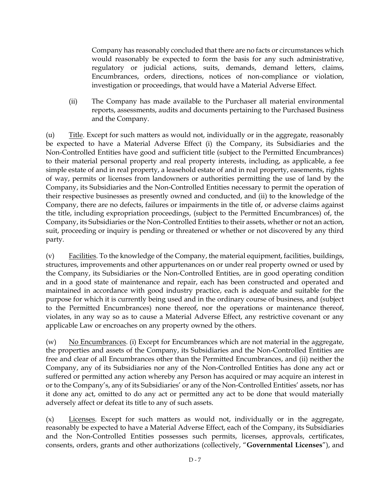Company has reasonably concluded that there are no facts or circumstances which would reasonably be expected to form the basis for any such administrative, regulatory or judicial actions, suits, demands, demand letters, claims, Encumbrances, orders, directions, notices of non-compliance or violation, investigation or proceedings, that would have a Material Adverse Effect.

(ii) The Company has made available to the Purchaser all material environmental reports, assessments, audits and documents pertaining to the Purchased Business and the Company.

(u) Title. Except for such matters as would not, individually or in the aggregate, reasonably be expected to have a Material Adverse Effect (i) the Company, its Subsidiaries and the Non-Controlled Entities have good and sufficient title (subject to the Permitted Encumbrances) to their material personal property and real property interests, including, as applicable, a fee simple estate of and in real property, a leasehold estate of and in real property, easements, rights of way, permits or licenses from landowners or authorities permitting the use of land by the Company, its Subsidiaries and the Non-Controlled Entities necessary to permit the operation of their respective businesses as presently owned and conducted, and (ii) to the knowledge of the Company, there are no defects, failures or impairments in the title of, or adverse claims against the title, including expropriation proceedings, (subject to the Permitted Encumbrances) of, the Company, its Subsidiaries or the Non-Controlled Entities to their assets, whether or not an action, suit, proceeding or inquiry is pending or threatened or whether or not discovered by any third party.

(v)  $\overline{Facilities}$ . To the knowledge of the Company, the material equipment, facilities, buildings, structures, improvements and other appurtenances on or under real property owned or used by the Company, its Subsidiaries or the Non-Controlled Entities, are in good operating condition and in a good state of maintenance and repair, each has been constructed and operated and maintained in accordance with good industry practice, each is adequate and suitable for the purpose for which it is currently being used and in the ordinary course of business, and (subject to the Permitted Encumbrances) none thereof, nor the operations or maintenance thereof, violates, in any way so as to cause a Material Adverse Effect, any restrictive covenant or any applicable Law or encroaches on any property owned by the others.

(w) No Encumbrances. (i) Except for Encumbrances which are not material in the aggregate, the properties and assets of the Company, its Subsidiaries and the Non-Controlled Entities are free and clear of all Encumbrances other than the Permitted Encumbrances, and (ii) neither the Company, any of its Subsidiaries nor any of the Non-Controlled Entities has done any act or suffered or permitted any action whereby any Person has acquired or may acquire an interest in or to the Company's, any of its Subsidiaries' or any of the Non-Controlled Entities' assets, nor has it done any act, omitted to do any act or permitted any act to be done that would materially adversely affect or defeat its title to any of such assets.

(x) Licenses. Except for such matters as would not, individually or in the aggregate, reasonably be expected to have a Material Adverse Effect, each of the Company, its Subsidiaries and the Non-Controlled Entities possesses such permits, licenses, approvals, certificates, consents, orders, grants and other authorizations (collectively, "**Governmental Licenses**"), and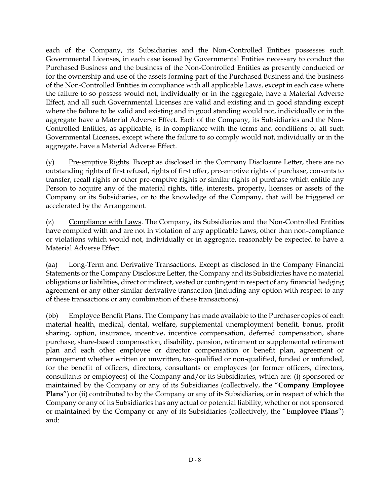each of the Company, its Subsidiaries and the Non-Controlled Entities possesses such Governmental Licenses, in each case issued by Governmental Entities necessary to conduct the Purchased Business and the business of the Non-Controlled Entities as presently conducted or for the ownership and use of the assets forming part of the Purchased Business and the business of the Non-Controlled Entities in compliance with all applicable Laws, except in each case where the failure to so possess would not, individually or in the aggregate, have a Material Adverse Effect, and all such Governmental Licenses are valid and existing and in good standing except where the failure to be valid and existing and in good standing would not, individually or in the aggregate have a Material Adverse Effect. Each of the Company, its Subsidiaries and the Non-Controlled Entities, as applicable, is in compliance with the terms and conditions of all such Governmental Licenses, except where the failure to so comply would not, individually or in the aggregate, have a Material Adverse Effect.

(y) Pre-emptive Rights. Except as disclosed in the Company Disclosure Letter, there are no outstanding rights of first refusal, rights of first offer, pre-emptive rights of purchase, consents to transfer, recall rights or other pre-emptive rights or similar rights of purchase which entitle any Person to acquire any of the material rights, title, interests, property, licenses or assets of the Company or its Subsidiaries, or to the knowledge of the Company, that will be triggered or accelerated by the Arrangement.

(z) Compliance with Laws. The Company, its Subsidiaries and the Non-Controlled Entities have complied with and are not in violation of any applicable Laws, other than non-compliance or violations which would not, individually or in aggregate, reasonably be expected to have a Material Adverse Effect.

(aa) Long-Term and Derivative Transactions. Except as disclosed in the Company Financial Statements or the Company Disclosure Letter, the Company and its Subsidiaries have no material obligations or liabilities, direct or indirect, vested or contingent in respect of any financial hedging agreement or any other similar derivative transaction (including any option with respect to any of these transactions or any combination of these transactions).

(bb) Employee Benefit Plans. The Company has made available to the Purchaser copies of each material health, medical, dental, welfare, supplemental unemployment benefit, bonus, profit sharing, option, insurance, incentive, incentive compensation, deferred compensation, share purchase, share-based compensation, disability, pension, retirement or supplemental retirement plan and each other employee or director compensation or benefit plan, agreement or arrangement whether written or unwritten, tax-qualified or non-qualified, funded or unfunded, for the benefit of officers, directors, consultants or employees (or former officers, directors, consultants or employees) of the Company and/or its Subsidiaries, which are: (i) sponsored or maintained by the Company or any of its Subsidiaries (collectively, the "**Company Employee Plans**") or (ii) contributed to by the Company or any of its Subsidiaries, or in respect of which the Company or any of its Subsidiaries has any actual or potential liability, whether or not sponsored or maintained by the Company or any of its Subsidiaries (collectively, the "**Employee Plans**") and: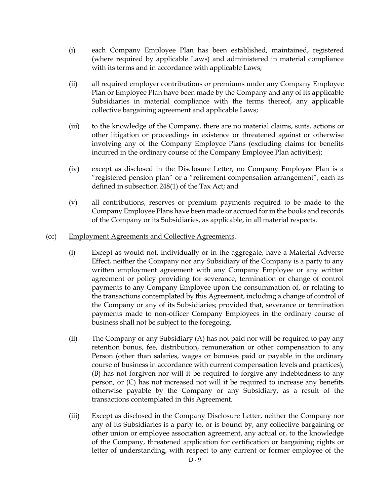- (i) each Company Employee Plan has been established, maintained, registered (where required by applicable Laws) and administered in material compliance with its terms and in accordance with applicable Laws;
- (ii) all required employer contributions or premiums under any Company Employee Plan or Employee Plan have been made by the Company and any of its applicable Subsidiaries in material compliance with the terms thereof, any applicable collective bargaining agreement and applicable Laws;
- (iii) to the knowledge of the Company, there are no material claims, suits, actions or other litigation or proceedings in existence or threatened against or otherwise involving any of the Company Employee Plans (excluding claims for benefits incurred in the ordinary course of the Company Employee Plan activities);
- (iv) except as disclosed in the Disclosure Letter, no Company Employee Plan is a "registered pension plan" or a "retirement compensation arrangement", each as defined in subsection 248(1) of the Tax Act; and
- (v) all contributions, reserves or premium payments required to be made to the Company Employee Plans have been made or accrued for in the books and records of the Company or its Subsidiaries, as applicable, in all material respects.
- (cc) Employment Agreements and Collective Agreements.
	- (i) Except as would not, individually or in the aggregate, have a Material Adverse Effect, neither the Company nor any Subsidiary of the Company is a party to any written employment agreement with any Company Employee or any written agreement or policy providing for severance, termination or change of control payments to any Company Employee upon the consummation of, or relating to the transactions contemplated by this Agreement, including a change of control of the Company or any of its Subsidiaries; provided that, severance or termination payments made to non-officer Company Employees in the ordinary course of business shall not be subject to the foregoing.
	- (ii) The Company or any Subsidiary (A) has not paid nor will be required to pay any retention bonus, fee, distribution, remuneration or other compensation to any Person (other than salaries, wages or bonuses paid or payable in the ordinary course of business in accordance with current compensation levels and practices), (B) has not forgiven nor will it be required to forgive any indebtedness to any person, or (C) has not increased not will it be required to increase any benefits otherwise payable by the Company or any Subsidiary, as a result of the transactions contemplated in this Agreement.
	- (iii) Except as disclosed in the Company Disclosure Letter, neither the Company nor any of its Subsidiaries is a party to, or is bound by, any collective bargaining or other union or employee association agreement, any actual or, to the knowledge of the Company, threatened application for certification or bargaining rights or letter of understanding, with respect to any current or former employee of the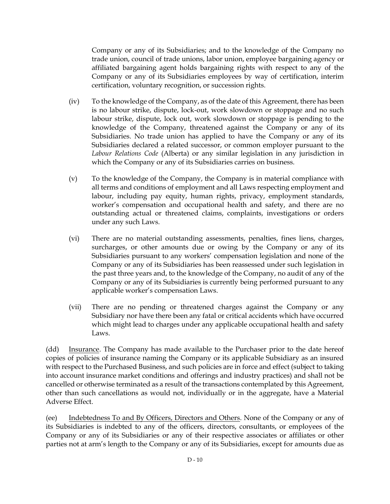Company or any of its Subsidiaries; and to the knowledge of the Company no trade union, council of trade unions, labor union, employee bargaining agency or affiliated bargaining agent holds bargaining rights with respect to any of the Company or any of its Subsidiaries employees by way of certification, interim certification, voluntary recognition, or succession rights.

- (iv) To the knowledge of the Company, as of the date of this Agreement, there has been is no labour strike, dispute, lock-out, work slowdown or stoppage and no such labour strike, dispute, lock out, work slowdown or stoppage is pending to the knowledge of the Company, threatened against the Company or any of its Subsidiaries. No trade union has applied to have the Company or any of its Subsidiaries declared a related successor, or common employer pursuant to the *Labour Relations Code* (Alberta) or any similar legislation in any jurisdiction in which the Company or any of its Subsidiaries carries on business.
- (v) To the knowledge of the Company, the Company is in material compliance with all terms and conditions of employment and all Laws respecting employment and labour, including pay equity, human rights, privacy, employment standards, worker's compensation and occupational health and safety, and there are no outstanding actual or threatened claims, complaints, investigations or orders under any such Laws.
- (vi) There are no material outstanding assessments, penalties, fines liens, charges, surcharges, or other amounts due or owing by the Company or any of its Subsidiaries pursuant to any workers' compensation legislation and none of the Company or any of its Subsidiaries has been reassessed under such legislation in the past three years and, to the knowledge of the Company, no audit of any of the Company or any of its Subsidiaries is currently being performed pursuant to any applicable worker's compensation Laws.
- (vii) There are no pending or threatened charges against the Company or any Subsidiary nor have there been any fatal or critical accidents which have occurred which might lead to charges under any applicable occupational health and safety Laws.

(dd) Insurance. The Company has made available to the Purchaser prior to the date hereof copies of policies of insurance naming the Company or its applicable Subsidiary as an insured with respect to the Purchased Business, and such policies are in force and effect (subject to taking into account insurance market conditions and offerings and industry practices) and shall not be cancelled or otherwise terminated as a result of the transactions contemplated by this Agreement, other than such cancellations as would not, individually or in the aggregate, have a Material Adverse Effect.

(ee) Indebtedness To and By Officers, Directors and Others. None of the Company or any of its Subsidiaries is indebted to any of the officers, directors, consultants, or employees of the Company or any of its Subsidiaries or any of their respective associates or affiliates or other parties not at arm's length to the Company or any of its Subsidiaries, except for amounts due as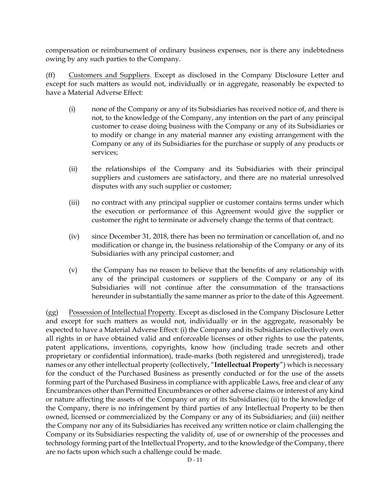compensation or reimbursement of ordinary business expenses, nor is there any indebtedness owing by any such parties to the Company.

(ff) Customers and Suppliers. Except as disclosed in the Company Disclosure Letter and except for such matters as would not, individually or in aggregate, reasonably be expected to have a Material Adverse Effect:

- (i) none of the Company or any of its Subsidiaries has received notice of, and there is not, to the knowledge of the Company, any intention on the part of any principal customer to cease doing business with the Company or any of its Subsidiaries or to modify or change in any material manner any existing arrangement with the Company or any of its Subsidiaries for the purchase or supply of any products or services;
- (ii) the relationships of the Company and its Subsidiaries with their principal suppliers and customers are satisfactory, and there are no material unresolved disputes with any such supplier or customer;
- (iii) no contract with any principal supplier or customer contains terms under which the execution or performance of this Agreement would give the supplier or customer the right to terminate or adversely change the terms of that contract;
- (iv) since December 31, 2018, there has been no termination or cancellation of, and no modification or change in, the business relationship of the Company or any of its Subsidiaries with any principal customer; and
- (v) the Company has no reason to believe that the benefits of any relationship with any of the principal customers or suppliers of the Company or any of its Subsidiaries will not continue after the consummation of the transactions hereunder in substantially the same manner as prior to the date of this Agreement.

(gg) Possession of Intellectual Property. Except as disclosed in the Company Disclosure Letter and except for such matters as would not, individually or in the aggregate, reasonably be expected to have a Material Adverse Effect: (i) the Company and its Subsidiaries collectively own all rights in or have obtained valid and enforceable licenses or other rights to use the patents, patent applications, inventions, copyrights, know how (including trade secrets and other proprietary or confidential information), trade-marks (both registered and unregistered), trade names or any other intellectual property (collectively, "**Intellectual Property**") which is necessary for the conduct of the Purchased Business as presently conducted or for the use of the assets forming part of the Purchased Business in compliance with applicable Laws, free and clear of any Encumbrances other than Permitted Encumbrances or other adverse claims or interest of any kind or nature affecting the assets of the Company or any of its Subsidiaries; (ii) to the knowledge of the Company, there is no infringement by third parties of any Intellectual Property to be then owned, licensed or commercialized by the Company or any of its Subsidiaries; and (iii) neither the Company nor any of its Subsidiaries has received any written notice or claim challenging the Company or its Subsidiaries respecting the validity of, use of or ownership of the processes and technology forming part of the Intellectual Property, and to the knowledge of the Company, there are no facts upon which such a challenge could be made.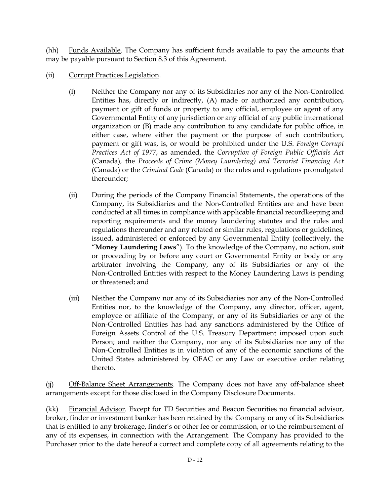(hh) Funds Available. The Company has sufficient funds available to pay the amounts that may be payable pursuant to Section [8.3](#page-56-0) of this Agreement.

- (ii) Corrupt Practices Legislation.
	- (i) Neither the Company nor any of its Subsidiaries nor any of the Non-Controlled Entities has, directly or indirectly, (A) made or authorized any contribution, payment or gift of funds or property to any official, employee or agent of any Governmental Entity of any jurisdiction or any official of any public international organization or (B) made any contribution to any candidate for public office, in either case, where either the payment or the purpose of such contribution, payment or gift was, is, or would be prohibited under the U*.*S. *Foreign Corrupt Practices Act of 1977*, as amended, the *Corruption of Foreign Public Officials Act*  (Canada)*,* the *Proceeds of Crime (Money Laundering) and Terrorist Financing Act*  (Canada) or the *Criminal Code* (Canada) or the rules and regulations promulgated thereunder;
	- (ii) During the periods of the Company Financial Statements, the operations of the Company, its Subsidiaries and the Non-Controlled Entities are and have been conducted at all times in compliance with applicable financial recordkeeping and reporting requirements and the money laundering statutes and the rules and regulations thereunder and any related or similar rules, regulations or guidelines, issued, administered or enforced by any Governmental Entity (collectively, the "**Money Laundering Laws**"). To the knowledge of the Company, no action, suit or proceeding by or before any court or Governmental Entity or body or any arbitrator involving the Company, any of its Subsidiaries or any of the Non-Controlled Entities with respect to the Money Laundering Laws is pending or threatened; and
	- (iii) Neither the Company nor any of its Subsidiaries nor any of the Non-Controlled Entities nor, to the knowledge of the Company, any director, officer, agent, employee or affiliate of the Company, or any of its Subsidiaries or any of the Non-Controlled Entities has had any sanctions administered by the Office of Foreign Assets Control of the U.S. Treasury Department imposed upon such Person; and neither the Company, nor any of its Subsidiaries nor any of the Non-Controlled Entities is in violation of any of the economic sanctions of the United States administered by OFAC or any Law or executive order relating thereto.

(jj) Off-Balance Sheet Arrangements. The Company does not have any off-balance sheet arrangements except for those disclosed in the Company Disclosure Documents.

(kk) Financial Advisor. Except for TD Securities and Beacon Securities no financial advisor, broker, finder or investment banker has been retained by the Company or any of its Subsidiaries that is entitled to any brokerage, finder's or other fee or commission, or to the reimbursement of any of its expenses, in connection with the Arrangement. The Company has provided to the Purchaser prior to the date hereof a correct and complete copy of all agreements relating to the